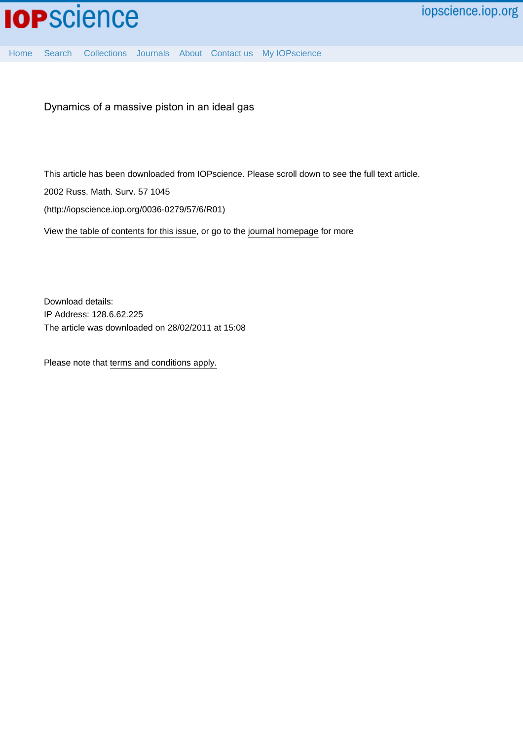

Dynamics of a massive piston in an ideal gas

This article has been downloaded from IOPscience. Please scroll down to see the full text article.

2002 Russ. Math. Surv. 57 1045

(http://iopscience.iop.org/0036-0279/57/6/R01)

View [the table of contents for this issue](http://iopscience.iop.org/0036-0279/57/6), or go to the [journal homepage](http://iopscience.iop.org/0036-0279) for more

Download details: IP Address: 128.6.62.225 The article was downloaded on 28/02/2011 at 15:08

Please note that [terms and conditions apply.](http://iopscience.iop.org/page/terms)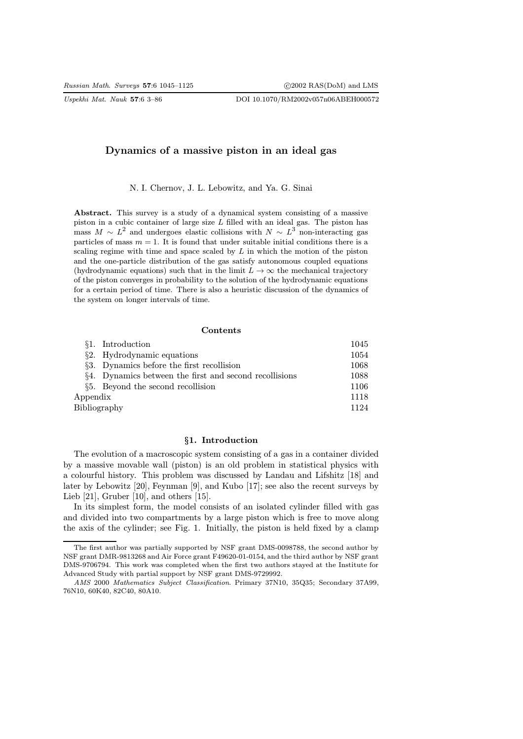Russian Math. Surveys 57:6 1045–1125 c 2002 RAS(DoM) and LMS

Uspekhi Mat. Nauk 57:6 3–86 DOI 10.1070/RM2002v057n06ABEH000572

# Dynamics of a massive piston in an ideal gas

N. I. Chernov, J. L. Lebowitz, and Ya. G. Sinai

Abstract. This survey is a study of a dynamical system consisting of a massive piston in a cubic container of large size L filled with an ideal gas. The piston has mass  $M \sim L^2$  and undergoes elastic collisions with  $N \sim L^3$  non-interacting gas particles of mass  $m = 1$ . It is found that under suitable initial conditions there is a scaling regime with time and space scaled by  $L$  in which the motion of the piston and the one-particle distribution of the gas satisfy autonomous coupled equations (hydrodynamic equations) such that in the limit  $L \to \infty$  the mechanical trajectory of the piston converges in probability to the solution of the hydrodynamic equations for a certain period of time. There is also a heuristic discussion of the dynamics of the system on longer intervals of time.

## Contents

| §2. Hydrodynamic equations<br>§3. Dynamics before the first recollision<br>§4. Dynamics between the first and second recollisions<br>§5. Beyond the second recollision<br>Appendix<br>Bibliography |  | §1. Introduction | 1045 |
|----------------------------------------------------------------------------------------------------------------------------------------------------------------------------------------------------|--|------------------|------|
|                                                                                                                                                                                                    |  |                  | 1054 |
|                                                                                                                                                                                                    |  |                  | 1068 |
|                                                                                                                                                                                                    |  |                  | 1088 |
|                                                                                                                                                                                                    |  |                  | 1106 |
|                                                                                                                                                                                                    |  |                  | 1118 |
|                                                                                                                                                                                                    |  |                  | 1124 |

#### §1. Introduction

The evolution of a macroscopic system consisting of a gas in a container divided by a massive movable wall (piston) is an old problem in statistical physics with a colourful history. This problem was discussed by Landau and Lifshitz [\[18\]](#page-80-0) and later by Lebowitz [\[20\],](#page-80-0) Feynman [\[9\],](#page-80-0) and Kubo [\[17\];](#page-80-0) see also the recent surveys by Lieb [\[21\],](#page-80-0) Gruber [\[10\],](#page-80-0) and others [\[15\].](#page-80-0)

In its simplest form, the model consists of an isolated cylinder filled with gas and divided into two compartments by a large piston which is free to move along the axis of the cylinder; see Fig. 1. Initially, the piston is held fixed by a clamp

The first author was partially supported by NSF grant DMS-0098788, the second author by NSF grant DMR-9813268 and Air Force grant F49620-01-0154, and the third author by NSF grant DMS-9706794. This work was completed when the first two authors stayed at the Institute for Advanced Study with partial support by NSF grant DMS-9729992.

AMS 2000 Mathematics Subject Classification. Primary 37N10, 35Q35; Secondary 37A99, 76N10, 60K40, 82C40, 80A10.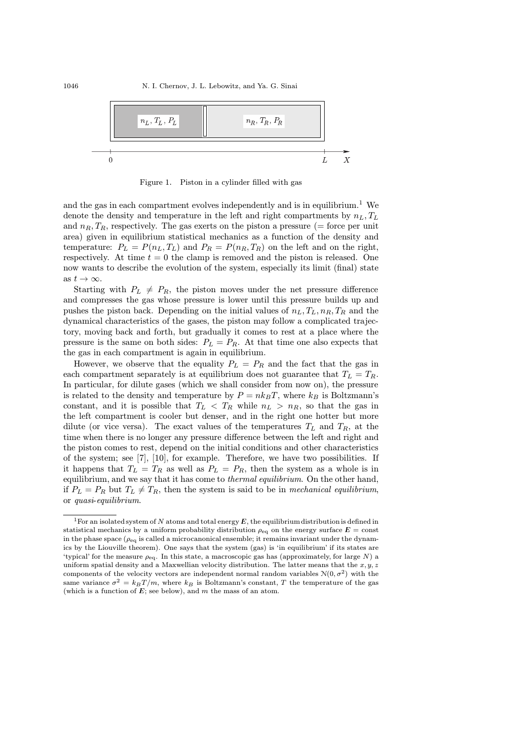

Figure 1. Piston in a cylinder filled with gas

and the gas in each compartment evolves independently and is in equilibrium.<sup>1</sup> We denote the density and temperature in the left and right compartments by  $n_L, T_L$ and  $n_R, T_R$ , respectively. The gas exerts on the piston a pressure (= force per unit area) given in equilibrium statistical mechanics as a function of the density and temperature:  $P_L = P(n_L, T_L)$  and  $P_R = P(n_R, T_R)$  on the left and on the right, respectively. At time  $t = 0$  the clamp is removed and the piston is released. One now wants to describe the evolution of the system, especially its limit (final) state as  $t \to \infty$ .

Starting with  $P_L \neq P_R$ , the piston moves under the net pressure difference and compresses the gas whose pressure is lower until this pressure builds up and pushes the piston back. Depending on the initial values of  $n_L, T_L, n_R, T_R$  and the dynamical characteristics of the gases, the piston may follow a complicated trajectory, moving back and forth, but gradually it comes to rest at a place where the pressure is the same on both sides:  $P_L = P_R$ . At that time one also expects that the gas in each compartment is again in equilibrium.

However, we observe that the equality  $P_L = P_R$  and the fact that the gas in each compartment separately is at equilibrium does not guarantee that  $T_L = T_R$ . In particular, for dilute gases (which we shall consider from now on), the pressure is related to the density and temperature by  $P = nk_BT$ , where  $k_B$  is Boltzmann's constant, and it is possible that  $T_L < T_R$  while  $n_L > n_R$ , so that the gas in the left compartment is cooler but denser, and in the right one hotter but more dilute (or vice versa). The exact values of the temperatures  $T_L$  and  $T_R$ , at the time when there is no longer any pressure difference between the left and right and the piston comes to rest, depend on the initial conditions and other characteristics of the system; see [\[7\], \[10\],](#page-80-0) for example. Therefore, we have two possibilities. If it happens that  $T_L = T_R$  as well as  $P_L = P_R$ , then the system as a whole is in equilibrium, and we say that it has come to thermal equilibrium. On the other hand, if  $P_L = P_R$  but  $T_L \neq T_R$ , then the system is said to be in mechanical equilibrium, or quasi-equilibrium.

<sup>&</sup>lt;sup>1</sup>For an isolated system of N atoms and total energy E, the equilibrium distribution is defined in statistical mechanics by a uniform probability distribution  $\rho_{\text{eq}}$  on the energy surface  $E = \text{const}$ in the phase space ( $\rho_{eq}$  is called a microcanonical ensemble; it remains invariant under the dynamics by the Liouville theorem). One says that the system (gas) is 'in equilibrium' if its states are 'typical' for the measure  $\rho_{eq}$ . In this state, a macroscopic gas has (approximately, for large N) a uniform spatial density and a Maxwellian velocity distribution. The latter means that the  $x, y, z$ components of the velocity vectors are independent normal random variables  $\mathcal{N}(0, \sigma^2)$  with the same variance  $\sigma^2 = k_B T/m$ , where  $k_B$  is Boltzmann's constant, T the temperature of the gas (which is a function of  $E$ ; see below), and  $m$  the mass of an atom.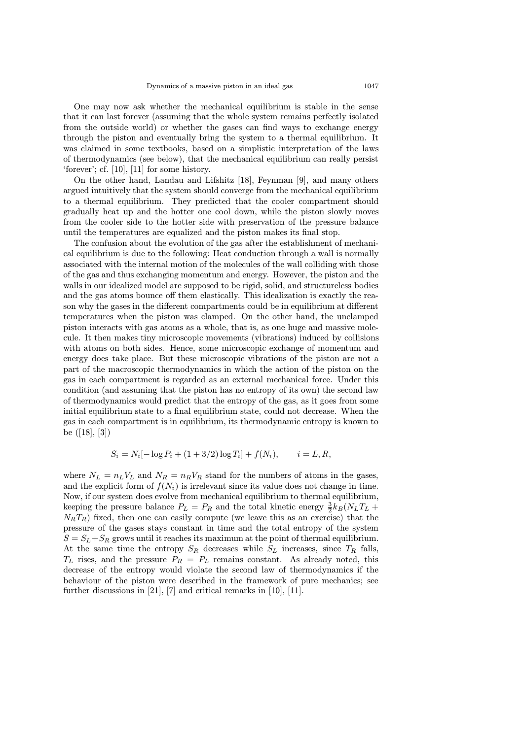One may now ask whether the mechanical equilibrium is stable in the sense that it can last forever (assuming that the whole system remains perfectly isolated from the outside world) or whether the gases can find ways to exchange energy through the piston and eventually bring the system to a thermal equilibrium. It was claimed in some textbooks, based on a simplistic interpretation of the laws of thermodynamics (see below), that the mechanical equilibrium can really persist 'forever'; cf. [\[10\], \[11\]](#page-80-0) for some history.

On the other hand, Landau and Lifshitz [\[18\],](#page-80-0) Feynman [\[9\],](#page-80-0) and many others argued intuitively that the system should converge from the mechanical equilibrium to a thermal equilibrium. They predicted that the cooler compartment should gradually heat up and the hotter one cool down, while the piston slowly moves from the cooler side to the hotter side with preservation of the pressure balance until the temperatures are equalized and the piston makes its final stop.

The confusion about the evolution of the gas after the establishment of mechanical equilibrium is due to the following: Heat conduction through a wall is normally associated with the internal motion of the molecules of the wall colliding with those of the gas and thus exchanging momentum and energy. However, the piston and the walls in our idealized model are supposed to be rigid, solid, and structureless bodies and the gas atoms bounce off them elastically. This idealization is exactly the reason why the gases in the different compartments could be in equilibrium at different temperatures when the piston was clamped. On the other hand, the unclamped piston interacts with gas atoms as a whole, that is, as one huge and massive molecule. It then makes tiny microscopic movements (vibrations) induced by collisions with atoms on both sides. Hence, some microscopic exchange of momentum and energy does take place. But these microscopic vibrations of the piston are not a part of the macroscopic thermodynamics in which the action of the piston on the gas in each compartment is regarded as an external mechanical force. Under this condition (and assuming that the piston has no entropy of its own) the second law of thermodynamics would predict that the entropy of the gas, as it goes from some initial equilibrium state to a final equilibrium state, could not decrease. When the gas in each compartment is in equilibrium, its thermodynamic entropy is known to be [\(\[18\], \[3\]\)](#page-80-0)

$$
S_i = N_i[-\log P_i + (1+3/2)\log T_i] + f(N_i), \qquad i = L, R,
$$

where  $N_L = n_L V_L$  and  $N_R = n_R V_R$  stand for the numbers of atoms in the gases, and the explicit form of  $f(N_i)$  is irrelevant since its value does not change in time. Now, if our system does evolve from mechanical equilibrium to thermal equilibrium, keeping the pressure balance  $P_L = P_R$  and the total kinetic energy  $\frac{3}{2}k_B(N_L T_L +$  $N_RT_R$ ) fixed, then one can easily compute (we leave this as an exercise) that the pressure of the gases stays constant in time and the total entropy of the system  $S = S_L + S_R$  grows until it reaches its maximum at the point of thermal equilibrium. At the same time the entropy  $S_R$  decreases while  $S_L$  increases, since  $T_R$  falls,  $T_L$  rises, and the pressure  $P_R = P_L$  remains constant. As already noted, this decrease of the entropy would violate the second law of thermodynamics if the behaviour of the piston were described in the framework of pure mechanics; see further discussions in [\[21\], \[7\]](#page-80-0) and critical remarks in [\[10\], \[11\].](#page-80-0)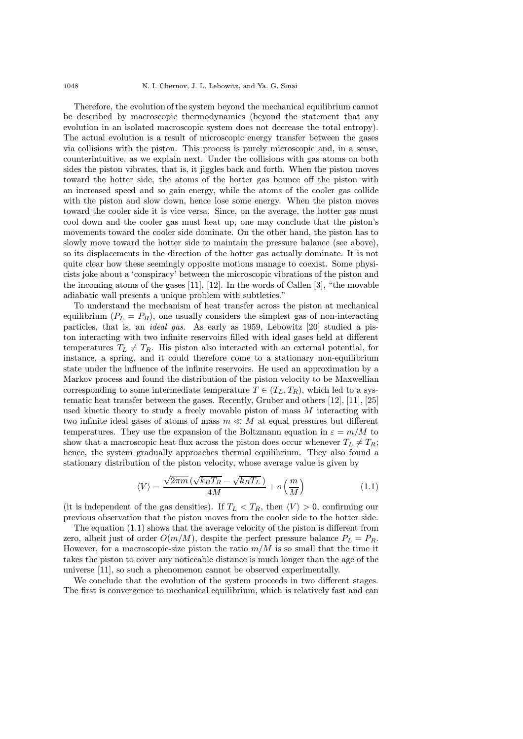Therefore, the evolution of the system beyond the mechanical equilibrium cannot be described by macroscopic thermodynamics (beyond the statement that any evolution in an isolated macroscopic system does not decrease the total entropy). The actual evolution is a result of microscopic energy transfer between the gases via collisions with the piston. This process is purely microscopic and, in a sense, counterintuitive, as we explain next. Under the collisions with gas atoms on both sides the piston vibrates, that is, it jiggles back and forth. When the piston moves toward the hotter side, the atoms of the hotter gas bounce off the piston with an increased speed and so gain energy, while the atoms of the cooler gas collide with the piston and slow down, hence lose some energy. When the piston moves toward the cooler side it is vice versa. Since, on the average, the hotter gas must cool down and the cooler gas must heat up, one may conclude that the piston's movements toward the cooler side dominate. On the other hand, the piston has to slowly move toward the hotter side to maintain the pressure balance (see above), so its displacements in the direction of the hotter gas actually dominate. It is not quite clear how these seemingly opposite motions manage to coexist. Some physicists joke about a 'conspiracy' between the microscopic vibrations of the piston and the incoming atoms of the gases [\[11\], \[12\].](#page-80-0) In the words of Callen [\[3\],](#page-80-0) "the movable adiabatic wall presents a unique problem with subtleties."

To understand the mechanism of heat transfer across the piston at mechanical equilibrium  $(P_L = P_R)$ , one usually considers the simplest gas of non-interacting particles, that is, an ideal gas. As early as 1959, Lebowitz [\[20\]](#page-80-0) studied a piston interacting with two infinite reservoirs filled with ideal gases held at different temperatures  $T_L \neq T_R$ . His piston also interacted with an external potential, for instance, a spring, and it could therefore come to a stationary non-equilibrium state under the influence of the infinite reservoirs. He used an approximation by a Markov process and found the distribution of the piston velocity to be Maxwellian corresponding to some intermediate temperature  $T \in (T_L, T_R)$ , which led to a systematic heat transfer between the gases. Recently, Gruber and others [\[12\], \[11\], \[25\]](#page-80-0) used kinetic theory to study a freely movable piston of mass  $M$  interacting with two infinite ideal gases of atoms of mass  $m \ll M$  at equal pressures but different temperatures. They use the expansion of the Boltzmann equation in  $\varepsilon = m/M$  to show that a macroscopic heat flux across the piston does occur whenever  $T_L \neq T_R$ ; hence, the system gradually approaches thermal equilibrium. They also found a stationary distribution of the piston velocity, whose average value is given by

$$
\langle V \rangle = \frac{\sqrt{2\pi m} \left( \sqrt{k_B T_R} - \sqrt{k_B T_L} \right)}{4M} + o\left(\frac{m}{M}\right)
$$
(1.1)

(it is independent of the gas densities). If  $T_L < T_R$ , then  $\langle V \rangle > 0$ , confirming our previous observation that the piston moves from the cooler side to the hotter side.

The equation (1.1) shows that the average velocity of the piston is different from zero, albeit just of order  $O(m/M)$ , despite the perfect pressure balance  $P_L = P_R$ . However, for a macroscopic-size piston the ratio  $m/M$  is so small that the time it takes the piston to cover any noticeable distance is much longer than the age of the universe [\[11\],](#page-80-0) so such a phenomenon cannot be observed experimentally.

We conclude that the evolution of the system proceeds in two different stages. The first is convergence to mechanical equilibrium, which is relatively fast and can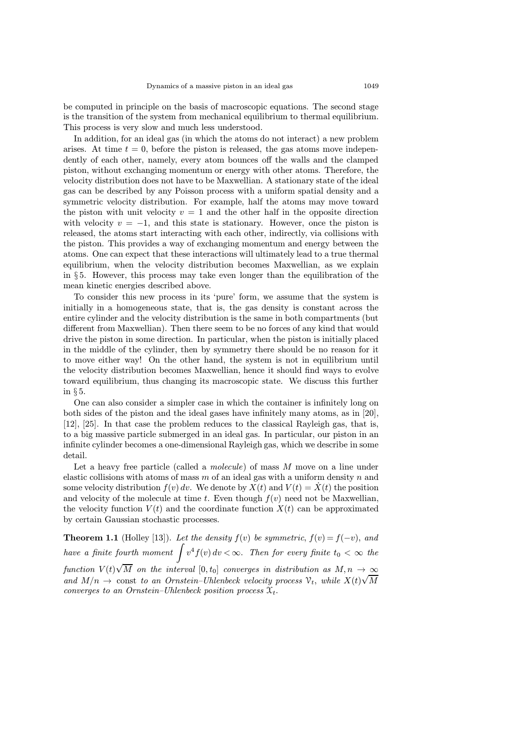be computed in principle on the basis of macroscopic equations. The second stage is the transition of the system from mechanical equilibrium to thermal equilibrium. This process is very slow and much less understood.

In addition, for an ideal gas (in which the atoms do not interact) a new problem arises. At time  $t = 0$ , before the piston is released, the gas atoms move independently of each other, namely, every atom bounces off the walls and the clamped piston, without exchanging momentum or energy with other atoms. Therefore, the velocity distribution does not have to be Maxwellian. A stationary state of the ideal gas can be described by any Poisson process with a uniform spatial density and a symmetric velocity distribution. For example, half the atoms may move toward the piston with unit velocity  $v = 1$  and the other half in the opposite direction with velocity  $v = -1$ , and this state is stationary. However, once the piston is released, the atoms start interacting with each other, indirectly, via collisions with the piston. This provides a way of exchanging momentum and energy between the atoms. One can expect that these interactions will ultimately lead to a true thermal equilibrium, when the velocity distribution becomes Maxwellian, as we explain in  $\S 5$ . However, this process may take even longer than the equilibration of the mean kinetic energies described above.

To consider this new process in its 'pure' form, we assume that the system is initially in a homogeneous state, that is, the gas density is constant across the entire cylinder and the velocity distribution is the same in both compartments (but different from Maxwellian). Then there seem to be no forces of any kind that would drive the piston in some direction. In particular, when the piston is initially placed in the middle of the cylinder, then by symmetry there should be no reason for it to move either way! On the other hand, the system is not in equilibrium until the velocity distribution becomes Maxwellian, hence it should find ways to evolve toward equilibrium, thus changing its macroscopic state. We discuss this further in § 5.

One can also consider a simpler case in which the container is infinitely long on both sides of the piston and the ideal gases have infinitely many atoms, as in [\[20\],](#page-80-0) [\[12\], \[25\].](#page-80-0) In that case the problem reduces to the classical Rayleigh gas, that is, to a big massive particle submerged in an ideal gas. In particular, our piston in an infinite cylinder becomes a one-dimensional Rayleigh gas, which we describe in some detail.

Let a heavy free particle (called a *molecule*) of mass M move on a line under elastic collisions with atoms of mass  $m$  of an ideal gas with a uniform density  $n$  and some velocity distribution  $f(v) dv$ . We denote by  $X(t)$  and  $V(t) = \dot{X}(t)$  the position and velocity of the molecule at time t. Even though  $f(v)$  need not be Maxwellian, the velocity function  $V(t)$  and the coordinate function  $X(t)$  can be approximated by certain Gaussian stochastic processes.

**Theorem 1.1** (Holley [\[13\]\)](#page-80-0). Let the density  $f(v)$  be symmetric,  $f(v) = f(-v)$ , and have a finite fourth moment  $\int v^4 f(v) dv < \infty$ . Then for every finite  $t_0 < \infty$  the function  $V(t)\sqrt{M}$  on the interval  $[0, t_0]$  converges in distribution as  $M, n \to \infty$ √ and  $M/n \to \text{const}$  to an Ornstein–Uhlenbeck velocity process  $\mathcal{V}_t$ , while  $X(t)\sqrt{M}$ converges to an Ornstein–Uhlenbeck position process  $\mathfrak{X}_t$ .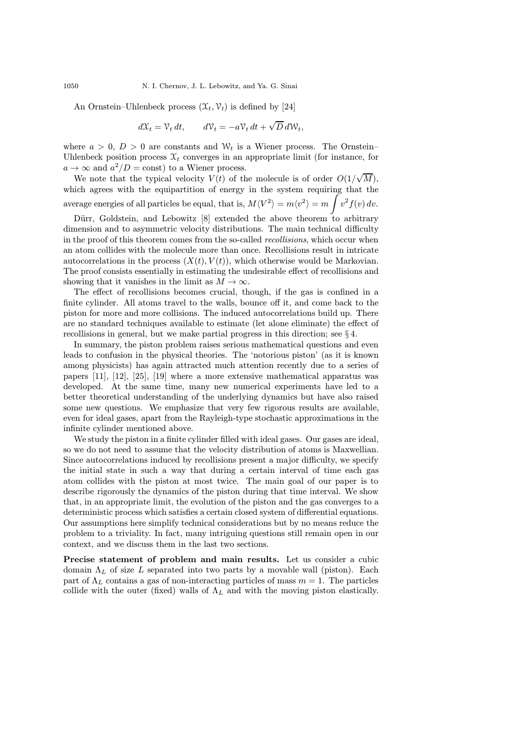An Ornstein–Uhlenbeck process  $(\mathfrak{X}_t, \mathfrak{V}_t)$  is defined by [\[24\]](#page-80-0)

$$
d\mathcal{X}_t = \mathcal{V}_t dt, \qquad d\mathcal{V}_t = -a\mathcal{V}_t dt + \sqrt{D} d\mathcal{W}_t,
$$

where  $a > 0$ ,  $D > 0$  are constants and  $W_t$  is a Wiener process. The Ornstein– Uhlenbeck position process  $\mathfrak{X}_t$  converges in an appropriate limit (for instance, for  $a \to \infty$  and  $a^2/D = \text{const}$  to a Wiener process. √

We note that the typical velocity  $V(t)$  of the molecule is of order  $O(1)$  $M),$ which agrees with the equipartition of energy in the system requiring that the average energies of all particles be equal, that is,  $M\langle V^2 \rangle = m\langle v^2 \rangle = m \int v^2 f(v) dv$ .

Dürr, Goldstein, and Lebowitz [\[8\]](#page-80-0) extended the above theorem to arbitrary dimension and to asymmetric velocity distributions. The main technical difficulty in the proof of this theorem comes from the so-called recollisions, which occur when an atom collides with the molecule more than once. Recollisions result in intricate autocorrelations in the process  $(X(t), V(t))$ , which otherwise would be Markovian. The proof consists essentially in estimating the undesirable effect of recollisions and showing that it vanishes in the limit as  $M \to \infty$ .

The effect of recollisions becomes crucial, though, if the gas is confined in a finite cylinder. All atoms travel to the walls, bounce off it, and come back to the piston for more and more collisions. The induced autocorrelations build up. There are no standard techniques available to estimate (let alone eliminate) the effect of recollisions in general, but we make partial progress in this direction; see § 4.

In summary, the piston problem raises serious mathematical questions and even leads to confusion in the physical theories. The 'notorious piston' (as it is known among physicists) has again attracted much attention recently due to a series of papers [\[11\], \[12\], \[25\], \[19\]](#page-80-0) where a more extensive mathematical apparatus was developed. At the same time, many new numerical experiments have led to a better theoretical understanding of the underlying dynamics but have also raised some new questions. We emphasize that very few rigorous results are available, even for ideal gases, apart from the Rayleigh-type stochastic approximations in the infinite cylinder mentioned above.

We study the piston in a finite cylinder filled with ideal gases. Our gases are ideal, so we do not need to assume that the velocity distribution of atoms is Maxwellian. Since autocorrelations induced by recollisions present a major difficulty, we specify the initial state in such a way that during a certain interval of time each gas atom collides with the piston at most twice. The main goal of our paper is to describe rigorously the dynamics of the piston during that time interval. We show that, in an appropriate limit, the evolution of the piston and the gas converges to a deterministic process which satisfies a certain closed system of differential equations. Our assumptions here simplify technical considerations but by no means reduce the problem to a triviality. In fact, many intriguing questions still remain open in our context, and we discuss them in the last two sections.

Precise statement of problem and main results. Let us consider a cubic domain  $\Lambda_L$  of size L separated into two parts by a movable wall (piston). Each part of  $\Lambda_L$  contains a gas of non-interacting particles of mass  $m = 1$ . The particles collide with the outer (fixed) walls of  $\Lambda_L$  and with the moving piston elastically.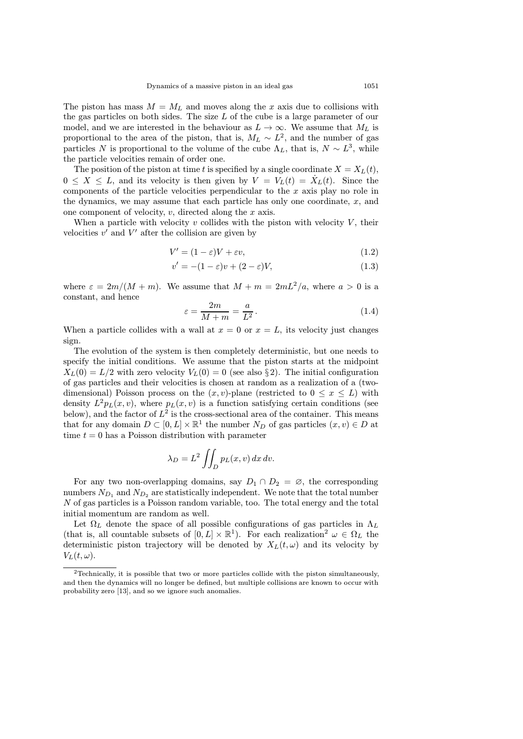The piston has mass  $M = M_L$  and moves along the x axis due to collisions with the gas particles on both sides. The size  $L$  of the cube is a large parameter of our model, and we are interested in the behaviour as  $L \to \infty$ . We assume that  $M_L$  is proportional to the area of the piston, that is,  $M_L \sim L^2$ , and the number of gas particles N is proportional to the volume of the cube  $\Lambda_L$ , that is,  $N \sim L^3$ , while the particle velocities remain of order one.

The position of the piston at time t is specified by a single coordinate  $X = X_L(t)$ ,  $0 \leq X \leq L$ , and its velocity is then given by  $V = V_L(t) = \dot{X}_L(t)$ . Since the components of the particle velocities perpendicular to the  $x$  axis play no role in the dynamics, we may assume that each particle has only one coordinate,  $x$ , and one component of velocity,  $v$ , directed along the  $x$  axis.

When a particle with velocity  $v$  collides with the piston with velocity  $V$ , their velocities  $v'$  and  $V'$  after the collision are given by

$$
V' = (1 - \varepsilon)V + \varepsilon v,\tag{1.2}
$$

$$
v' = -(1 - \varepsilon)v + (2 - \varepsilon)V,\tag{1.3}
$$

where  $\varepsilon = 2m/(M+m)$ . We assume that  $M + m = 2mL^2/a$ , where  $a > 0$  is a constant, and hence

$$
\varepsilon = \frac{2m}{M+m} = \frac{a}{L^2} \,. \tag{1.4}
$$

When a particle collides with a wall at  $x = 0$  or  $x = L$ , its velocity just changes sign.

The evolution of the system is then completely deterministic, but one needs to specify the initial conditions. We assume that the piston starts at the midpoint  $X_L(0) = L/2$  with zero velocity  $V_L(0) = 0$  (see also § 2). The initial configuration of gas particles and their velocities is chosen at random as a realization of a (twodimensional) Poisson process on the  $(x, v)$ -plane (restricted to  $0 \le x \le L$ ) with density  $L^2p_L(x, v)$ , where  $p_L(x, v)$  is a function satisfying certain conditions (see below), and the factor of  $L^2$  is the cross-sectional area of the container. This means that for any domain  $D \subset [0, L] \times \mathbb{R}^1$  the number  $N_D$  of gas particles  $(x, v) \in D$  at time  $t = 0$  has a Poisson distribution with parameter

$$
\lambda_D = L^2 \iint_D p_L(x, v) \, dx \, dv.
$$

For any two non-overlapping domains, say  $D_1 \cap D_2 = \emptyset$ , the corresponding numbers  $N_{D_1}$  and  $N_{D_2}$  are statistically independent. We note that the total number N of gas particles is a Poisson random variable, too. The total energy and the total initial momentum are random as well.

Let  $\Omega_L$  denote the space of all possible configurations of gas particles in  $\Lambda_L$ (that is, all countable subsets of  $[0, L] \times \mathbb{R}^1$ ). For each realization<sup>2</sup>  $\omega \in \Omega_L$  the deterministic piston trajectory will be denoted by  $X_L(t, \omega)$  and its velocity by  $V_L(t, \omega)$ .

<sup>2</sup>Technically, it is possible that two or more particles collide with the piston simultaneously, and then the dynamics will no longer be defined, but multiple collisions are known to occur with probability zero [\[13\],](#page-80-0) and so we ignore such anomalies.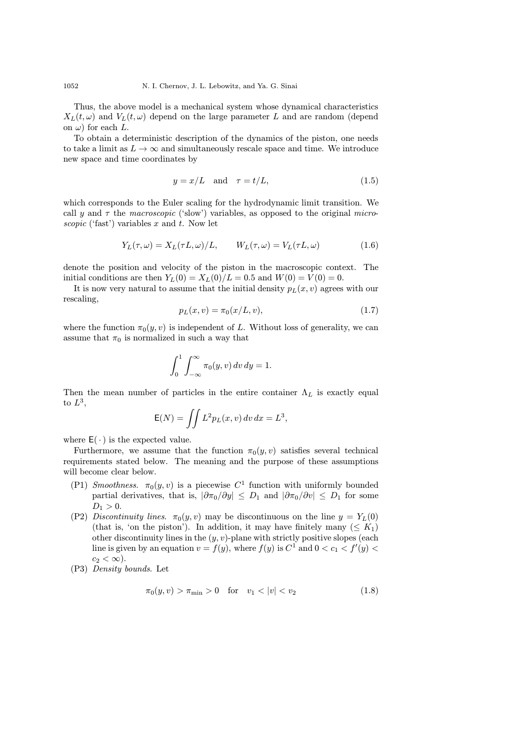Thus, the above model is a mechanical system whose dynamical characteristics  $X_L(t, \omega)$  and  $V_L(t, \omega)$  depend on the large parameter L and are random (depend on  $\omega$ ) for each L.

To obtain a deterministic description of the dynamics of the piston, one needs to take a limit as  $L \to \infty$  and simultaneously rescale space and time. We introduce new space and time coordinates by

$$
y = x/L \quad \text{and} \quad \tau = t/L,\tag{1.5}
$$

which corresponds to the Euler scaling for the hydrodynamic limit transition. We call y and  $\tau$  the macroscopic ('slow') variables, as opposed to the original microscopic ('fast') variables x and t. Now let

$$
Y_L(\tau, \omega) = X_L(\tau L, \omega)/L, \qquad W_L(\tau, \omega) = V_L(\tau L, \omega) \tag{1.6}
$$

denote the position and velocity of the piston in the macroscopic context. The initial conditions are then  $Y_L(0) = X_L(0)/L = 0.5$  and  $W(0) = V(0) = 0$ .

It is now very natural to assume that the initial density  $p_L(x, v)$  agrees with our rescaling,

$$
p_L(x, v) = \pi_0(x/L, v), \tag{1.7}
$$

where the function  $\pi_0(y, v)$  is independent of L. Without loss of generality, we can assume that  $\pi_0$  is normalized in such a way that

$$
\int_0^1 \int_{-\infty}^\infty \pi_0(y, v) dv dy = 1.
$$

Then the mean number of particles in the entire container  $\Lambda_L$  is exactly equal to  $L^3$ ,

$$
\mathsf{E}(N) = \iint L^2 p_L(x, v) \, dv \, dx = L^3,
$$

where  $E(\cdot)$  is the expected value.

Furthermore, we assume that the function  $\pi_0(y, v)$  satisfies several technical requirements stated below. The meaning and the purpose of these assumptions will become clear below.

- (P1) Smoothness.  $\pi_0(y, v)$  is a piecewise  $C^1$  function with uniformly bounded partial derivatives, that is,  $|\partial \pi_0/\partial y| \leq D_1$  and  $|\partial \pi_0/\partial v| \leq D_1$  for some  $D_1 > 0.$
- (P2) Discontinuity lines.  $\pi_0(y, v)$  may be discontinuous on the line  $y = Y_L(0)$ (that is, 'on the piston'). In addition, it may have finitely many  $(< K_1$ ) other discontinuity lines in the  $(y, v)$ -plane with strictly positive slopes (each line is given by an equation  $v = f(y)$ , where  $f(y)$  is  $C^1$  and  $0 < c_1 < f'(y) <$  $c_2 < \infty$ ).
- (P3) Density bounds. Let

$$
\pi_0(y, v) > \pi_{\min} > 0 \quad \text{for} \quad v_1 < |v| < v_2 \tag{1.8}
$$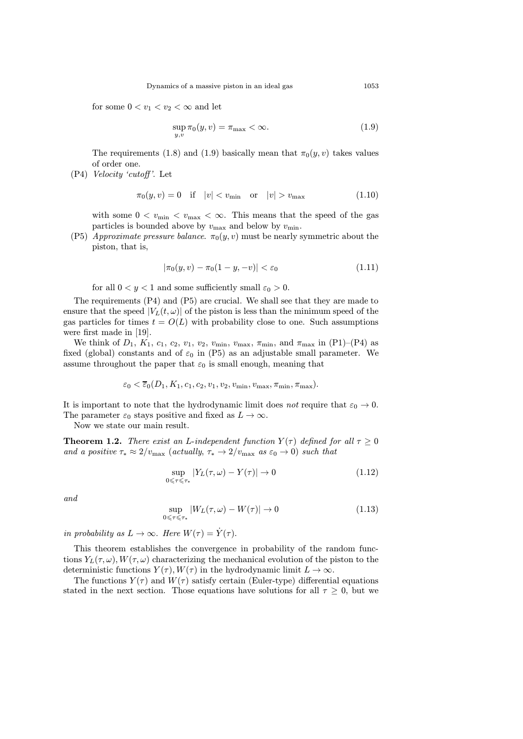for some  $0 < v_1 < v_2 < \infty$  and let

$$
\sup_{y,v} \pi_0(y,v) = \pi_{\max} < \infty. \tag{1.9}
$$

The requirements (1.8) and (1.9) basically mean that  $\pi_0(y, v)$  takes values of order one.

(P4) Velocity 'cutoff '. Let

$$
\pi_0(y, v) = 0 \quad \text{if} \quad |v| < v_{\text{min}} \quad \text{or} \quad |v| > v_{\text{max}} \tag{1.10}
$$

with some  $0 < v_{\text{min}} < v_{\text{max}} < \infty$ . This means that the speed of the gas particles is bounded above by  $v_{\text{max}}$  and below by  $v_{\text{min}}$ .

(P5) Approximate pressure balance.  $\pi_0(y, v)$  must be nearly symmetric about the piston, that is,

$$
|\pi_0(y, v) - \pi_0(1 - y, -v)| < \varepsilon_0 \tag{1.11}
$$

for all  $0 < y < 1$  and some sufficiently small  $\varepsilon_0 > 0$ .

The requirements (P4) and (P5) are crucial. We shall see that they are made to ensure that the speed  $|V_L(t, \omega)|$  of the piston is less than the minimum speed of the gas particles for times  $t = O(L)$  with probability close to one. Such assumptions were first made in [\[19\].](#page-80-0)

We think of  $D_1$ ,  $K_1$ ,  $c_1$ ,  $c_2$ ,  $v_1$ ,  $v_2$ ,  $v_{\min}$ ,  $v_{\max}$ ,  $\pi_{\min}$ , and  $\pi_{\max}$  in (P1)–(P4) as fixed (global) constants and of  $\varepsilon_0$  in (P5) as an adjustable small parameter. We assume throughout the paper that  $\varepsilon_0$  is small enough, meaning that

$$
\varepsilon_0 < \overline{\varepsilon}_0(D_1, K_1, c_1, c_2, v_1, v_2, v_{\min}, v_{\max}, \pi_{\min}, \pi_{\max}).
$$

It is important to note that the hydrodynamic limit does not require that  $\varepsilon_0 \to 0$ . The parameter  $\varepsilon_0$  stays positive and fixed as  $L \to \infty$ .

Now we state our main result.

**Theorem 1.2.** There exist an L-independent function  $Y(\tau)$  defined for all  $\tau \geq 0$ and a positive  $\tau_* \approx 2/v_{\text{max}}$  (actually,  $\tau_* \to 2/v_{\text{max}}$  as  $\varepsilon_0 \to 0$ ) such that

$$
\sup_{0 \leq \tau \leq \tau_*} |Y_L(\tau, \omega) - Y(\tau)| \to 0 \tag{1.12}
$$

and

$$
\sup_{0 \leq \tau \leq \tau_*} |W_L(\tau, \omega) - W(\tau)| \to 0 \tag{1.13}
$$

in probability as  $L \to \infty$ . Here  $W(\tau) = \dot{Y}(\tau)$ .

This theorem establishes the convergence in probability of the random functions  $Y_L(\tau,\omega), W(\tau,\omega)$  characterizing the mechanical evolution of the piston to the deterministic functions  $Y(\tau)$ ,  $W(\tau)$  in the hydrodynamic limit  $L \to \infty$ .

The functions  $Y(\tau)$  and  $W(\tau)$  satisfy certain (Euler-type) differential equations stated in the next section. Those equations have solutions for all  $\tau \geq 0$ , but we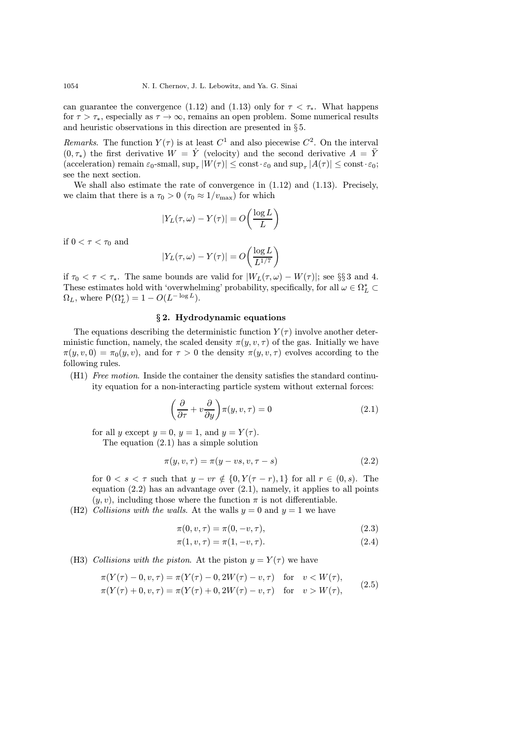can guarantee the convergence (1.12) and (1.13) only for  $\tau < \tau_*$ . What happens for  $\tau > \tau_*$ , especially as  $\tau \to \infty$ , remains an open problem. Some numerical results and heuristic observations in this direction are presented in § 5.

Remarks. The function  $Y(\tau)$  is at least  $C^1$  and also piecewise  $C^2$ . On the interval  $(0, \tau_*)$  the first derivative  $W = \dot{Y}$  (velocity) and the second derivative  $A = \ddot{Y}$ (acceleration) remain  $\varepsilon_0$ -small,  $\sup_{\tau} |W(\tau)| \leq \text{const} \cdot \varepsilon_0$  and  $\sup_{\tau} |A(\tau)| \leq \text{const} \cdot \varepsilon_0$ ; see the next section.

We shall also estimate the rate of convergence in (1.12) and (1.13). Precisely, we claim that there is a  $\tau_0 > 0$  ( $\tau_0 \approx 1/v_{\text{max}}$ ) for which

$$
|Y_L(\tau,\omega) - Y(\tau)| = O\left(\frac{\log L}{L}\right)
$$

if  $0 < \tau < \tau_0$  and

$$
|Y_L(\tau,\omega) - Y(\tau)| = O\left(\frac{\log L}{L^{1/7}}\right)
$$

if  $\tau_0 < \tau < \tau_*$ . The same bounds are valid for  $|W_L(\tau,\omega) - W(\tau)|$ ; see §§ 3 and 4. These estimates hold with 'overwhelming' probability, specifically, for all  $\omega\in\Omega^*_L\subset$  $\Omega_L$ , where  $P(\Omega_L^*)=1-O(L^{-\log L}).$ 

### § 2. Hydrodynamic equations

The equations describing the deterministic function  $Y(\tau)$  involve another deterministic function, namely, the scaled density  $\pi(y, v, \tau)$  of the gas. Initially we have  $\pi(y, v, 0) = \pi_0(y, v)$ , and for  $\tau > 0$  the density  $\pi(y, v, \tau)$  evolves according to the following rules.

(H1) Free motion. Inside the container the density satisfies the standard continuity equation for a non-interacting particle system without external forces:

$$
\left(\frac{\partial}{\partial \tau} + v \frac{\partial}{\partial y}\right) \pi(y, v, \tau) = 0 \tag{2.1}
$$

for all y except  $y = 0$ ,  $y = 1$ , and  $y = Y(\tau)$ . The equation (2.1) has a simple solution

$$
\pi(y, v, \tau) = \pi(y - vs, v, \tau - s) \tag{2.2}
$$

for  $0 < s < \tau$  such that  $y - vr \notin \{0, Y(\tau - r), 1\}$  for all  $r \in (0, s)$ . The equation  $(2.2)$  has an advantage over  $(2.1)$ , namely, it applies to all points  $(y, v)$ , including those where the function  $\pi$  is not differentiable.

(H2) Collisions with the walls. At the walls  $y = 0$  and  $y = 1$  we have

$$
\pi(0, v, \tau) = \pi(0, -v, \tau), \tag{2.3}
$$

$$
\pi(1, v, \tau) = \pi(1, -v, \tau). \tag{2.4}
$$

(H3) Collisions with the piston. At the piston  $y = Y(\tau)$  we have

$$
\pi(Y(\tau) - 0, v, \tau) = \pi(Y(\tau) - 0, 2W(\tau) - v, \tau) \quad \text{for} \quad v < W(\tau),
$$
\n
$$
\pi(Y(\tau) + 0, v, \tau) = \pi(Y(\tau) + 0, 2W(\tau) - v, \tau) \quad \text{for} \quad v > W(\tau), \tag{2.5}
$$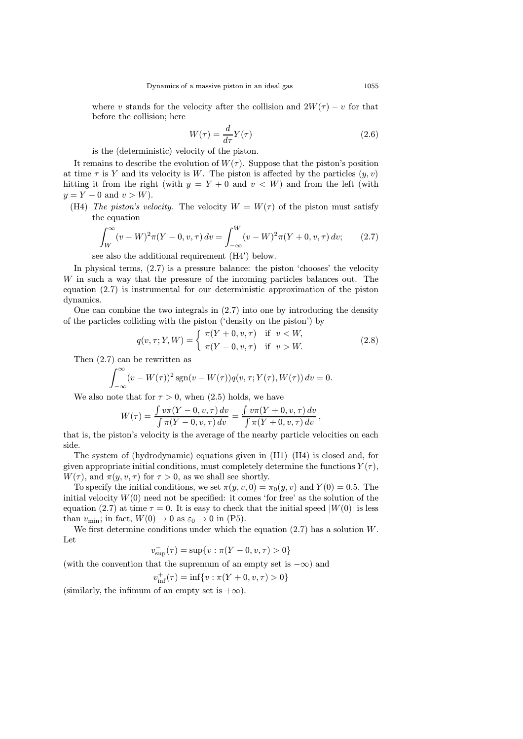where v stands for the velocity after the collision and  $2W(\tau) - v$  for that before the collision; here

$$
W(\tau) = \frac{d}{d\tau}Y(\tau) \tag{2.6}
$$

is the (deterministic) velocity of the piston.

It remains to describe the evolution of  $W(\tau)$ . Suppose that the piston's position at time  $\tau$  is Y and its velocity is W. The piston is affected by the particles  $(y, v)$ hitting it from the right (with  $y = Y + 0$  and  $v < W$ ) and from the left (with  $y = Y - 0$  and  $v > W$ ).

(H4) The piston's velocity. The velocity  $W = W(\tau)$  of the piston must satisfy the equation

$$
\int_{W}^{\infty} (v - W)^2 \pi (Y - 0, v, \tau) dv = \int_{-\infty}^{W} (v - W)^2 \pi (Y + 0, v, \tau) dv; \qquad (2.7)
$$

see also the additional requirement  $(H4')$  below.

In physical terms, (2.7) is a pressure balance: the piston 'chooses' the velocity W in such a way that the pressure of the incoming particles balances out. The equation (2.7) is instrumental for our deterministic approximation of the piston dynamics.

One can combine the two integrals in (2.7) into one by introducing the density of the particles colliding with the piston ('density on the piston') by

$$
q(v, \tau; Y, W) = \begin{cases} \pi(Y + 0, v, \tau) & \text{if } v < W, \\ \pi(Y - 0, v, \tau) & \text{if } v > W. \end{cases}
$$
 (2.8)

Then (2.7) can be rewritten as

$$
\int_{-\infty}^{\infty} (v - W(\tau))^2 \operatorname{sgn}(v - W(\tau)) q(v, \tau; Y(\tau), W(\tau)) dv = 0.
$$

We also note that for  $\tau > 0$ , when (2.5) holds, we have

$$
W(\tau) = \frac{\int v\pi(Y - 0, v, \tau) dv}{\int \pi(Y - 0, v, \tau) dv} = \frac{\int v\pi(Y + 0, v, \tau) dv}{\int \pi(Y + 0, v, \tau) dv},
$$

that is, the piston's velocity is the average of the nearby particle velocities on each side.

The system of (hydrodynamic) equations given in (H1)–(H4) is closed and, for given appropriate initial conditions, must completely determine the functions  $Y(\tau)$ ,  $W(\tau)$ , and  $\pi(y, v, \tau)$  for  $\tau > 0$ , as we shall see shortly.

To specify the initial conditions, we set  $\pi(y, v, 0) = \pi_0(y, v)$  and  $Y(0) = 0.5$ . The initial velocity  $W(0)$  need not be specified: it comes 'for free' as the solution of the equation (2.7) at time  $\tau = 0$ . It is easy to check that the initial speed  $|W(0)|$  is less than  $v_{\min}$ ; in fact,  $W(0) \rightarrow 0$  as  $\varepsilon_0 \rightarrow 0$  in (P5).

We first determine conditions under which the equation  $(2.7)$  has a solution W. Let

$$
v_{\sup}^-(\tau) = \sup\{v : \pi(Y - 0, v, \tau) > 0\}
$$

(with the convention that the supremum of an empty set is  $-\infty$ ) and

$$
v_{\inf}^+(\tau) = \inf\{v : \pi(Y + 0, v, \tau) > 0\}
$$

(similarly, the infimum of an empty set is  $+\infty$ ).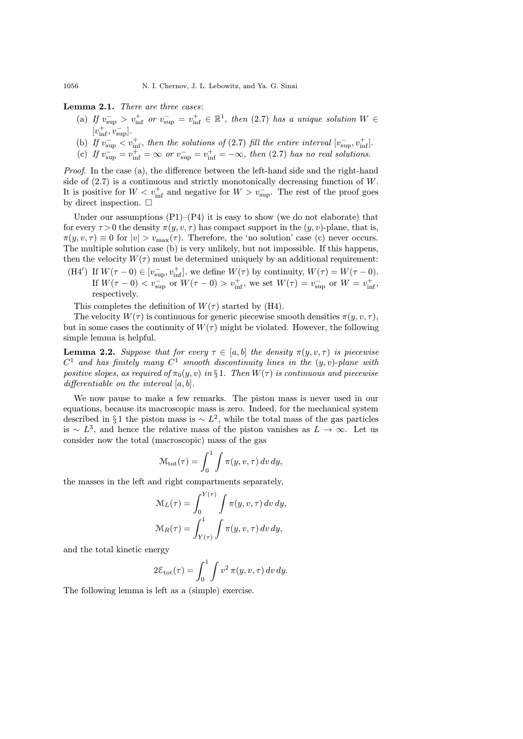Lemma 2.1. There are three cases:

- (a) If  $v_{\text{sup}}^- > v_{\text{inf}}^+$  or  $v_{\text{sup}}^- = v_{\text{inf}}^+ \in \mathbb{R}^1$ , then (2.7) has a unique solution  $W \in$  $[v_{\rm inf}^+, v_{\rm sup}^-].$
- (b) If  $v_{\rm sup}^- < v_{\rm inf}^+$ , then the solutions of (2.7) fill the entire interval  $[v_{\rm sup}^-, v_{\rm inf}^+]$ .
- (c) If  $v_{\text{sup}}^- = v_{\text{inf}}^+ = \infty$  or  $v_{\text{sup}}^- = v_{\text{inf}}^+ = -\infty$ , then (2.7) has no real solutions.

Proof. In the case (a), the difference between the left-hand side and the right-hand side of  $(2.7)$  is a continuous and strictly monotonically decreasing function of W. It is positive for  $W < v<sub>inf</sub><sup>+</sup>$  and negative for  $W > v<sub>sup</sub><sup>-</sup>$ . The rest of the proof goes by direct inspection.  $\Box$ 

Under our assumptions  $(P1)$ – $(P4)$  it is easy to show (we do not elaborate) that for every  $\tau > 0$  the density  $\pi(y, v, \tau)$  has compact support in the  $(y, v)$ -plane, that is,  $\pi(y, v, \tau) \equiv 0$  for  $|v| > v_{\text{max}}(\tau)$ . Therefore, the 'no solution' case (c) never occurs. The multiple solution case (b) is very unlikely, but not impossible. If this happens, then the velocity  $W(\tau)$  must be determined uniquely by an additional requirement:

(H4') If  $W(\tau - 0) \in [v_{\rm sup}^-, v_{\rm inf}^+]$ , we define  $W(\tau)$  by continuity,  $W(\tau) = W(\tau - 0)$ . If  $W(\tau - 0) < v_{\text{sup}}^{\text{-}}$  or  $W(\tau - 0) > v_{\text{inf}}^{\text{+}}$ , we set  $W(\tau) = v_{\text{sup}}^{\text{-}}$  or  $W = v_{\text{inf}}^{\text{+}}$ , respectively.

This completes the definition of  $W(\tau)$  started by (H4).

The velocity  $W(\tau)$  is continuous for generic piecewise smooth densities  $\pi(y, v, \tau)$ , but in some cases the continuity of  $W(\tau)$  might be violated. However, the following simple lemma is helpful.

**Lemma 2.2.** Suppose that for every  $\tau \in [a, b]$  the density  $\pi(y, y, \tau)$  is piecewise  $C^1$  and has finitely many  $C^1$  smooth discontinuity lines in the  $(y, v)$ -plane with positive slopes, as required of  $\pi_0(y, v)$  in § 1. Then  $W(\tau)$  is continuous and piecewise differentiable on the interval [a, b].

We now pause to make a few remarks. The piston mass is never used in our equations, because its macroscopic mass is zero. Indeed, for the mechanical system described in §1 the piston mass is  $\sim L^2$ , while the total mass of the gas particles is ~  $L^3$ , and hence the relative mass of the piston vanishes as  $L \to \infty$ . Let us consider now the total (macroscopic) mass of the gas

$$
\mathcal{M}_{\text{tot}}(\tau) = \int_0^1 \int \pi(y, v, \tau) \, dv \, dy,
$$

the masses in the left and right compartments separately,

$$
\mathcal{M}_L(\tau) = \int_0^{Y(\tau)} \int \pi(y, v, \tau) dv dy,
$$
  

$$
\mathcal{M}_R(\tau) = \int_{Y(\tau)}^1 \int \pi(y, v, \tau) dv dy,
$$

and the total kinetic energy

$$
2\mathcal{E}_{\text{tot}}(\tau) = \int_0^1 \int v^2 \,\pi(y, v, \tau) \,dv \,dy.
$$

The following lemma is left as a (simple) exercise.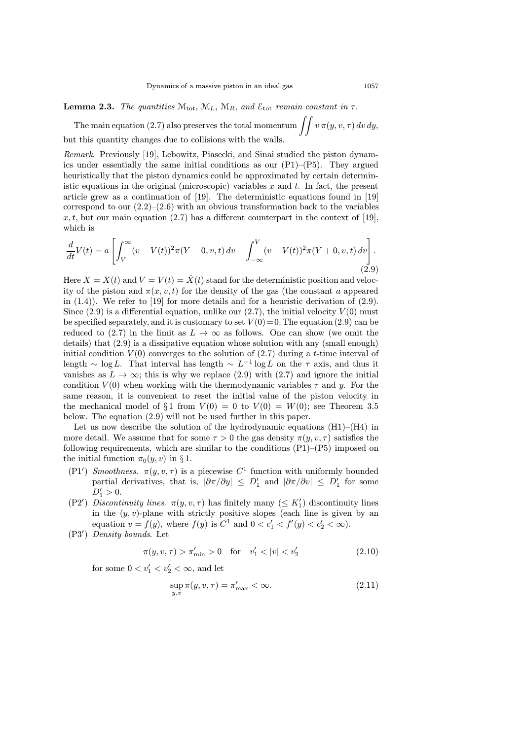**Lemma 2.3.** The quantities  $\mathcal{M}_{\text{tot}}$ ,  $\mathcal{M}_L$ ,  $\mathcal{M}_R$ , and  $\mathcal{E}_{\text{tot}}$  remain constant in  $\tau$ .

The main equation (2.7) also preserves the total momentum  $\iint v \pi(y, v, \tau) dv dy$ , but this quantity changes due to collisions with the walls.

Remark. Previously [\[19\],](#page-80-0) Lebowitz, Piasecki, and Sinai studied the piston dynamics under essentially the same initial conditions as our  $(P1)$ – $(P5)$ . They argued heuristically that the piston dynamics could be approximated by certain deterministic equations in the original (microscopic) variables  $x$  and  $t$ . In fact, the present article grew as a continuation of [\[19\].](#page-80-0) The deterministic equations found in [\[19\]](#page-80-0) correspond to our  $(2.2)$ – $(2.6)$  with an obvious transformation back to the variables  $x, t$ , but our main equation (2.7) has a different counterpart in the context of [\[19\],](#page-80-0) which is

$$
\frac{d}{dt}V(t) = a \left[ \int_V^{\infty} (v - V(t))^2 \pi (Y - 0, v, t) dv - \int_{-\infty}^V (v - V(t))^2 \pi (Y + 0, v, t) dv \right].
$$
\n(2.9)

Here  $X = X(t)$  and  $V = V(t) = \dot{X}(t)$  stand for the deterministic position and velocity of the piston and  $\pi(x, y, t)$  for the density of the gas (the constant a appeared in  $(1.4)$ ). We refer to [\[19\]](#page-80-0) for more details and for a heuristic derivation of  $(2.9)$ . Since  $(2.9)$  is a differential equation, unlike our  $(2.7)$ , the initial velocity  $V(0)$  must be specified separately, and it is customary to set  $V(0)=0$ . The equation (2.9) can be reduced to (2.7) in the limit as  $L \to \infty$  as follows. One can show (we omit the details) that (2.9) is a dissipative equation whose solution with any (small enough) initial condition  $V(0)$  converges to the solution of (2.7) during a t-time interval of length  $\sim \log L$ . That interval has length  $\sim L^{-1} \log L$  on the  $\tau$  axis, and thus it vanishes as  $L \to \infty$ ; this is why we replace (2.9) with (2.7) and ignore the initial condition  $V(0)$  when working with the thermodynamic variables  $\tau$  and y. For the same reason, it is convenient to reset the initial value of the piston velocity in the mechanical model of §1 from  $V(0) = 0$  to  $V(0) = W(0)$ ; see Theorem 3.5 below. The equation (2.9) will not be used further in this paper.

Let us now describe the solution of the hydrodynamic equations (H1)–(H4) in more detail. We assume that for some  $\tau > 0$  the gas density  $\pi(y, v, \tau)$  satisfies the following requirements, which are similar to the conditions  $(P1)$ – $(P5)$  imposed on the initial function  $\pi_0(y, v)$  in § 1.

- (P1') Smoothness.  $\pi(y, v, \tau)$  is a piecewise  $C^1$  function with uniformly bounded partial derivatives, that is,  $|\partial \pi/\partial y| \le D'_1$  and  $|\partial \pi/\partial v| \le D'_1$  for some  $D'_1 > 0.$
- (P2') Discontinuity lines.  $\pi(y, v, \tau)$  has finitely many  $(\leq K'_1)$  discontinuity lines in the  $(y, v)$ -plane with strictly positive slopes (each line is given by an equation  $v = f(y)$ , where  $f(y)$  is  $C^1$  and  $0 < c'_1 < f'(y) < c'_2 < \infty$ ).
- (P3 ) Density bounds. Let

$$
\pi(y, v, \tau) > \pi'_{\min} > 0 \quad \text{for} \quad v'_1 < |v| < v'_2 \tag{2.10}
$$

for some  $0 < v'_1 < v'_2 < \infty$ , and let

$$
\sup_{y,v} \pi(y,v,\tau) = \pi'_{\max} < \infty. \tag{2.11}
$$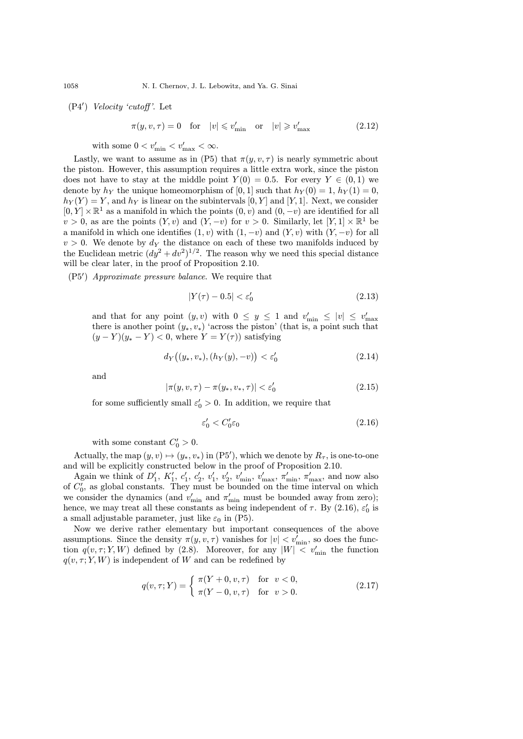(P4 ) Velocity 'cutoff '. Let

$$
\pi(y, v, \tau) = 0 \quad \text{for} \quad |v| \leqslant v_{\text{min}}' \quad \text{or} \quad |v| \geqslant v_{\text{max}}' \tag{2.12}
$$

with some  $0 < v'_{\text{min}} < v'_{\text{max}} < \infty$ .

Lastly, we want to assume as in (P5) that  $\pi(y, v, \tau)$  is nearly symmetric about the piston. However, this assumption requires a little extra work, since the piston does not have to stay at the middle point  $Y(0) = 0.5$ . For every  $Y \in (0,1)$  we denote by  $h_Y$  the unique homeomorphism of [0, 1] such that  $h_Y(0) = 1$ ,  $h_Y(1) = 0$ ,  $h_Y(Y) = Y$ , and  $h_Y$  is linear on the subintervals [0, Y] and [Y, 1]. Next, we consider  $[0, Y] \times \mathbb{R}^1$  as a manifold in which the points  $(0, v)$  and  $(0, -v)$  are identified for all  $v > 0$ , as are the points  $(Y, v)$  and  $(Y, -v)$  for  $v > 0$ . Similarly, let  $[Y, 1] \times \mathbb{R}^1$  be a manifold in which one identifies  $(1, v)$  with  $(1, -v)$  and  $(Y, v)$  with  $(Y, -v)$  for all  $v > 0$ . We denote by  $d_Y$  the distance on each of these two manifolds induced by the Euclidean metric  $\left(dy^2 + dv^2\right)^{1/2}$ . The reason why we need this special distance will be clear later, in the proof of Proposition 2.10.

(P5 ) Approximate pressure balance. We require that

$$
|Y(\tau) - 0.5| < \varepsilon_0' \tag{2.13}
$$

and that for any point  $(y, v)$  with  $0 \le y \le 1$  and  $v'_{\min} \le |v| \le v'_{\max}$ there is another point  $(y_*, v_*)$  'across the piston' (that is, a point such that  $(y - Y)(y^* - Y) < 0$ , where  $Y = Y(\tau)$  satisfying

$$
d_Y((y_*,v_*), (h_Y(y),-v)) < \varepsilon'_0
$$
\n(2.14)

and

$$
|\pi(y, v, \tau) - \pi(y_*, v_*, \tau)| < \varepsilon_0' \tag{2.15}
$$

for some sufficiently small  $\varepsilon'_0 > 0$ . In addition, we require that

$$
\varepsilon_0' < C_0' \varepsilon_0 \tag{2.16}
$$

with some constant  $C'_0 > 0$ .

Actually, the map  $(y, v) \mapsto (y_*, v_*)$  in (P5'), which we denote by  $R_{\tau}$ , is one-to-one and will be explicitly constructed below in the proof of Proposition 2.10.

Again we think of  $D'_1$ ,  $K'_1$ ,  $c'_1$ ,  $c'_2$ ,  $v'_1$ ,  $v'_2$ ,  $v'_{\min}$ ,  $v'_{\max}$ ,  $\pi'_{\min}$ ,  $\pi'_{\max}$ , and now also of  $C'_0$ , as global constants. They must be bounded on the time interval on which we consider the dynamics (and  $v'_{\text{min}}$  and  $\pi'_{\text{min}}$  must be bounded away from zero); hence, we may treat all these constants as being independent of  $\tau$ . By (2.16),  $\varepsilon'_0$  is a small adjustable parameter, just like  $\varepsilon_0$  in (P5).

Now we derive rather elementary but important consequences of the above assumptions. Since the density  $\pi(y, v, \tau)$  vanishes for  $|v| < v'_{\min}$ , so does the function  $q(v, \tau; Y, W)$  defined by (2.8). Moreover, for any  $|W| < v'_{\min}$  the function  $q(v, \tau; Y, W)$  is independent of W and can be redefined by

$$
q(v,\tau;Y) = \begin{cases} \pi(Y+0,v,\tau) & \text{for } v < 0, \\ \pi(Y-0,v,\tau) & \text{for } v > 0. \end{cases}
$$
 (2.17)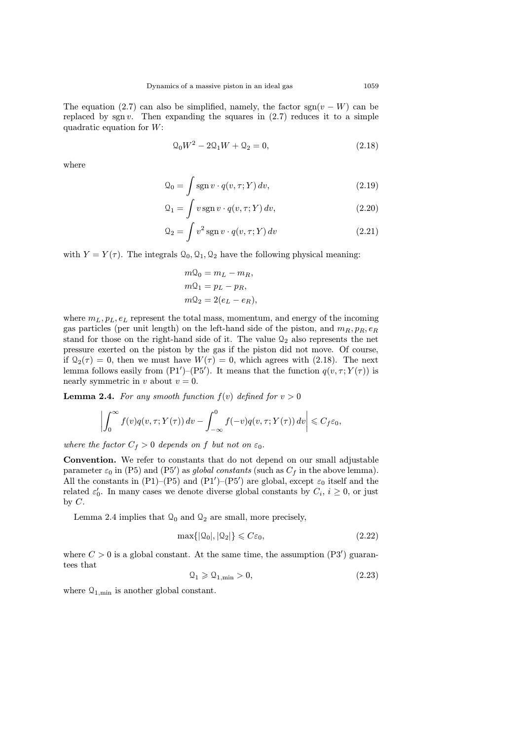The equation (2.7) can also be simplified, namely, the factor sgn( $v - W$ ) can be replaced by sgn  $v$ . Then expanding the squares in  $(2.7)$  reduces it to a simple quadratic equation for W:

$$
\mathcal{Q}_0 W^2 - 2\mathcal{Q}_1 W + \mathcal{Q}_2 = 0, \tag{2.18}
$$

where

$$
\mathcal{Q}_0 = \int \operatorname{sgn} v \cdot q(v, \tau; Y) dv,
$$
\n(2.19)

$$
\mathcal{Q}_1 = \int v \operatorname{sgn} v \cdot q(v, \tau; Y) dv,
$$
\n(2.20)

$$
\mathcal{Q}_2 = \int v^2 \operatorname{sgn} v \cdot q(v, \tau; Y) dv \qquad (2.21)
$$

with  $Y = Y(\tau)$ . The integrals  $\mathcal{Q}_0, \mathcal{Q}_1, \mathcal{Q}_2$  have the following physical meaning:

$$
m\mathcal{Q}_0 = m_L - m_R,
$$
  
\n
$$
m\mathcal{Q}_1 = p_L - p_R,
$$
  
\n
$$
m\mathcal{Q}_2 = 2(e_L - e_R),
$$

where  $m_L, p_L, e_L$  represent the total mass, momentum, and energy of the incoming gas particles (per unit length) on the left-hand side of the piston, and  $m_R, p_R, e_R$ stand for those on the right-hand side of it. The value  $\mathcal{Q}_2$  also represents the net pressure exerted on the piston by the gas if the piston did not move. Of course, if  $\mathcal{Q}_2(\tau) = 0$ , then we must have  $W(\tau) = 0$ , which agrees with (2.18). The next lemma follows easily from (P1')–(P5'). It means that the function  $q(v, \tau; Y(\tau))$  is nearly symmetric in v about  $v = 0$ .

**Lemma 2.4.** For any smooth function  $f(v)$  defined for  $v > 0$ 

$$
\left|\int_0^\infty f(v)q(v,\tau;Y(\tau))\,dv - \int_{-\infty}^0 f(-v)q(v,\tau;Y(\tau))\,dv\right| \leqslant C_f\varepsilon_0,
$$

where the factor  $C_f > 0$  depends on f but not on  $\varepsilon_0$ .

Convention. We refer to constants that do not depend on our small adjustable parameter  $\varepsilon_0$  in (P5) and (P5') as global constants (such as  $C_f$  in the above lemma). All the constants in  $(P1)$ – $(P5)$  and  $(P1')$ – $(P5')$  are global, except  $\varepsilon_0$  itself and the related  $\varepsilon'_0$ . In many cases we denote diverse global constants by  $C_i$ ,  $i \geq 0$ , or just by  $C$ .

Lemma 2.4 implies that  $\mathcal{Q}_0$  and  $\mathcal{Q}_2$  are small, more precisely,

$$
\max\{|\Omega_0|, |\Omega_2|\} \leqslant C\varepsilon_0,\tag{2.22}
$$

where  $C > 0$  is a global constant. At the same time, the assumption  $(P3')$  guarantees that

$$
\Omega_1 \geqslant \Omega_{1,\min} > 0,\tag{2.23}
$$

where  $Q_{1,\text{min}}$  is another global constant.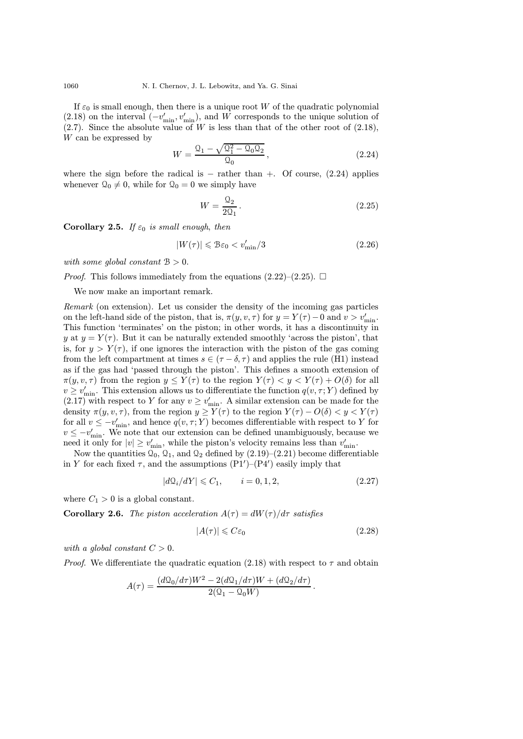If  $\varepsilon_0$  is small enough, then there is a unique root W of the quadratic polynomial (2.18) on the interval  $(-v'_{\min}, v'_{\min})$ , and W corresponds to the unique solution of  $(2.7)$ . Since the absolute value of W is less than that of the other root of  $(2.18)$ , W can be expressed by

$$
W = \frac{\mathcal{Q}_1 - \sqrt{\mathcal{Q}_1^2 - \mathcal{Q}_0 \mathcal{Q}_2}}{\mathcal{Q}_0},\tag{2.24}
$$

where the sign before the radical is  $-$  rather than  $+$ . Of course, (2.24) applies whenever  $\mathcal{Q}_0 \neq 0$ , while for  $\mathcal{Q}_0 = 0$  we simply have

$$
W = \frac{Q_2}{2Q_1}.
$$
\n(2.25)

Corollary 2.5. If  $\varepsilon_0$  is small enough, then

$$
|W(\tau)| \leqslant B\varepsilon_0 < v_{\min}'/3\tag{2.26}
$$

with some global constant  $\mathcal{B} > 0$ .

*Proof.* This follows immediately from the equations  $(2.22)$ – $(2.25)$ .  $\Box$ 

We now make an important remark.

Remark (on extension). Let us consider the density of the incoming gas particles on the left-hand side of the piston, that is,  $\pi(y, v, \tau)$  for  $y = Y(\tau) - 0$  and  $v > v'_{\text{min}}$ . This function 'terminates' on the piston; in other words, it has a discontinuity in y at  $y = Y(\tau)$ . But it can be naturally extended smoothly 'across the piston', that is, for  $y > Y(\tau)$ , if one ignores the interaction with the piston of the gas coming from the left compartment at times  $s \in (\tau - \delta, \tau)$  and applies the rule (H1) instead as if the gas had 'passed through the piston'. This defines a smooth extension of  $\pi(y, v, \tau)$  from the region  $y \leq Y(\tau)$  to the region  $Y(\tau) < y < Y(\tau) + O(\delta)$  for all  $v \geq v'_{\min}$ . This extension allows us to differentiate the function  $q(v, \tau; Y)$  defined by (2.17) with respect to Y for any  $v \ge v'_{\min}$ . A similar extension can be made for the density  $\pi(y, v, \tau)$ , from the region  $y \geq Y(\tau)$  to the region  $Y(\tau) - O(\delta) < y < Y(\tau)$ for all  $v \le -v'_{\min}$ , and hence  $q(v, \tau; Y)$  becomes differentiable with respect to Y for  $v \le -v'_{\min}$ . We note that our extension can be defined unambiguously, because we need it only for  $|v| \ge v'_{\min}$ , while the piston's velocity remains less than  $v'_{\min}$ .

Now the quantities  $\mathcal{Q}_0$ ,  $\mathcal{Q}_1$ , and  $\mathcal{Q}_2$  defined by  $(2.19)-(2.21)$  become differentiable in Y for each fixed  $\tau$ , and the assumptions  $(P1')-(P4')$  easily imply that

$$
|d\Omega_i/dY| \leq C_1, \qquad i = 0, 1, 2,
$$
\n
$$
(2.27)
$$

where  $C_1 > 0$  is a global constant.

**Corollary 2.6.** The piston acceleration  $A(\tau) = dW(\tau)/d\tau$  satisfies

$$
|A(\tau)| \leqslant C\varepsilon_0\tag{2.28}
$$

with a global constant  $C > 0$ .

*Proof.* We differentiate the quadratic equation (2.18) with respect to  $\tau$  and obtain

$$
A(\tau) = \frac{(d\Omega_0/d\tau)W^2 - 2(d\Omega_1/d\tau)W + (d\Omega_2/d\tau)}{2(\Omega_1 - \Omega_0 W)}.
$$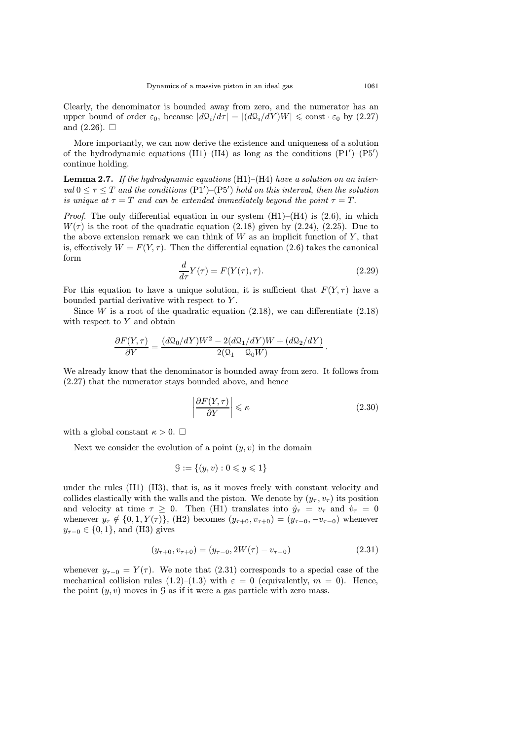Clearly, the denominator is bounded away from zero, and the numerator has an upper bound of order  $\varepsilon_0$ , because  $|d\Omega_i/d\tau| = |(d\Omega_i/dY)W| \leq \text{const} \cdot \varepsilon_0$  by  $(2.27)$ and  $(2.26)$ .  $\Box$ 

More importantly, we can now derive the existence and uniqueness of a solution of the hydrodynamic equations  $(H1)$ – $(H4)$  as long as the conditions  $(P1')$ – $(P5')$ continue holding.

**Lemma 2.7.** If the hydrodynamic equations  $(H1)$ – $(H4)$  have a solution on an interval  $0 \leq \tau \leq T$  and the conditions  $(PI')-(P5')$  hold on this interval, then the solution is unique at  $\tau = T$  and can be extended immediately beyond the point  $\tau = T$ .

*Proof.* The only differential equation in our system  $(H1)$ – $(H4)$  is  $(2.6)$ , in which  $W(\tau)$  is the root of the quadratic equation (2.18) given by (2.24), (2.25). Due to the above extension remark we can think of  $W$  as an implicit function of  $Y$ , that is, effectively  $W = F(Y, \tau)$ . Then the differential equation (2.6) takes the canonical form

$$
\frac{d}{d\tau}Y(\tau) = F(Y(\tau), \tau). \tag{2.29}
$$

For this equation to have a unique solution, it is sufficient that  $F(Y, \tau)$  have a bounded partial derivative with respect to Y .

Since  $W$  is a root of the quadratic equation (2.18), we can differentiate (2.18) with respect to Y and obtain

$$
\frac{\partial F(Y,\tau)}{\partial Y} = \frac{(d\mathfrak{Q}_0/dY)W^2 - 2(d\mathfrak{Q}_1/dY)W + (d\mathfrak{Q}_2/dY)}{2(\mathfrak{Q}_1 - \mathfrak{Q}_0W)}\,.
$$

We already know that the denominator is bounded away from zero. It follows from (2.27) that the numerator stays bounded above, and hence

$$
\left| \frac{\partial F(Y,\tau)}{\partial Y} \right| \leqslant \kappa \tag{2.30}
$$

with a global constant  $\kappa > 0$ .  $\Box$ 

Next we consider the evolution of a point  $(y, v)$  in the domain

$$
\mathcal{G} := \{(y, v) : 0 \leqslant y \leqslant 1\}
$$

under the rules  $(H1)$ – $(H3)$ , that is, as it moves freely with constant velocity and collides elastically with the walls and the piston. We denote by  $(y_\tau, v_\tau)$  its position and velocity at time  $\tau \geq 0$ . Then (H1) translates into  $\dot{y}_{\tau} = v_{\tau}$  and  $\dot{v}_{\tau} = 0$ whenever  $y_{\tau} \notin \{0, 1, Y(\tau)\},$  (H2) becomes  $(y_{\tau+0}, v_{\tau+0})=(y_{\tau-0}, -v_{\tau-0})$  whenever  $y_{\tau-0} \in \{0, 1\}$ , and (H3) gives

$$
(y_{\tau+0}, v_{\tau+0}) = (y_{\tau-0}, 2W(\tau) - v_{\tau-0})
$$
\n(2.31)

whenever  $y_{\tau-0} = Y(\tau)$ . We note that (2.31) corresponds to a special case of the mechanical collision rules (1.2)–(1.3) with  $\varepsilon = 0$  (equivalently,  $m = 0$ ). Hence, the point  $(y, v)$  moves in G as if it were a gas particle with zero mass.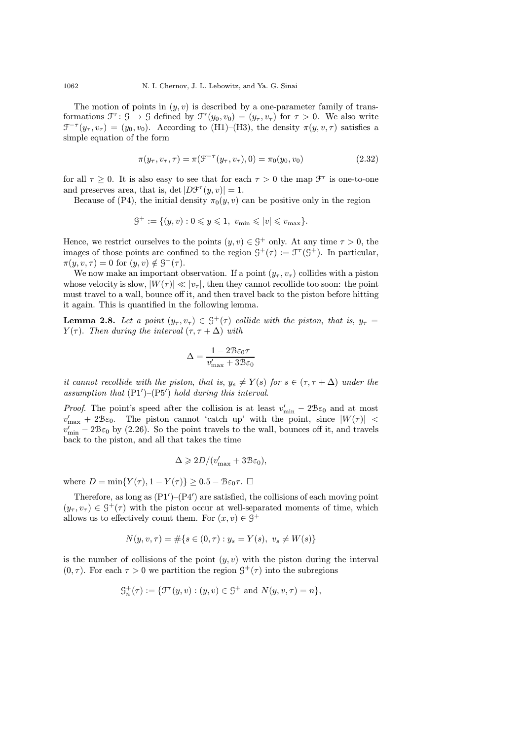The motion of points in  $(y, v)$  is described by a one-parameter family of transformations  $\mathcal{F}^{\tau}$ :  $\mathcal{G} \to \mathcal{G}$  defined by  $\mathcal{F}^{\tau}(y_0, v_0)=(y_{\tau}, v_{\tau})$  for  $\tau > 0$ . We also write  $\mathcal{F}^{-\tau}(y_\tau, v_\tau) = (y_0, v_0)$ . According to (H1)–(H3), the density  $\pi(y, v, \tau)$  satisfies a simple equation of the form

$$
\pi(y_{\tau}, v_{\tau}, \tau) = \pi(\mathcal{F}^{-\tau}(y_{\tau}, v_{\tau}), 0) = \pi_0(y_0, v_0)
$$
\n(2.32)

for all  $\tau > 0$ . It is also easy to see that for each  $\tau > 0$  the map  $\mathcal{F}^{\tau}$  is one-to-one and preserves area, that is,  $\det|D\mathcal{F}^{\tau}(y, v)| = 1$ .

Because of (P4), the initial density  $\pi_0(y, v)$  can be positive only in the region

$$
\mathcal{G}^+ := \{ (y, v) : 0 \leq y \leq 1, \ v_{\min} \leq |v| \leq v_{\max} \}.
$$

Hence, we restrict ourselves to the points  $(y, v) \in \mathcal{G}^+$  only. At any time  $\tau > 0$ , the images of those points are confined to the region  $\mathcal{G}^+(\tau) := \mathcal{F}^{\tau}(\mathcal{G}^+)$ . In particular,  $\pi(y, v, \tau) = 0$  for  $(y, v) \notin \mathcal{G}^+(\tau)$ .

We now make an important observation. If a point  $(y_\tau, v_\tau)$  collides with a piston whose velocity is slow,  $|W(\tau)| \ll |v_\tau|$ , then they cannot recollide too soon: the point must travel to a wall, bounce off it, and then travel back to the piston before hitting it again. This is quantified in the following lemma.

**Lemma 2.8.** Let a point  $(y_\tau, v_\tau) \in \mathcal{G}^+(\tau)$  collide with the piston, that is,  $y_\tau =$  $Y(\tau)$ . Then during the interval  $(\tau, \tau + \Delta)$  with

$$
\Delta=\frac{1-2\mathcal{B}\varepsilon_0\tau}{v'_{\max}+3\mathcal{B}\varepsilon_0}
$$

it cannot recollide with the piston, that is,  $y_s \neq Y(s)$  for  $s \in (\tau, \tau + \Delta)$  under the assumption that  $(PI')-(P5')$  hold during this interval.

*Proof.* The point's speed after the collision is at least  $v'_{\text{min}} - 2\mathcal{B}\varepsilon_0$  and at most  $v'_{\text{max}} + 2\mathcal{B}\varepsilon_0$ . The piston cannot 'catch up' with the point, since  $|W(\tau)|$  <  $v'_{\rm min} - 2\mathcal{B}\varepsilon_0$  by (2.26). So the point travels to the wall, bounces off it, and travels back to the piston, and all that takes the time

$$
\Delta \geqslant 2D/(v'_{\rm max}+3\mathcal{B}\varepsilon_0),
$$

where  $D = \min\{Y(\tau), 1 - Y(\tau)\} \geq 0.5 - \mathcal{B}\varepsilon_0 \tau$ .

Therefore, as long as  $(P1')-(P4')$  are satisfied, the collisions of each moving point  $(y_\tau, v_\tau) \in \mathcal{G}^+(\tau)$  with the piston occur at well-separated moments of time, which allows us to effectively count them. For  $(x, v) \in \mathcal{G}^+$ 

$$
N(y, v, \tau) = \#\{s \in (0, \tau) : y_s = Y(s), \ v_s \neq W(s)\}\
$$

is the number of collisions of the point  $(y, v)$  with the piston during the interval  $(0, \tau)$ . For each  $\tau > 0$  we partition the region  $\mathcal{G}^+(\tau)$  into the subregions

$$
\mathcal{G}_n^+(\tau) := \{ \mathcal{F}^\tau(y, v) : (y, v) \in \mathcal{G}^+ \text{ and } N(y, v, \tau) = n \},
$$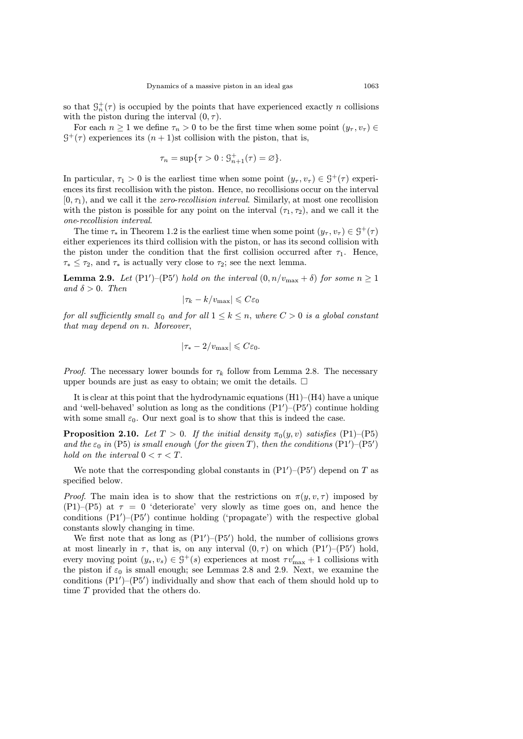so that  $\mathcal{G}_n^+(\tau)$  is occupied by the points that have experienced exactly n collisions with the piston during the interval  $(0, \tau)$ .

For each  $n \geq 1$  we define  $\tau_n > 0$  to be the first time when some point  $(y_\tau, v_\tau) \in$  $\mathcal{G}^+(\tau)$  experiences its  $(n+1)$ st collision with the piston, that is,

$$
\tau_n = \sup\{\tau > 0 : \mathcal{G}^+_{n+1}(\tau) = \varnothing\}.
$$

In particular,  $\tau_1 > 0$  is the earliest time when some point  $(y_\tau, v_\tau) \in \mathcal{G}^+(\tau)$  experiences its first recollision with the piston. Hence, no recollisions occur on the interval  $[0, \tau_1)$ , and we call it the *zero-recollision interval*. Similarly, at most one recollision with the piston is possible for any point on the interval  $(\tau_1, \tau_2)$ , and we call it the one-recollision interval.

The time  $\tau_*$  in Theorem 1.2 is the earliest time when some point  $(y_\tau, v_\tau) \in \mathcal{G}^+(\tau)$ either experiences its third collision with the piston, or has its second collision with the piston under the condition that the first collision occurred after  $\tau_1$ . Hence,  $\tau_* \leq \tau_2$ , and  $\tau_*$  is actually very close to  $\tau_2$ ; see the next lemma.

**Lemma 2.9.** Let  $(P1')-(P5')$  hold on the interval  $(0, n/v_{\text{max}} + \delta)$  for some  $n \geq 1$ and  $\delta > 0$ . Then

$$
|\tau_k - k/v_{\text{max}}| \leqslant C\varepsilon_0
$$

for all sufficiently small  $\varepsilon_0$  and for all  $1 \leq k \leq n$ , where  $C > 0$  is a global constant that may depend on n. Moreover,

$$
|\tau_* - 2/v_{\text{max}}| \leqslant C\varepsilon_0.
$$

*Proof.* The necessary lower bounds for  $\tau_k$  follow from Lemma 2.8. The necessary upper bounds are just as easy to obtain; we omit the details.  $\Box$ 

It is clear at this point that the hydrodynamic equations  $(H1)$ – $(H4)$  have a unique and 'well-behaved' solution as long as the conditions  $(PI')-(P5')$  continue holding with some small  $\varepsilon_0$ . Our next goal is to show that this is indeed the case.

**Proposition 2.10.** Let  $T > 0$ . If the initial density  $\pi_0(y, v)$  satisfies (P1)–(P5) and the  $\varepsilon_0$  in (P5) is small enough (for the given T), then the conditions (P1')–(P5') hold on the interval  $0 < \tau < T$ .

We note that the corresponding global constants in  $(P1')-(P5')$  depend on T as specified below.

*Proof.* The main idea is to show that the restrictions on  $\pi(y, v, \tau)$  imposed by  $(P1)$ – $(P5)$  at  $\tau = 0$  'deteriorate' very slowly as time goes on, and hence the conditions (P1 )–(P5 ) continue holding ('propagate') with the respective global constants slowly changing in time.

We first note that as long as  $(P1')-(P5')$  hold, the number of collisions grows at most linearly in  $\tau$ , that is, on any interval  $(0, \tau)$  on which  $(P1')-(P5')$  hold, every moving point  $(y_s, v_s) \in \mathcal{G}^+(s)$  experiences at most  $\tau v'_{\text{max}} + 1$  collisions with the piston if  $\varepsilon_0$  is small enough; see Lemmas 2.8 and 2.9. Next, we examine the conditions (P1 )–(P5 ) individually and show that each of them should hold up to time T provided that the others do.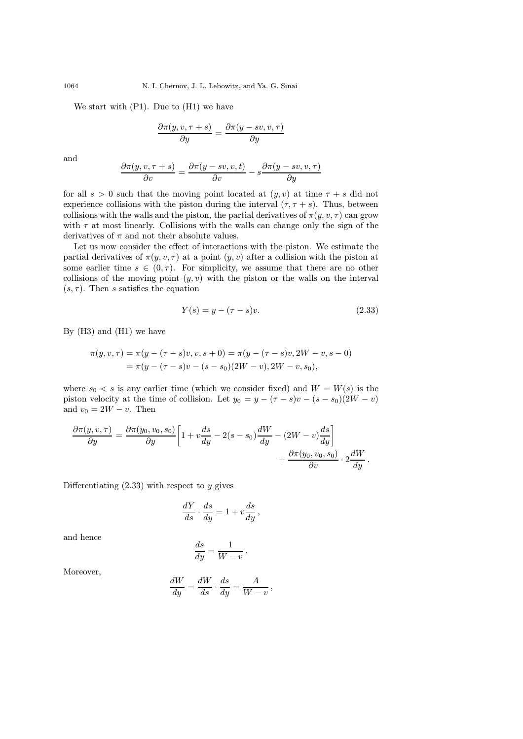We start with (P1). Due to (H1) we have

$$
\frac{\partial \pi(y, v, \tau + s)}{\partial y} = \frac{\partial \pi(y - sv, v, \tau)}{\partial y}
$$

and

$$
\frac{\partial \pi(y,v,\tau+s)}{\partial v} = \frac{\partial \pi(y-sv,v,t)}{\partial v} - s\frac{\partial \pi(y-sv,v,\tau)}{\partial y}
$$

for all  $s > 0$  such that the moving point located at  $(y, v)$  at time  $\tau + s$  did not experience collisions with the piston during the interval  $(\tau, \tau + s)$ . Thus, between collisions with the walls and the piston, the partial derivatives of  $\pi(y, v, \tau)$  can grow with  $\tau$  at most linearly. Collisions with the walls can change only the sign of the derivatives of  $\pi$  and not their absolute values.

Let us now consider the effect of interactions with the piston. We estimate the partial derivatives of  $\pi(y, v, \tau)$  at a point  $(y, v)$  after a collision with the piston at some earlier time  $s \in (0, \tau)$ . For simplicity, we assume that there are no other collisions of the moving point  $(y, v)$  with the piston or the walls on the interval  $(s, \tau)$ . Then s satisfies the equation

$$
Y(s) = y - (\tau - s)v.\tag{2.33}
$$

By (H3) and (H1) we have

$$
\pi(y, v, \tau) = \pi(y - (\tau - s)v, v, s + 0) = \pi(y - (\tau - s)v, 2W - v, s - 0)
$$
  
=  $\pi(y - (\tau - s)v - (s - s_0)(2W - v), 2W - v, s_0),$ 

where  $s_0 < s$  is any earlier time (which we consider fixed) and  $W = W(s)$  is the piston velocity at the time of collision. Let  $y_0 = y - (\tau - s)v - (s - s_0)(2W - v)$ and  $v_0 = 2W - v$ . Then

$$
\frac{\partial \pi(y, v, \tau)}{\partial y} = \frac{\partial \pi(y_0, v_0, s_0)}{\partial y} \left[ 1 + v \frac{ds}{dy} - 2(s - s_0) \frac{dW}{dy} - (2W - v) \frac{ds}{dy} \right] + \frac{\partial \pi(y_0, v_0, s_0)}{\partial v} \cdot 2 \frac{dW}{dy}.
$$

Differentiating  $(2.33)$  with respect to y gives

$$
\frac{dY}{ds} \cdot \frac{ds}{dy} = 1 + v\frac{ds}{dy},
$$

and hence

$$
\frac{ds}{dy} = \frac{1}{W - v} \, .
$$

Moreover,

$$
\frac{dW}{dy} = \frac{dW}{ds} \cdot \frac{ds}{dy} = \frac{A}{W - v},
$$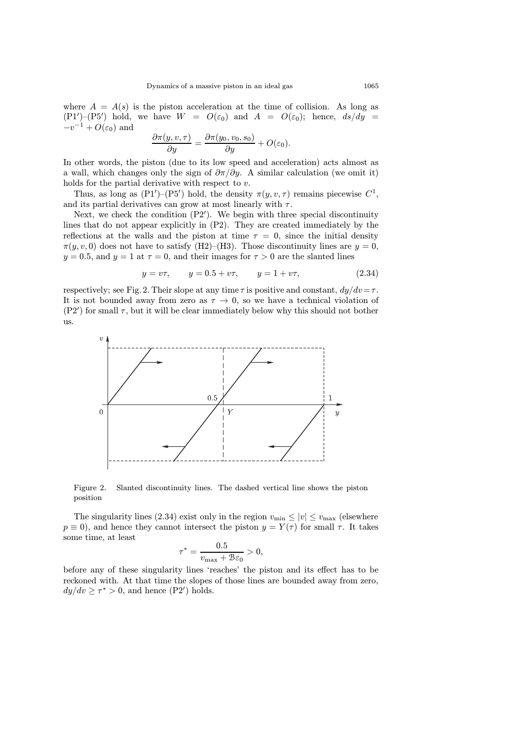where  $A = A(s)$  is the piston acceleration at the time of collision. As long as  $(P1')-(P5')$  hold, we have  $W = O(\varepsilon_0)$  and  $A = O(\varepsilon_0)$ ; hence,  $ds/dy =$  $-v^{-1}+O(\varepsilon_0)$  and

$$
\frac{\partial \pi(y, v, \tau)}{\partial y} = \frac{\partial \pi(y_0, v_0, s_0)}{\partial y} + O(\varepsilon_0).
$$

In other words, the piston (due to its low speed and acceleration) acts almost as a wall, which changes only the sign of  $\partial \pi / \partial y$ . A similar calculation (we omit it) holds for the partial derivative with respect to  $v$ .

Thus, as long as  $(P1')-(P5')$  hold, the density  $\pi(y, v, \tau)$  remains piecewise  $C^1$ , and its partial derivatives can grow at most linearly with  $\tau$ .

Next, we check the condition (P2 ). We begin with three special discontinuity lines that do not appear explicitly in (P2). They are created immediately by the reflections at the walls and the piston at time  $\tau = 0$ , since the initial density  $\pi(y, y, 0)$  does not have to satisfy (H2)–(H3). Those discontinuity lines are  $y = 0$ ,  $y = 0.5$ , and  $y = 1$  at  $\tau = 0$ , and their images for  $\tau > 0$  are the slanted lines

$$
y = v\tau
$$
,  $y = 0.5 + v\tau$ ,  $y = 1 + v\tau$ , (2.34)

respectively; see Fig. 2. Their slope at any time  $\tau$  is positive and constant,  $dy/dv = \tau$ . It is not bounded away from zero as  $\tau \to 0$ , so we have a technical violation of (P2') for small  $\tau$ , but it will be clear immediately below why this should not bother us.



Figure 2. Slanted discontinuity lines. The dashed vertical line shows the piston position

The singularity lines (2.34) exist only in the region  $v_{\text{min}} \leq |v| \leq v_{\text{max}}$  (elsewhere  $p \equiv 0$ ), and hence they cannot intersect the piston  $y = Y(\tau)$  for small  $\tau$ . It takes some time, at least

$$
\tau^* = \frac{0.5}{v_{\text{max}} + \mathcal{B}\varepsilon_0} > 0,
$$

before any of these singularity lines 'reaches' the piston and its effect has to be reckoned with. At that time the slopes of those lines are bounded away from zero,  $dy/dv \geq \tau^* > 0$ , and hence (P2') holds.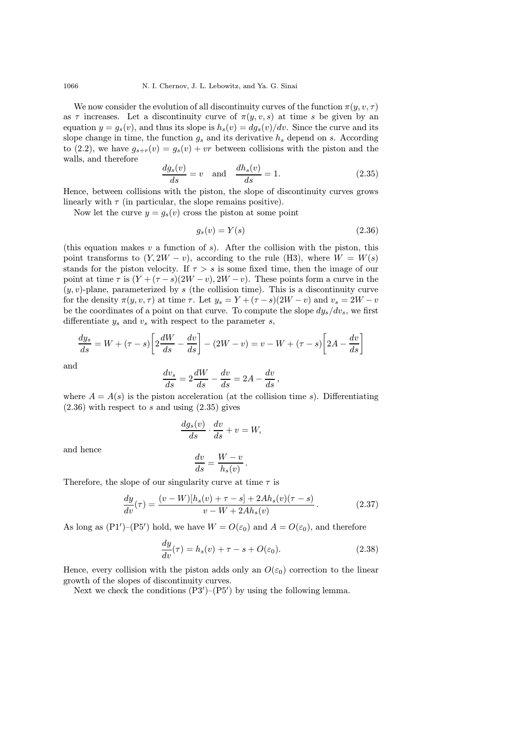We now consider the evolution of all discontinuity curves of the function  $\pi(y, v, \tau)$ as  $\tau$  increases. Let a discontinuity curve of  $\pi(y, v, s)$  at time s be given by an equation  $y = g_s(v)$ , and thus its slope is  $h_s(v) = dg_s(v)/dv$ . Since the curve and its slope change in time, the function  $g_s$  and its derivative  $h_s$  depend on s. According to (2.2), we have  $g_{s+r}(v) = g_s(v) + vr$  between collisions with the piston and the walls, and therefore

$$
\frac{dg_s(v)}{ds} = v \quad \text{and} \quad \frac{dh_s(v)}{ds} = 1. \tag{2.35}
$$

Hence, between collisions with the piston, the slope of discontinuity curves grows linearly with  $\tau$  (in particular, the slope remains positive).

Now let the curve  $y = g_s(v)$  cross the piston at some point

$$
g_s(v) = Y(s) \tag{2.36}
$$

(this equation makes v a function of s). After the collision with the piston, this point transforms to  $(Y, 2W - v)$ , according to the rule (H3), where  $W = W(s)$ stands for the piston velocity. If  $\tau > s$  is some fixed time, then the image of our point at time  $\tau$  is  $(Y + (\tau - s)(2W - v), 2W - v)$ . These points form a curve in the  $(y, v)$ -plane, parameterized by s (the collision time). This is a discontinuity curve for the density  $\pi(y, v, \tau)$  at time  $\tau$ . Let  $y_s = Y + (\tau - s)(2W - v)$  and  $v_s = 2W - v$ be the coordinates of a point on that curve. To compute the slope  $dy_s/dv_s$ , we first differentiate  $y_s$  and  $v_s$  with respect to the parameter s,

$$
\frac{dy_s}{ds} = W + (\tau - s) \left[ 2\frac{dW}{ds} - \frac{dv}{ds} \right] - (2W - v) = v - W + (\tau - s) \left[ 2A - \frac{dv}{ds} \right]
$$

and

$$
\frac{dv_s}{ds} = 2\frac{dW}{ds} - \frac{dv}{ds} = 2A - \frac{dv}{ds},
$$

where  $A = A(s)$  is the piston acceleration (at the collision time s). Differentiating  $(2.36)$  with respect to s and using  $(2.35)$  gives

$$
\frac{dg_s(v)}{ds} \cdot \frac{dv}{ds} + v = W,
$$

and hence

$$
\frac{dv}{ds} = \frac{W - v}{h_s(v)}.
$$

Therefore, the slope of our singularity curve at time  $\tau$  is

$$
\frac{dy}{dv}(\tau) = \frac{(v - W)[h_s(v) + \tau - s] + 2Ah_s(v)(\tau - s)}{v - W + 2Ah_s(v)}.
$$
\n(2.37)

As long as  $(P1')-(P5')$  hold, we have  $W = O(\varepsilon_0)$  and  $A = O(\varepsilon_0)$ , and therefore

$$
\frac{dy}{dv}(\tau) = h_s(v) + \tau - s + O(\varepsilon_0). \tag{2.38}
$$

Hence, every collision with the piston adds only an  $O(\varepsilon_0)$  correction to the linear growth of the slopes of discontinuity curves.

Next we check the conditions  $(P3')-(P5')$  by using the following lemma.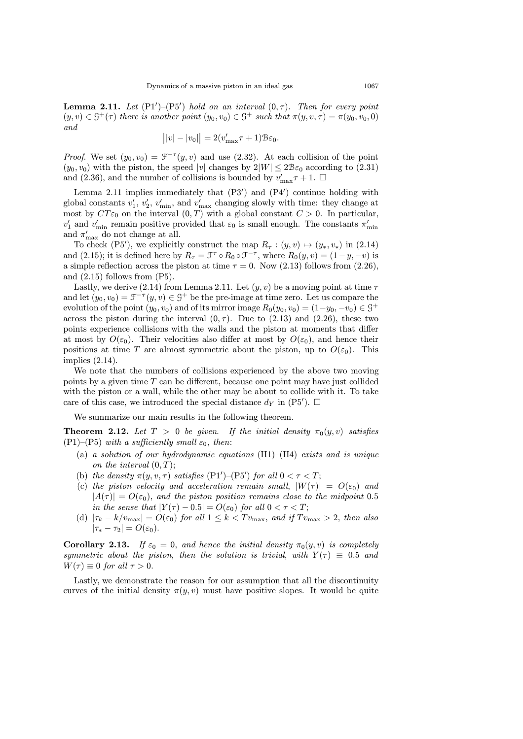**Lemma 2.11.** Let  $(P1')-(P5')$  hold on an interval  $(0, \tau)$ . Then for every point  $(y, v) \in \mathcal{G}^+(\tau)$  there is another point  $(y_0, v_0) \in \mathcal{G}^+$  such that  $\pi(y, v, \tau) = \pi(y_0, v_0, 0)$ and

$$
||v| - |v_0|| = 2(v'_{\max}\tau + 1)\mathcal{B}\varepsilon_0.
$$

*Proof.* We set  $(y_0, v_0) = \mathcal{F}^{-\tau}(y, v)$  and use (2.32). At each collision of the point  $(y_0, v_0)$  with the piston, the speed |v| changes by  $2|W| \leq 2\mathcal{B}\varepsilon_0$  according to  $(2.31)$ and (2.36), and the number of collisions is bounded by  $v'_{\text{max}}\tau + 1$ .  $\Box$ 

Lemma 2.11 implies immediately that  $(P3')$  and  $(P4')$  continue holding with global constants  $v'_1, v'_2, v'_{\text{min}}$ , and  $v'_{\text{max}}$  changing slowly with time: they change at most by  $CT\varepsilon_0$  on the interval  $(0,T)$  with a global constant  $C > 0$ . In particular,  $v'_1$  and  $v'_{\text{min}}$  remain positive provided that  $\varepsilon_0$  is small enough. The constants  $\pi'_{\text{min}}$ and  $\pi'_{\text{max}}$  do not change at all.

To check (P5'), we explicitly construct the map  $R_{\tau} : (y, v) \mapsto (y_*, v_*)$  in (2.14) and (2.15); it is defined here by  $R_{\tau} = \mathcal{F}^{\tau} \circ R_0 \circ \mathcal{F}^{-\tau}$ , where  $R_0(y, v) = (1 - y, -v)$  is a simple reflection across the piston at time  $\tau = 0$ . Now (2.13) follows from (2.26), and (2.15) follows from (P5).

Lastly, we derive (2.14) from Lemma 2.11. Let  $(y, v)$  be a moving point at time  $\tau$ and let  $(y_0, v_0) = \mathcal{F}^{-\tau}(y, v) \in \mathcal{G}^+$  be the pre-image at time zero. Let us compare the evolution of the point  $(y_0, v_0)$  and of its mirror image  $R_0(y_0, v_0) = (1-y_0, -v_0) \in \mathcal{G}^+$ across the piston during the interval  $(0, \tau)$ . Due to  $(2.13)$  and  $(2.26)$ , these two points experience collisions with the walls and the piston at moments that differ at most by  $O(\varepsilon_0)$ . Their velocities also differ at most by  $O(\varepsilon_0)$ , and hence their positions at time T are almost symmetric about the piston, up to  $O(\varepsilon_0)$ . This implies (2.14).

We note that the numbers of collisions experienced by the above two moving points by a given time  $T$  can be different, because one point may have just collided with the piston or a wall, while the other may be about to collide with it. To take care of this case, we introduced the special distance  $d_Y$  in (P5').  $\Box$ 

We summarize our main results in the following theorem.

**Theorem 2.12.** Let  $T > 0$  be given. If the initial density  $\pi_0(y, v)$  satisfies (P1)–(P5) with a sufficiently small  $\varepsilon_0$ , then:

- (a) a solution of our hydrodynamic equations  $(H1)$ – $(H4)$  exists and is unique on the interval  $(0, T)$ ;
- (b) the density  $\pi(y, v, \tau)$  satisfies  $(PI')-(P5')$  for all  $0 < \tau < T$ ;
- (c) the piston velocity and acceleration remain small,  $|W(\tau)| = O(\varepsilon_0)$  and  $|A(\tau)| = O(\varepsilon_0)$ , and the piston position remains close to the midpoint 0.5 in the sense that  $|Y(\tau) - 0.5| = O(\varepsilon_0)$  for all  $0 < \tau < T$ ;
- (d)  $|\tau_k k/v_{\text{max}}| = O(\varepsilon_0)$  for all  $1 \leq k < T v_{\text{max}}$ , and if  $Tv_{\text{max}} > 2$ , then also  $|\tau_* - \tau_2| = O(\varepsilon_0).$

**Corollary 2.13.** If  $\varepsilon_0 = 0$ , and hence the initial density  $\pi_0(y, v)$  is completely symmetric about the piston, then the solution is trivial, with  $Y(\tau) \equiv 0.5$  and  $W(\tau) \equiv 0$  for all  $\tau > 0$ .

Lastly, we demonstrate the reason for our assumption that all the discontinuity curves of the initial density  $\pi(y, v)$  must have positive slopes. It would be quite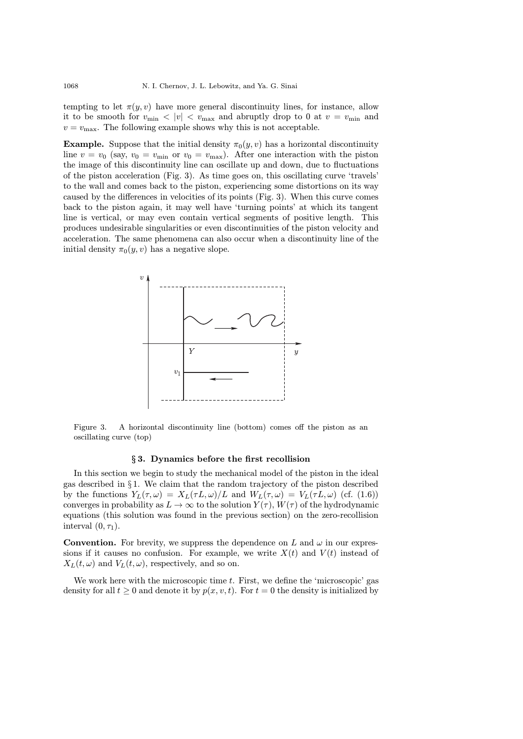tempting to let  $\pi(y, v)$  have more general discontinuity lines, for instance, allow it to be smooth for  $v_{\text{min}} < |v| < v_{\text{max}}$  and abruptly drop to 0 at  $v = v_{\text{min}}$  and  $v = v_{\text{max}}$ . The following example shows why this is not acceptable.

**Example.** Suppose that the initial density  $\pi_0(y, v)$  has a horizontal discontinuity line  $v = v_0$  (say,  $v_0 = v_{\text{min}}$  or  $v_0 = v_{\text{max}}$ ). After one interaction with the piston the image of this discontinuity line can oscillate up and down, due to fluctuations of the piston acceleration (Fig. 3). As time goes on, this oscillating curve 'travels' to the wall and comes back to the piston, experiencing some distortions on its way caused by the differences in velocities of its points (Fig. 3). When this curve comes back to the piston again, it may well have 'turning points' at which its tangent line is vertical, or may even contain vertical segments of positive length. This produces undesirable singularities or even discontinuities of the piston velocity and acceleration. The same phenomena can also occur when a discontinuity line of the initial density  $\pi_0(y, v)$  has a negative slope.



Figure 3. A horizontal discontinuity line (bottom) comes off the piston as an oscillating curve (top)

#### § 3. Dynamics before the first recollision

In this section we begin to study the mechanical model of the piston in the ideal gas described in § 1. We claim that the random trajectory of the piston described by the functions  $Y_L(\tau, \omega) = X_L(\tau L, \omega)/L$  and  $W_L(\tau, \omega) = V_L(\tau L, \omega)$  (cf. (1.6)) converges in probability as  $L \to \infty$  to the solution  $Y(\tau)$ ,  $W(\tau)$  of the hydrodynamic equations (this solution was found in the previous section) on the zero-recollision interval  $(0, \tau_1)$ .

**Convention.** For brevity, we suppress the dependence on L and  $\omega$  in our expressions if it causes no confusion. For example, we write  $X(t)$  and  $V(t)$  instead of  $X_L(t, \omega)$  and  $V_L(t, \omega)$ , respectively, and so on.

We work here with the microscopic time  $t$ . First, we define the 'microscopic' gas density for all  $t \geq 0$  and denote it by  $p(x, v, t)$ . For  $t = 0$  the density is initialized by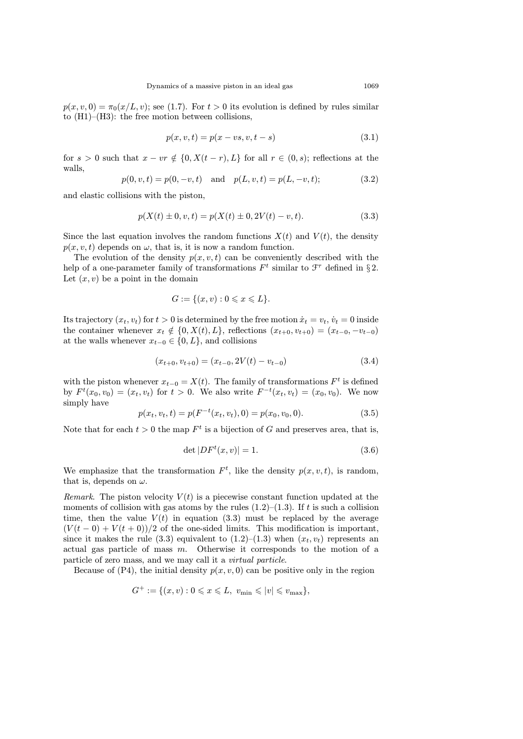$p(x, v, 0) = \pi_0(x/L, v)$ ; see (1.7). For  $t > 0$  its evolution is defined by rules similar to (H1)–(H3): the free motion between collisions,

$$
p(x, v, t) = p(x - vs, v, t - s)
$$
\n(3.1)

for s > 0 such that  $x - v r \notin \{0, X(t - r), L\}$  for all  $r \in (0, s)$ ; reflections at the walls,

$$
p(0, v, t) = p(0, -v, t) \quad \text{and} \quad p(L, v, t) = p(L, -v, t); \tag{3.2}
$$

and elastic collisions with the piston,

$$
p(X(t) \pm 0, v, t) = p(X(t) \pm 0, 2V(t) - v, t).
$$
\n(3.3)

Since the last equation involves the random functions  $X(t)$  and  $V(t)$ , the density  $p(x, v, t)$  depends on  $\omega$ , that is, it is now a random function.

The evolution of the density  $p(x, v, t)$  can be conveniently described with the help of a one-parameter family of transformations  $F<sup>t</sup>$  similar to  $\mathcal{F}<sup>\tau</sup>$  defined in §2. Let  $(x, v)$  be a point in the domain

$$
G := \{(x, v) : 0 \leqslant x \leqslant L\}.
$$

Its trajectory  $(x_t, v_t)$  for  $t > 0$  is determined by the free motion  $\dot{x}_t = v_t$ ,  $\dot{v}_t = 0$  inside the container whenever  $x_t \notin \{0, X(t), L\}$ , reflections  $(x_{t+0}, v_{t+0})=(x_{t-0}, -v_{t-0})$ at the walls whenever  $x_{t-0} \in \{0, L\}$ , and collisions

$$
(x_{t+0}, v_{t+0}) = (x_{t-0}, 2V(t) - v_{t-0})
$$
\n(3.4)

with the piston whenever  $x_{t-0} = X(t)$ . The family of transformations  $F<sup>t</sup>$  is defined by  $F^{t}(x_0, v_0) = (x_t, v_t)$  for  $t > 0$ . We also write  $F^{-t}(x_t, v_t) = (x_0, v_0)$ . We now simply have

$$
p(x_t, v_t, t) = p(F^{-t}(x_t, v_t), 0) = p(x_0, v_0, 0).
$$
\n(3.5)

Note that for each  $t > 0$  the map  $F<sup>t</sup>$  is a bijection of G and preserves area, that is,

$$
\det |DF^t(x, v)| = 1. \tag{3.6}
$$

We emphasize that the transformation  $F<sup>t</sup>$ , like the density  $p(x, v, t)$ , is random, that is, depends on  $\omega$ .

Remark. The piston velocity  $V(t)$  is a piecewise constant function updated at the moments of collision with gas atoms by the rules  $(1.2)$ – $(1.3)$ . If t is such a collision time, then the value  $V(t)$  in equation (3.3) must be replaced by the average  $(V(t-0) + V(t+0))/2$  of the one-sided limits. This modification is important, since it makes the rule (3.3) equivalent to  $(1.2)$ – $(1.3)$  when  $(x_t, v_t)$  represents an actual gas particle of mass m. Otherwise it corresponds to the motion of a particle of zero mass, and we may call it a virtual particle.

Because of (P4), the initial density  $p(x, v, 0)$  can be positive only in the region

$$
G^{+} := \{ (x, v) : 0 \leq x \leq L, \ v_{\min} \leq |v| \leq v_{\max} \},
$$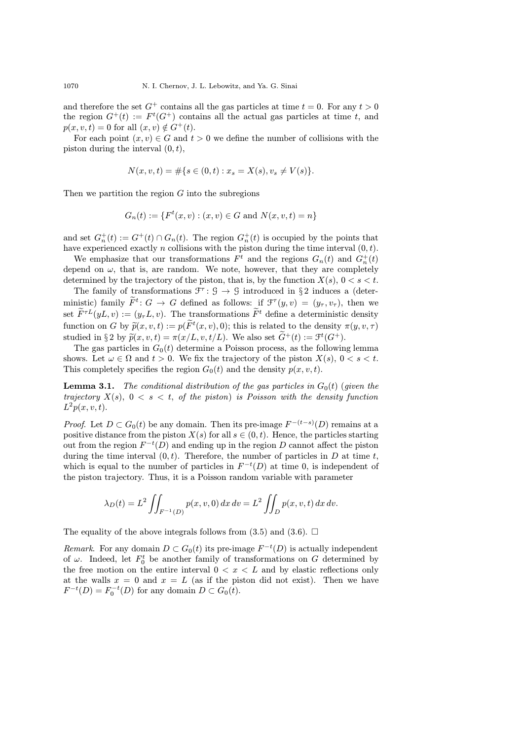and therefore the set  $G^+$  contains all the gas particles at time  $t = 0$ . For any  $t > 0$ the region  $G^+(t) := F^t(G^+)$  contains all the actual gas particles at time t, and  $p(x, v, t) = 0$  for all  $(x, v) \notin G^+(t)$ .

For each point  $(x, v) \in G$  and  $t > 0$  we define the number of collisions with the piston during the interval  $(0, t)$ ,

$$
N(x, v, t) = \#\{s \in (0, t) : x_s = X(s), v_s \neq V(s)\}.
$$

Then we partition the region  $G$  into the subregions

$$
G_n(t) := \{ F^t(x, v) : (x, v) \in G \text{ and } N(x, v, t) = n \}
$$

and set  $G_n^+(t) := G^+(t) \cap G_n(t)$ . The region  $G_n^+(t)$  is occupied by the points that have experienced exactly n collisions with the piston during the time interval  $(0, t)$ .

We emphasize that our transformations  $F<sup>t</sup>$  and the regions  $G<sub>n</sub>(t)$  and  $G<sup>+</sup><sub>n</sub>(t)$ depend on  $\omega$ , that is, are random. We note, however, that they are completely determined by the trajectory of the piston, that is, by the function  $X(s)$ ,  $0 < s < t$ .

The family of transformations  $\mathfrak{F}^{\tau} : \mathfrak{S} \to \mathfrak{S}$  introduced in §2 induces a (deterministic) family  $\widetilde{F}^t$ :  $G \to G$  defined as follows: if  $\mathcal{F}^{\tau}(y, v)=(y_{\tau}, v_{\tau})$ , then we set  $\widetilde{F}^{\tau L}(yL, v) := (y_{\tau}L, v)$ . The transformations  $\widetilde{F}^t$  define a deterministic density function on G by  $\tilde{p}(x, v, t) := p(\tilde{F}^t(x, v), 0)$ ; this is related to the density  $\pi(y, v, \tau)$ studied in § 2 by  $\widetilde{p}(x, v, t) = \pi(x/L, v, t/L)$ . We also set  $G^+(t) := \mathcal{F}^t(G^+)$ .

The gas particles in  $G_0(t)$  determine a Poisson process, as the following lemma shows. Let  $\omega \in \Omega$  and  $t > 0$ . We fix the trajectory of the piston  $X(s)$ ,  $0 < s < t$ . This completely specifies the region  $G_0(t)$  and the density  $p(x, v, t)$ .

**Lemma 3.1.** The conditional distribution of the gas particles in  $G_0(t)$  (given the trajectory  $X(s)$ ,  $0 < s < t$ , of the piston) is Poisson with the density function  $L^2p(x, v, t)$ .

*Proof.* Let  $D \subset G_0(t)$  be any domain. Then its pre-image  $F^{-(t-s)}(D)$  remains at a positive distance from the piston  $X(s)$  for all  $s \in (0, t)$ . Hence, the particles starting out from the region  $F^{-t}(D)$  and ending up in the region D cannot affect the piston during the time interval  $(0, t)$ . Therefore, the number of particles in D at time t, which is equal to the number of particles in  $F^{-t}(D)$  at time 0, is independent of the piston trajectory. Thus, it is a Poisson random variable with parameter

$$
\lambda_D(t) = L^2 \iint_{F^{-1}(D)} p(x, v, 0) \, dx \, dv = L^2 \iint_D p(x, v, t) \, dx \, dv.
$$

The equality of the above integrals follows from (3.5) and (3.6).  $\Box$ 

Remark. For any domain  $D \subset G_0(t)$  its pre-image  $F^{-t}(D)$  is actually independent of  $\omega$ . Indeed, let  $F_0^t$  be another family of transformations on G determined by the free motion on the entire interval  $0 < x < L$  and by elastic reflections only at the walls  $x = 0$  and  $x = L$  (as if the piston did not exist). Then we have  $F^{-t}(D) = F_0^{-t}(D)$  for any domain  $D \subset G_0(t)$ .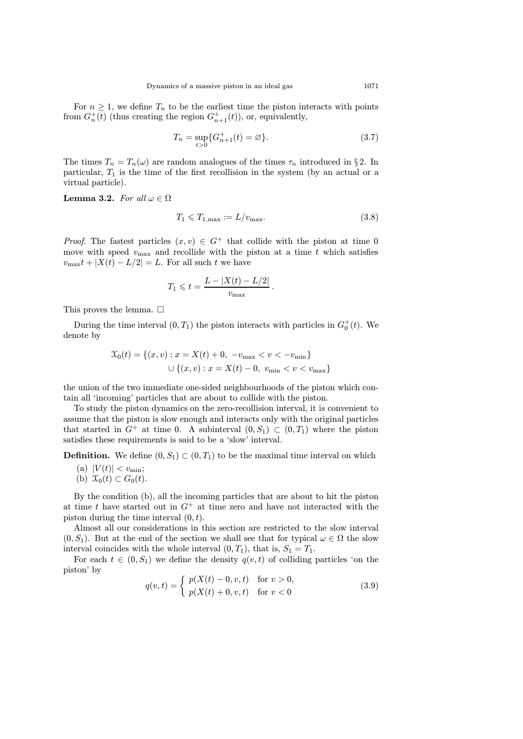For  $n \geq 1$ , we define  $T_n$  to be the earliest time the piston interacts with points from  $G_n^+(t)$  (thus creating the region  $G_{n+1}^+(t)$ ), or, equivalently,

$$
T_n = \sup_{t>0} \{ G_{n+1}^+(t) = \varnothing \}. \tag{3.7}
$$

The times  $T_n = T_n(\omega)$  are random analogues of the times  $\tau_n$  introduced in §2. In particular,  $T_1$  is the time of the first recollision in the system (by an actual or a virtual particle).

**Lemma 3.2.** For all  $\omega \in \Omega$ 

$$
T_1 \leqslant T_{1,\text{max}} := L/v_{\text{max}}.\tag{3.8}
$$

*Proof.* The fastest particles  $(x, v) \in G^+$  that collide with the piston at time 0 move with speed  $v_{\text{max}}$  and recollide with the piston at a time t which satisfies  $v_{\text{max}}t + |X(t) - L/2| = L$ . For all such t we have

$$
T_1 \leqslant t = \frac{L - |X(t) - L/2|}{v_{\text{max}}}.
$$

This proves the lemma.  $\square$ 

During the time interval  $(0, T_1)$  the piston interacts with particles in  $G_0^+(t)$ . We denote by

$$
\mathcal{X}_0(t) = \{(x, v) : x = X(t) + 0, -v_{\text{max}} < v < -v_{\text{min}}\}
$$
  

$$
\cup \{(x, v) : x = X(t) - 0, v_{\text{min}} < v < v_{\text{max}}\}
$$

the union of the two immediate one-sided neighbourhoods of the piston which contain all 'incoming' particles that are about to collide with the piston.

To study the piston dynamics on the zero-recollision interval, it is convenient to assume that the piston is slow enough and interacts only with the original particles that started in  $G^+$  at time 0. A subinterval  $(0, S_1) \subset (0, T_1)$  where the piston satisfies these requirements is said to be a 'slow' interval.

**Definition.** We define  $(0, S_1) \subset (0, T_1)$  to be the maximal time interval on which

- (a)  $|V(t)| < v_{\min}$ ;
- (b)  $\mathfrak{X}_0(t) \subset G_0(t)$ .

By the condition (b), all the incoming particles that are about to hit the piston at time t have started out in  $G^+$  at time zero and have not interacted with the piston during the time interval  $(0, t)$ .

Almost all our considerations in this section are restricted to the slow interval  $(0, S_1)$ . But at the end of the section we shall see that for typical  $\omega \in \Omega$  the slow interval coincides with the whole interval  $(0, T_1)$ , that is,  $S_1 = T_1$ .

For each  $t \in (0, S_1)$  we define the density  $q(v, t)$  of colliding particles 'on the piston' by

$$
q(v,t) = \begin{cases} p(X(t) - 0, v, t) & \text{for } v > 0, \\ p(X(t) + 0, v, t) & \text{for } v < 0 \end{cases}
$$
 (3.9)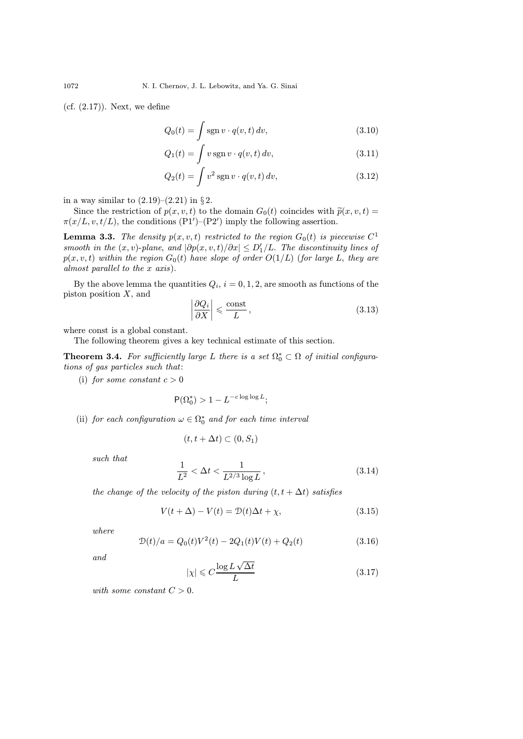$(cf. (2.17))$ . Next, we define

$$
Q_0(t) = \int \operatorname{sgn} v \cdot q(v, t) dv,
$$
\n(3.10)

$$
Q_1(t) = \int v \operatorname{sgn} v \cdot q(v, t) dv,
$$
\n(3.11)

$$
Q_2(t) = \int v^2 \operatorname{sgn} v \cdot q(v, t) dv,
$$
\n(3.12)

in a way similar to  $(2.19)$ – $(2.21)$  in § 2.

Since the restriction of  $p(x, v, t)$  to the domain  $G_0(t)$  coincides with  $\tilde{p}(x, v, t)$  =  $\pi(x/L, v, t/L)$ , the conditions (P1')–(P2') imply the following assertion.

**Lemma 3.3.** The density  $p(x, v, t)$  restricted to the region  $G_0(t)$  is piecewise  $C^1$ smooth in the  $(x, v)$ -plane, and  $|\partial p(x, v, t)/\partial x| \le D'_1/L$ . The discontinuity lines of  $p(x, v, t)$  within the region  $G_0(t)$  have slope of order  $O(1/L)$  (for large L, they are almost parallel to the x axis).

By the above lemma the quantities  $Q_i$ ,  $i = 0, 1, 2$ , are smooth as functions of the piston position  $X$ , and

$$
\left|\frac{\partial Q_i}{\partial X}\right| \leqslant \frac{\text{const}}{L},\tag{3.13}
$$

where const is a global constant.

The following theorem gives a key technical estimate of this section.

**Theorem 3.4.** For sufficiently large L there is a set  $\Omega_0^* \subset \Omega$  of initial configurations of gas particles such that:

(i) for some constant  $c > 0$ 

$$
\mathsf{P}(\Omega_0^*) > 1 - L^{-c \log \log L};
$$

(ii) for each configuration  $\omega \in \Omega_0^*$  and for each time interval

$$
(t, t + \Delta t) \subset (0, S_1)
$$

such that

$$
\frac{1}{L^2} < \Delta t < \frac{1}{L^{2/3} \log L},\tag{3.14}
$$

the change of the velocity of the piston during  $(t, t + \Delta t)$  satisfies

$$
V(t + \Delta) - V(t) = \mathcal{D}(t)\Delta t + \chi,\tag{3.15}
$$

where

$$
\mathcal{D}(t)/a = Q_0(t)V^2(t) - 2Q_1(t)V(t) + Q_2(t)
$$
\n(3.16)

and

$$
|\chi| \leqslant C \frac{\log L \sqrt{\Delta t}}{L} \tag{3.17}
$$

with some constant  $C > 0$ .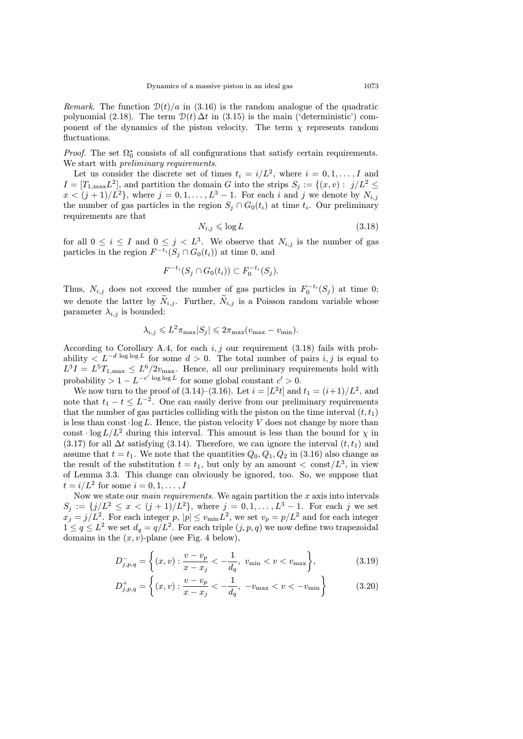Remark. The function  $\mathcal{D}(t)/a$  in (3.16) is the random analogue of the quadratic polynomial (2.18). The term  $\mathcal{D}(t) \Delta t$  in (3.15) is the main ('deterministic') component of the dynamics of the piston velocity. The term  $\chi$  represents random fluctuations.

*Proof.* The set  $\Omega_0^*$  consists of all configurations that satisfy certain requirements. We start with *preliminary requirements*.

Let us consider the discrete set of times  $t_i = i/L^2$ , where  $i = 0, 1, \ldots, I$  and  $I = [T_{1,\text{max}}L^2]$ , and partition the domain G into the strips  $S_j := \{(x,v): j/L^2 \leq$  $x < (j+1)/L^2$ , where  $j = 0, 1, \ldots, L^3 - 1$ . For each i and j we denote by  $N_{i,j}$ the number of gas particles in the region  $S_j \cap G_0(t_i)$  at time  $t_i$ . Our preliminary requirements are that

$$
N_{i,j} \leqslant \log L \tag{3.18}
$$

for all  $0 \leq i \leq I$  and  $0 \leq j < L^3$ . We observe that  $N_{i,j}$  is the number of gas particles in the region  $F^{-t_i}(S_j \cap G_0(t_i))$  at time 0, and

$$
F^{-t_i}(S_j \cap G_0(t_i)) \subset F_0^{-t_i}(S_j).
$$

Thus,  $N_{i,j}$  does not exceed the number of gas particles in  $F_0^{-t_i}(S_j)$  at time 0; we denote the latter by  $\widetilde{N}_{i,j}$ . Further,  $\widetilde{N}_{i,j}$  is a Poisson random variable whose parameter  $\lambda_{i,j}$  is bounded:

$$
\lambda_{i,j} \leqslant L^2 \pi_{\text{max}} |S_j| \leqslant 2 \pi_{\text{max}} (v_{\text{max}} - v_{\text{min}}).
$$

According to Corollary A.4, for each  $i, j$  our requirement (3.18) fails with probability  $\langle L^{-d \log \log L} \rangle$  for some  $d > 0$ . The total number of pairs i, j is equal to  $L^{3}I = L^{5}T_{1,\text{max}} \leq L^{6}/2v_{\text{max}}$ . Hence, all our preliminary requirements hold with probability  $> 1 - L^{-c'}$  log log L for some global constant  $c' > 0$ .

We now turn to the proof of (3.14)–(3.16). Let  $i = [L^2t]$  and  $t_1 = (i+1)/L^2$ , and note that  $t_1 - t \leq L^{-2}$ . One can easily derive from our preliminary requirements that the number of gas particles colliding with the piston on the time interval  $(t, t_1)$ is less than const $\cdot \log L$ . Hence, the piston velocity V does not change by more than const · log  $L/L^2$  during this interval. This amount is less than the bound for  $\chi$  in (3.17) for all  $\Delta t$  satisfying (3.14). Therefore, we can ignore the interval  $(t, t_1)$  and assume that  $t = t_1$ . We note that the quantities  $Q_0, Q_1, Q_2$  in (3.16) also change as the result of the substitution  $t = t_1$ , but only by an amount  $\langle \cosh L^3 \rangle$ , in view of Lemma 3.3. This change can obviously be ignored, too. So, we suppose that  $t = i/L^2$  for some  $i = 0, 1, \ldots, I$ 

Now we state our *main requirements*. We again partition the  $x$  axis into intervals  $S_j := \{j/L^2 \le x < (j+1)/L^2\},\$  where  $j = 0, 1, ..., L^3 - 1$ . For each j we set  $x_j = j/L^2$ . For each integer p,  $|p| \le v_{\text{min}} L^2$ , we set  $v_p = p/L^2$  and for each integer  $1 \le q \le L^2$  we set  $d_q = q/L^2$ . For each triple  $(j, p, q)$  we now define two trapezoidal domains in the  $(x, v)$ -plane (see Fig. 4 below),

$$
D_{j,p,q}^- = \left\{ (x,v) : \frac{v - v_p}{x - x_j} < -\frac{1}{d_q}, \ v_{\min} < v < v_{\max} \right\},\tag{3.19}
$$

$$
D_{j,p,q}^{+} = \left\{ (x,v) : \frac{v - v_p}{x - x_j} < -\frac{1}{d_q}, -v_{\text{max}} < v < -v_{\text{min}} \right\} \tag{3.20}
$$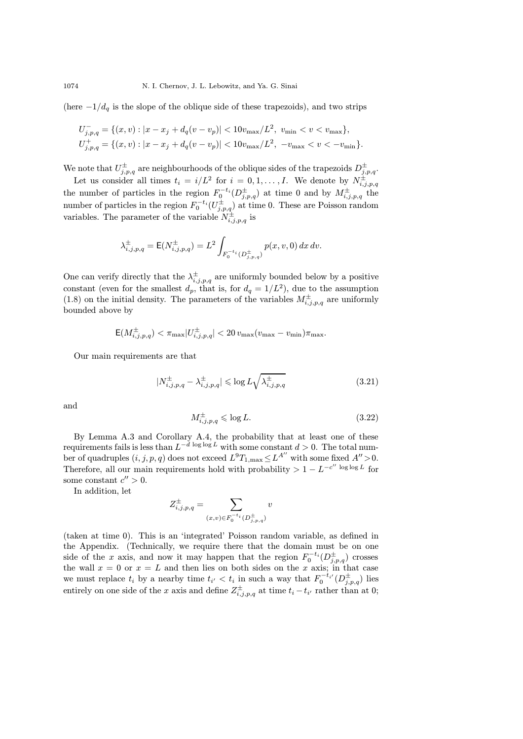(here  $-1/d_q$  is the slope of the oblique side of these trapezoids), and two strips

$$
U_{j,p,q}^{-} = \{(x,v) : |x - x_j + d_q(v - v_p)| < 10v_{\max}/L^2, v_{\min} < v < v_{\max}\},
$$
  

$$
U_{j,p,q}^{+} = \{(x,v) : |x - x_j + d_q(v - v_p)| < 10v_{\max}/L^2, -v_{\max} < v < -v_{\min}\}.
$$

We note that  $U^{\pm}_{j,p,q}$  are neighbourhoods of the oblique sides of the trapezoids  $D^{\pm}_{j,p,q}$ .

Let us consider all times  $t_i = i/L^2$  for  $i = 0, 1, ..., I$ . We denote by  $N^{\pm}_{i,j,p,q}$  the number of particles in the region  $F_0^{-t_i}(D^{\pm}_{j,p,q})$  at time 0 and by  $M^{\pm}_{i,j,p,q}$  the number of particles in the region  $F_0^{-t_i}(U_{j,p,q}^{\pm})$  at time 0. These are Poisson random variables. The parameter of the variable  $N^{\pm}_{i,j,p,q}$  is

$$
\lambda_{i,j,p,q}^{\pm} = \mathsf{E}(N_{i,j,p,q}^{\pm}) = L^2 \int_{F_0^{-t_i}(D_{j,p,q}^{\pm})} p(x,v,0) \, dx \, dv.
$$

One can verify directly that the  $\lambda^{\pm}_{i,j,p,q}$  are uniformly bounded below by a positive constant (even for the smallest  $d_p$ , that is, for  $d_q = 1/L^2$ ), due to the assumption (1.8) on the initial density. The parameters of the variables  $M^{\pm}_{i,j,p,q}$  are uniformly bounded above by

$$
\mathsf{E}(M^\pm_{i,j,p,q}) < \pi_{\max}|U^\pm_{i,j,p,q}| < 20 \, v_{\max}(v_{\max} - v_{\min}) \pi_{\max}.
$$

Our main requirements are that

$$
|N_{i,j,p,q}^{\pm} - \lambda_{i,j,p,q}^{\pm}| \leqslant \log L \sqrt{\lambda_{i,j,p,q}^{\pm}}
$$
\n(3.21)

and

$$
M_{i,j,p,q}^{\pm} \leqslant \log L. \tag{3.22}
$$

By Lemma A.3 and Corollary A.4, the probability that at least one of these requirements fails is less than  $L^{-d}$  log log L with some constant  $d > 0$ . The total number of quadruples  $(i, j, p, q)$  does not exceed  $L^9T_{1,\text{max}} \leq L^{A''}$  with some fixed  $A'' > 0$ . Therefore, all our main requirements hold with probability  $> 1 - L^{-c''}$  log log L for some constant  $c'' > 0$ .

In addition, let

$$
Z_{i,j,p,q}^{\pm} = \sum_{(x,v)\in F_0^{-t_i}(D_{j,p,q}^{\pm})} v
$$

(taken at time 0). This is an 'integrated' Poisson random variable, as defined in the Appendix. (Technically, we require there that the domain must be on one side of the x axis, and now it may happen that the region  $F_0^{-t_i}(D_{j,p,q}^{\pm})$  crosses the wall  $x = 0$  or  $x = L$  and then lies on both sides on the x axis; in that case we must replace  $t_i$  by a nearby time  $t_{i'} < t_i$  in such a way that  $F_0^{-t_{i'}}(D_{j,p,q}^{\pm})$  lies entirely on one side of the x axis and define  $Z_{i,j,p,q}^{\pm}$  at time  $t_i - t_{i'}$  rather than at 0;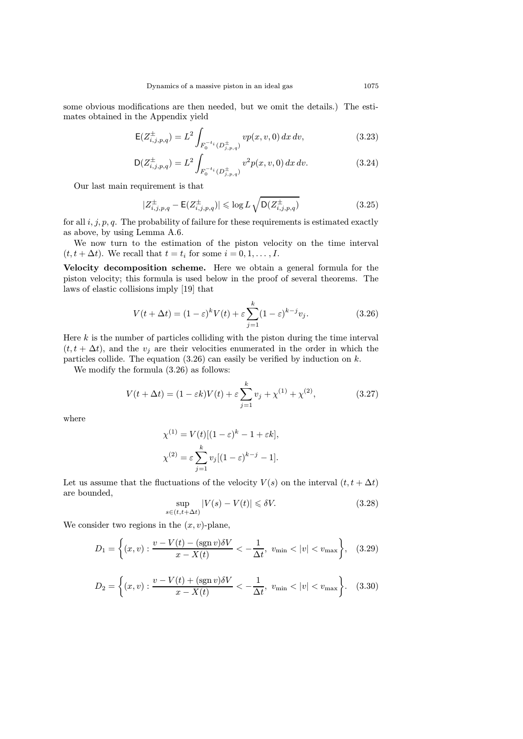some obvious modifications are then needed, but we omit the details.) The estimates obtained in the Appendix yield

$$
E(Z_{i,j,p,q}^{\pm}) = L^2 \int_{F_0^{-t_i}(D_{j,p,q}^{\pm})} vp(x,v,0) dx dv,
$$
\n(3.23)

$$
D(Z_{i,j,p,q}^{\pm}) = L^2 \int_{F_0^{-t_i}(D_{j,p,q}^{\pm})} v^2 p(x,v,0) dx dv.
$$
 (3.24)

Our last main requirement is that

$$
|Z_{i,j,p,q}^{\pm} - \mathsf{E}(Z_{i,j,p,q}^{\pm})| \leq \log L \sqrt{\mathsf{D}(Z_{i,j,p,q}^{\pm})}
$$
\n
$$
(3.25)
$$

for all  $i, j, p, q$ . The probability of failure for these requirements is estimated exactly as above, by using Lemma A.6.

We now turn to the estimation of the piston velocity on the time interval  $(t, t + \Delta t)$ . We recall that  $t = t_i$  for some  $i = 0, 1, \ldots, I$ .

Velocity decomposition scheme. Here we obtain a general formula for the piston velocity; this formula is used below in the proof of several theorems. The laws of elastic collisions imply [\[19\]](#page-80-0) that

$$
V(t + \Delta t) = (1 - \varepsilon)^k V(t) + \varepsilon \sum_{j=1}^k (1 - \varepsilon)^{k-j} v_j.
$$
 (3.26)

Here  $k$  is the number of particles colliding with the piston during the time interval  $(t, t + \Delta t)$ , and the  $v_i$  are their velocities enumerated in the order in which the particles collide. The equation  $(3.26)$  can easily be verified by induction on k.

We modify the formula (3.26) as follows:

$$
V(t + \Delta t) = (1 - \varepsilon k)V(t) + \varepsilon \sum_{j=1}^{k} v_j + \chi^{(1)} + \chi^{(2)},
$$
 (3.27)

where

$$
\chi^{(1)} = V(t)[(1 - \varepsilon)^k - 1 + \varepsilon k],
$$
  

$$
\chi^{(2)} = \varepsilon \sum_{j=1}^k v_j [(1 - \varepsilon)^{k-j} - 1].
$$

Let us assume that the fluctuations of the velocity  $V(s)$  on the interval  $(t, t + \Delta t)$ are bounded,

$$
\sup_{s \in (t, t + \Delta t)} |V(s) - V(t)| \leq \delta V. \tag{3.28}
$$

We consider two regions in the  $(x, v)$ -plane,

$$
D_1 = \left\{ (x, v) : \frac{v - V(t) - (\operatorname{sgn} v) \delta V}{x - X(t)} < -\frac{1}{\Delta t}, \ v_{\min} < |v| < v_{\max} \right\}, \quad (3.29)
$$

$$
D_2 = \left\{ (x, v) : \frac{v - V(t) + (\text{sgn } v)\delta V}{x - X(t)} < -\frac{1}{\Delta t}, \ v_{\min} < |v| < v_{\max} \right\}.
$$
 (3.30)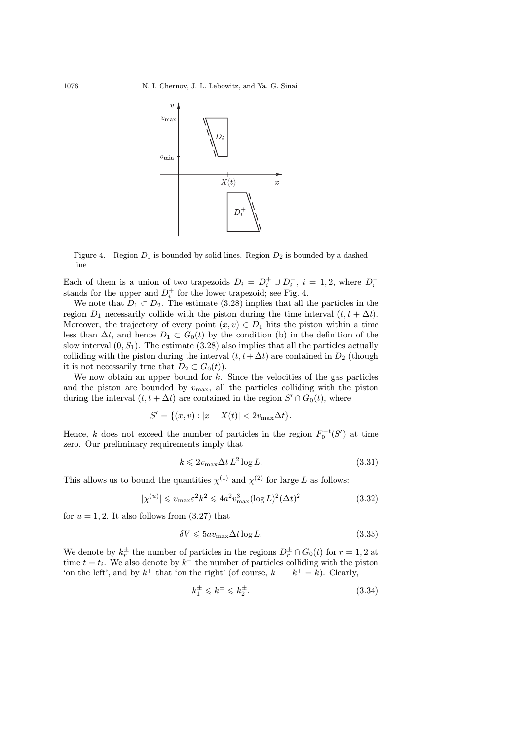1076 N. I. Chernov, J. L. Lebowitz, and Ya. G. Sinai



Figure 4. Region  $D_1$  is bounded by solid lines. Region  $D_2$  is bounded by a dashed line

Each of them is a union of two trapezoids  $D_i = D_i^+ \cup D_i^-$ ,  $i = 1, 2$ , where  $D_i^$ stands for the upper and  $D_i^+$  for the lower trapezoid; see Fig. 4.

We note that  $D_1 \subset D_2$ . The estimate (3.28) implies that all the particles in the region  $D_1$  necessarily collide with the piston during the time interval  $(t, t + \Delta t)$ . Moreover, the trajectory of every point  $(x, v) \in D_1$  hits the piston within a time less than  $\Delta t$ , and hence  $D_1 \subset G_0(t)$  by the condition (b) in the definition of the slow interval  $(0, S_1)$ . The estimate  $(3.28)$  also implies that all the particles actually colliding with the piston during the interval  $(t, t+\Delta t)$  are contained in  $D_2$  (though it is not necessarily true that  $D_2 \subset G_0(t)$ .

We now obtain an upper bound for  $k$ . Since the velocities of the gas particles and the piston are bounded by  $v_{\text{max}}$ , all the particles colliding with the piston during the interval  $(t, t + \Delta t)$  are contained in the region  $S' \cap G_0(t)$ , where

$$
S' = \{(x, v) : |x - X(t)| < 2v_{\text{max}}\Delta t\}.
$$

Hence, k does not exceed the number of particles in the region  $F_0^{-t}(S')$  at time zero. Our preliminary requirements imply that

$$
k \leqslant 2v_{\text{max}}\Delta t \, L^2 \log L. \tag{3.31}
$$

This allows us to bound the quantities  $\chi^{(1)}$  and  $\chi^{(2)}$  for large L as follows:

$$
|\chi^{(u)}| \leq v_{\text{max}} \varepsilon^2 k^2 \leq 4a^2 v_{\text{max}}^3 (\log L)^2 (\Delta t)^2 \tag{3.32}
$$

for  $u = 1, 2$ . It also follows from  $(3.27)$  that

$$
\delta V \leqslant 5av_{\text{max}} \Delta t \log L. \tag{3.33}
$$

We denote by  $k_r^{\pm}$  the number of particles in the regions  $D_r^{\pm} \cap G_0(t)$  for  $r = 1, 2$  at time  $t = t_i$ . We also denote by  $k^-$  the number of particles colliding with the piston 'on the left', and by  $k^+$  that 'on the right' (of course,  $k^- + k^+ = k$ ). Clearly,

$$
k_1^{\pm} \leqslant k^{\pm} \leqslant k_2^{\pm}.\tag{3.34}
$$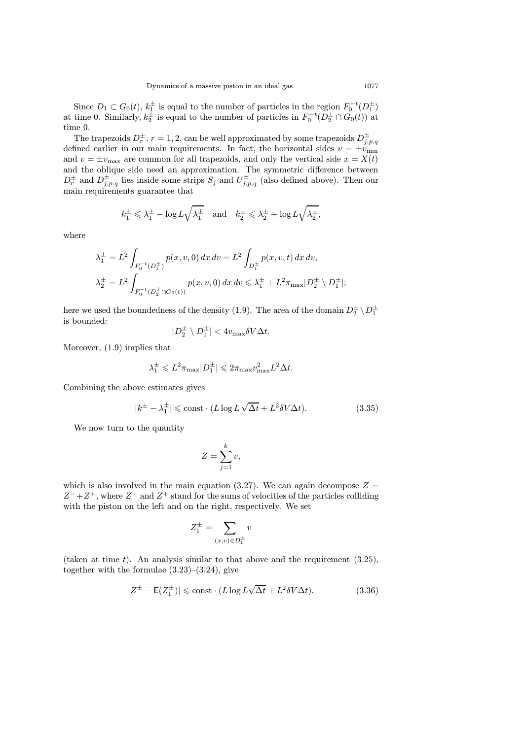Since  $D_1 \subset G_0(t)$ ,  $k_1^{\pm}$  is equal to the number of particles in the region  $F_0^{-t}(D_1^{\pm})$ at time 0. Similarly,  $k_2^{\pm}$  is equal to the number of particles in  $F_0^{-t}(D_2^{\pm} \cap \tilde{G}_0(t))$  at time 0.

The trapezoids  $D_r^{\pm}$ ,  $r = 1, 2$ , can be well approximated by some trapezoids  $D_{j,p,q}^{\pm}$ defined earlier in our main requirements. In fact, the horizontal sides  $v = \pm v_{\text{min}}^{(0,0,0)}$ and  $v = \pm v_{\text{max}}$  are common for all trapezoids, and only the vertical side  $x = X(t)$ and the oblique side need an approximation. The symmetric difference between  $D_r^{\pm}$  and  $D_{j,p,q}^{\pm}$  lies inside some strips  $S_j$  and  $U_{j,p,q}^{\pm}$  (also defined above). Then our main requirements guarantee that

$$
k_1^{\pm} \leq \lambda_1^{\pm} - \log L \sqrt{\lambda_1^{\pm}}
$$
 and  $k_2^{\pm} \leq \lambda_2^{\pm} + \log L \sqrt{\lambda_2^{\pm}}$ ,

where

$$
\lambda_1^{\pm} = L^2 \int_{F_0^{-t}(D_1^{\pm})} p(x, v, 0) dx dv = L^2 \int_{D_1^{\pm}} p(x, v, t) dx dv,
$$
  

$$
\lambda_2^{\pm} = L^2 \int_{F_0^{-t}(D_2^{\pm} \cap G_0(t))} p(x, v, 0) dx dv \le \lambda_1^{\pm} + L^2 \pi_{\max} |D_2^{\pm} \setminus D_1^{\pm}|;
$$

here we used the boundedness of the density (1.9). The area of the domain  $D_2^{\pm} \setminus D_1^{\pm}$ is bounded:

$$
|D_2^{\pm} \setminus D_1^{\pm}| < 4v_{\text{max}} \delta V \Delta t.
$$

Moreover, (1.9) implies that

$$
\lambda_1^{\pm} \leqslant L^2 \pi_{\text{max}} |D_1^{\pm}| \leqslant 2 \pi_{\text{max}} v_{\text{max}}^2 L^2 \Delta t.
$$

Combining the above estimates gives

$$
|k^{\pm} - \lambda_1^{\pm}| \le \text{const} \cdot (L \log L \sqrt{\Delta t} + L^2 \delta V \Delta t). \tag{3.35}
$$

We now turn to the quantity

$$
Z = \sum_{j=1}^{k} v,
$$

which is also involved in the main equation (3.27). We can again decompose  $Z =$  $Z^- + Z^+$ , where  $Z^-$  and  $Z^+$  stand for the sums of velocities of the particles colliding with the piston on the left and on the right, respectively. We set

$$
Z_1^{\pm} = \sum_{(x,v)\in D_1^{\pm}} v
$$

(taken at time t). An analysis similar to that above and the requirement  $(3.25)$ , together with the formulae (3.23)–(3.24), give

$$
|Z^{\pm} - \mathsf{E}(Z_1^{\pm})| \le \text{const} \cdot (L \log L \sqrt{\Delta t} + L^2 \delta V \Delta t). \tag{3.36}
$$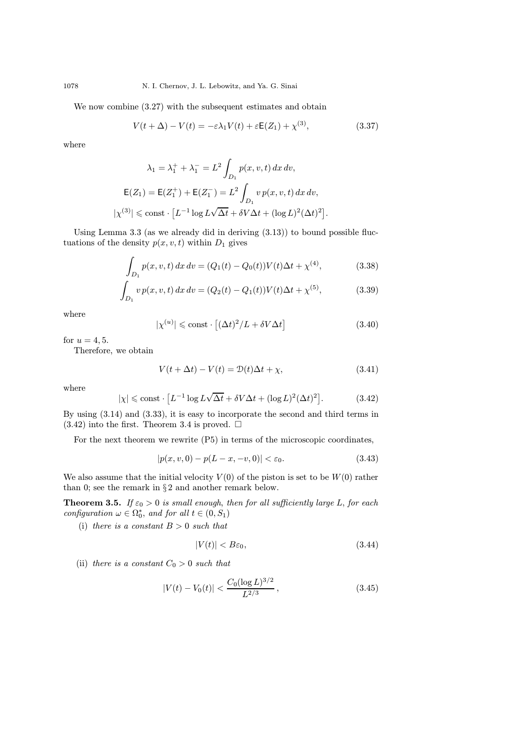We now combine (3.27) with the subsequent estimates and obtain

$$
V(t + \Delta) - V(t) = -\varepsilon \lambda_1 V(t) + \varepsilon E(Z_1) + \chi^{(3)},
$$
\n(3.37)

where

$$
\lambda_1 = \lambda_1^+ + \lambda_1^- = L^2 \int_{D_1} p(x, v, t) \, dx \, dv,
$$
  
\n
$$
\mathsf{E}(Z_1) = \mathsf{E}(Z_1^+) + \mathsf{E}(Z_1^-) = L^2 \int_{D_1} v \, p(x, v, t) \, dx \, dv,
$$
  
\n
$$
|\chi^{(3)}| \le \text{const} \cdot \left[L^{-1} \log L \sqrt{\Delta t} + \delta V \Delta t + (\log L)^2 (\Delta t)^2\right].
$$

Using Lemma 3.3 (as we already did in deriving  $(3.13)$ ) to bound possible fluctuations of the density  $p(x, v, t)$  within  $D_1$  gives

$$
\int_{D_1} p(x, v, t) dx dv = (Q_1(t) - Q_0(t))V(t)\Delta t + \chi^{(4)},
$$
\n(3.38)

$$
\int_{D_1} v p(x, v, t) dx dv = (Q_2(t) - Q_1(t))V(t)\Delta t + \chi^{(5)}, \tag{3.39}
$$

where

$$
|\chi^{(u)}| \le \text{const} \cdot \left[ (\Delta t)^2 / L + \delta V \Delta t \right] \tag{3.40}
$$

for  $u = 4, 5$ .

Therefore, we obtain

$$
V(t + \Delta t) - V(t) = \mathcal{D}(t)\Delta t + \chi,\tag{3.41}
$$

where

$$
|\chi| \le \text{const} \cdot \left[L^{-1} \log L \sqrt{\Delta t} + \delta V \Delta t + (\log L)^2 (\Delta t)^2\right].\tag{3.42}
$$

By using (3.14) and (3.33), it is easy to incorporate the second and third terms in  $(3.42)$  into the first. Theorem 3.4 is proved.  $\Box$ 

For the next theorem we rewrite (P5) in terms of the microscopic coordinates,

$$
|p(x, v, 0) - p(L - x, -v, 0)| < \varepsilon_0. \tag{3.43}
$$

We also assume that the initial velocity  $V(0)$  of the piston is set to be  $W(0)$  rather than 0; see the remark in  $\S 2$  and another remark below.

**Theorem 3.5.** If  $\varepsilon_0 > 0$  is small enough, then for all sufficiently large L, for each configuration  $\omega \in \Omega_0^*$ , and for all  $t \in (0, S_1)$ 

(i) there is a constant  $B > 0$  such that

$$
|V(t)| < B\varepsilon_0,\tag{3.44}
$$

(ii) there is a constant  $C_0 > 0$  such that

$$
|V(t) - V_0(t)| < \frac{C_0 (\log L)^{3/2}}{L^{2/3}},\tag{3.45}
$$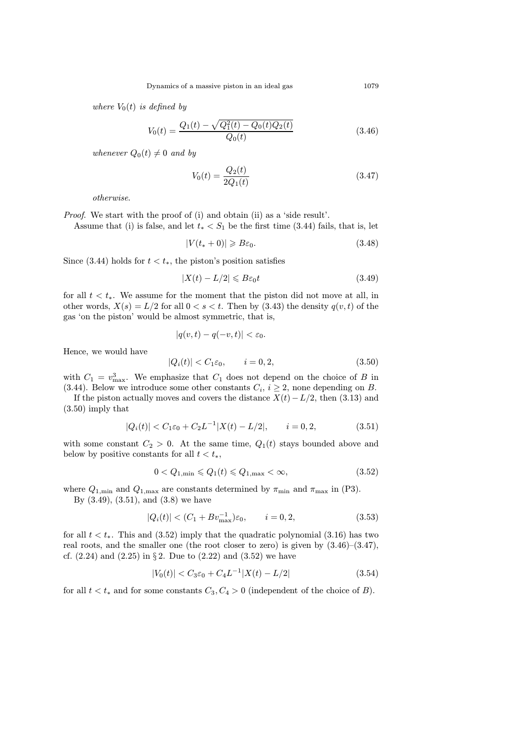where  $V_0(t)$  is defined by

$$
V_0(t) = \frac{Q_1(t) - \sqrt{Q_1^2(t) - Q_0(t)Q_2(t)}}{Q_0(t)}
$$
\n(3.46)

whenever  $Q_0(t) \neq 0$  and by

$$
V_0(t) = \frac{Q_2(t)}{2Q_1(t)}\tag{3.47}
$$

otherwise.

Proof. We start with the proof of (i) and obtain (ii) as a 'side result'.

Assume that (i) is false, and let  $t_* < S_1$  be the first time (3.44) fails, that is, let

$$
|V(t_*+0)| \geqslant B\varepsilon_0. \tag{3.48}
$$

Since (3.44) holds for  $t < t_*$ , the piston's position satisfies

$$
|X(t) - L/2| \leqslant B\varepsilon_0 t \tag{3.49}
$$

for all  $t < t<sub>*</sub>$ . We assume for the moment that the piston did not move at all, in other words,  $X(s) = L/2$  for all  $0 < s < t$ . Then by (3.43) the density  $q(v, t)$  of the gas 'on the piston' would be almost symmetric, that is,

$$
|q(v,t) - q(-v,t)| < \varepsilon_0.
$$

Hence, we would have

$$
|Q_i(t)| < C_1 \varepsilon_0, \qquad i = 0, 2,\tag{3.50}
$$

with  $C_1 = v_{\text{max}}^3$ . We emphasize that  $C_1$  does not depend on the choice of B in (3.44). Below we introduce some other constants  $C_i$ ,  $i \geq 2$ , none depending on B.

If the piston actually moves and covers the distance  $X(t)-L/2$ , then (3.13) and (3.50) imply that

$$
|Q_i(t)| < C_1 \varepsilon_0 + C_2 L^{-1} |X(t) - L/2|, \qquad i = 0, 2,\tag{3.51}
$$

with some constant  $C_2 > 0$ . At the same time,  $Q_1(t)$  stays bounded above and below by positive constants for all  $t < t_*$ ,

$$
0 < Q_{1,\min} \leqslant Q_1(t) \leqslant Q_{1,\max} < \infty,
$$
\n
$$
(3.52)
$$

where  $Q_{1,\text{min}}$  and  $Q_{1,\text{max}}$  are constants determined by  $\pi_{\text{min}}$  and  $\pi_{\text{max}}$  in (P3).

By  $(3.49)$ ,  $(3.51)$ , and  $(3.8)$  we have

$$
|Q_i(t)| < (C_1 + Bv_{\text{max}}^{-1})\varepsilon_0, \qquad i = 0, 2,\tag{3.53}
$$

for all  $t < t<sub>*</sub>$ . This and (3.52) imply that the quadratic polynomial (3.16) has two real roots, and the smaller one (the root closer to zero) is given by  $(3.46)$ – $(3.47)$ , cf.  $(2.24)$  and  $(2.25)$  in § 2. Due to  $(2.22)$  and  $(3.52)$  we have

$$
|V_0(t)| < C_3 \varepsilon_0 + C_4 L^{-1} |X(t) - L/2| \tag{3.54}
$$

for all  $t < t_*$  and for some constants  $C_3, C_4 > 0$  (independent of the choice of B).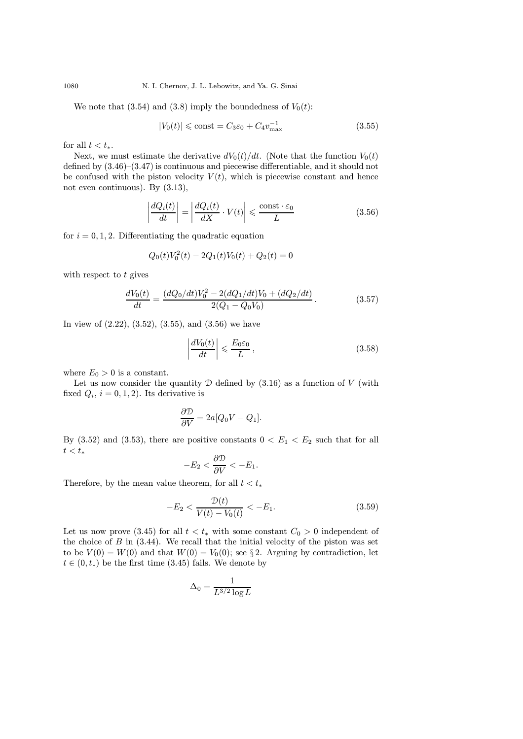1080 N. I. Chernov, J. L. Lebowitz, and Ya. G. Sinai

We note that (3.54) and (3.8) imply the boundedness of  $V_0(t)$ :

$$
|V_0(t)| \le \text{const} = C_3 \varepsilon_0 + C_4 v_{\text{max}}^{-1}
$$
\n(3.55)

for all  $t < t_*$ .

Next, we must estimate the derivative  $dV_0(t)/dt$ . (Note that the function  $V_0(t)$ defined by (3.46)–(3.47) is continuous and piecewise differentiable, and it should not be confused with the piston velocity  $V(t)$ , which is piecewise constant and hence not even continuous). By (3.13),

$$
\left| \frac{dQ_i(t)}{dt} \right| = \left| \frac{dQ_i(t)}{dX} \cdot V(t) \right| \leq \frac{\text{const} \cdot \varepsilon_0}{L}
$$
\n(3.56)

for  $i = 0, 1, 2$ . Differentiating the quadratic equation

$$
Q_0(t)V_0^2(t) - 2Q_1(t)V_0(t) + Q_2(t) = 0
$$

with respect to  $t$  gives

$$
\frac{dV_0(t)}{dt} = \frac{(dQ_0/dt)V_0^2 - 2(dQ_1/dt)V_0 + (dQ_2/dt)}{2(Q_1 - Q_0V_0)}.
$$
\n(3.57)

In view of (2.22), (3.52), (3.55), and (3.56) we have

$$
\left| \frac{dV_0(t)}{dt} \right| \leqslant \frac{E_0 \varepsilon_0}{L},\tag{3.58}
$$

where  $E_0 > 0$  is a constant.

Let us now consider the quantity  $D$  defined by  $(3.16)$  as a function of V (with fixed  $Q_i$ ,  $i = 0, 1, 2$ . Its derivative is

$$
\frac{\partial \mathcal{D}}{\partial V} = 2a[Q_0V - Q_1].
$$

By (3.52) and (3.53), there are positive constants  $0 < E_1 < E_2$  such that for all  $t < t_*$ 

$$
-E_2 < \frac{\partial \mathcal{D}}{\partial V} < -E_1.
$$

Therefore, by the mean value theorem, for all  $t < t_*$ 

$$
-E_2 < \frac{\mathcal{D}(t)}{V(t) - V_0(t)} < -E_1. \tag{3.59}
$$

Let us now prove (3.45) for all  $t < t_*$  with some constant  $C_0 > 0$  independent of the choice of  $B$  in  $(3.44)$ . We recall that the initial velocity of the piston was set to be  $V(0) = W(0)$  and that  $W(0) = V_0(0)$ ; see §2. Arguing by contradiction, let  $t \in (0, t_*)$  be the first time (3.45) fails. We denote by

$$
\Delta_0 = \frac{1}{L^{3/2}\log L}
$$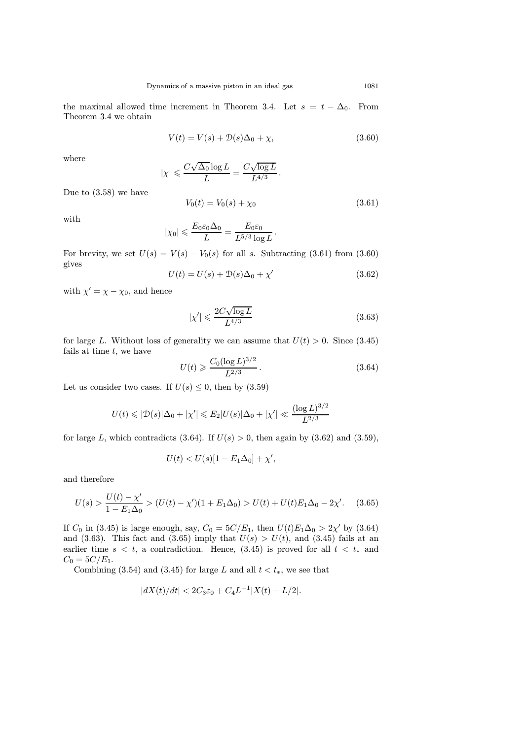the maximal allowed time increment in Theorem 3.4. Let  $s = t - \Delta_0$ . From Theorem 3.4 we obtain

$$
V(t) = V(s) + \mathcal{D}(s)\Delta_0 + \chi,\tag{3.60}
$$

where

$$
|\chi| \leqslant \frac{C\sqrt{\Delta_0}\log L}{L} = \frac{C\sqrt{\log L}}{L^{4/3}}\,.
$$

Due to (3.58) we have

$$
V_0(t) = V_0(s) + \chi_0 \tag{3.61}
$$

with

$$
|\chi_0| \leqslant \frac{E_0 \varepsilon_0 \Delta_0}{L} = \frac{E_0 \varepsilon_0}{L^{5/3} \log L} \, .
$$

For brevity, we set  $U(s) = V(s) - V_0(s)$  for all s. Subtracting (3.61) from (3.60) gives

$$
U(t) = U(s) + \mathcal{D}(s)\Delta_0 + \chi'
$$
\n(3.62)

with  $\chi' = \chi - \chi_0$ , and hence

$$
|\chi'| \leqslant \frac{2C\sqrt{\log L}}{L^{4/3}}\tag{3.63}
$$

for large L. Without loss of generality we can assume that  $U(t) > 0$ . Since (3.45) fails at time  $t$ , we have

$$
U(t) \geqslant \frac{C_0 (\log L)^{3/2}}{L^{2/3}}.
$$
\n(3.64)

Let us consider two cases. If  $U(s) \leq 0$ , then by  $(3.59)$ 

$$
U(t) \leq |\mathcal{D}(s)|\Delta_0 + |\chi'| \leq E_2|U(s)|\Delta_0 + |\chi'| \leq \frac{(\log L)^{3/2}}{L^{2/3}}
$$

for large L, which contradicts (3.64). If  $U(s) > 0$ , then again by (3.62) and (3.59),

$$
U(t) < U(s)[1 - E_1 \Delta_0] + \chi',
$$

and therefore

$$
U(s) > \frac{U(t) - \chi'}{1 - E_1 \Delta_0} > (U(t) - \chi')(1 + E_1 \Delta_0) > U(t) + U(t)E_1 \Delta_0 - 2\chi'. \quad (3.65)
$$

If  $C_0$  in (3.45) is large enough, say,  $C_0 = 5C/E_1$ , then  $U(t)E_1\Delta_0 > 2\chi'$  by (3.64) and (3.63). This fact and (3.65) imply that  $U(s) > U(t)$ , and (3.45) fails at an earlier time  $s < t$ , a contradiction. Hence, (3.45) is proved for all  $t < t_*$  and  $C_0 = 5C/E_1.$ 

Combining (3.54) and (3.45) for large L and all  $t < t_*$ , we see that

$$
|dX(t)/dt| < 2C_3\varepsilon_0 + C_4L^{-1}|X(t) - L/2|.
$$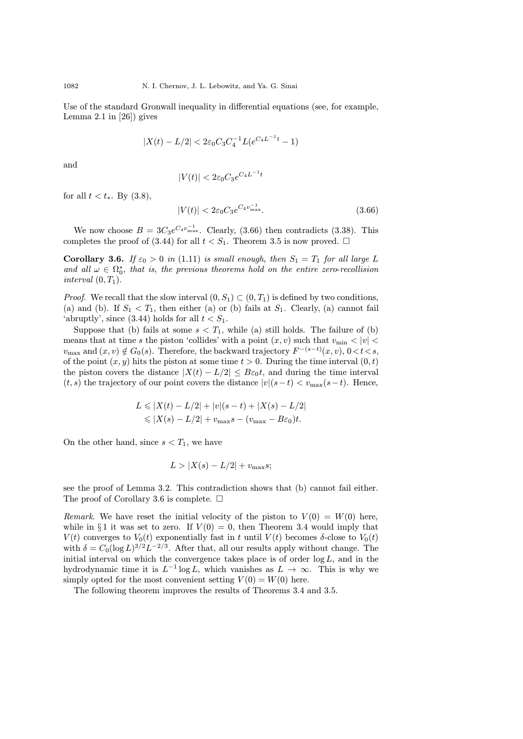Use of the standard Gronwall inequality in differential equations (see, for example, Lemma 2.1 in  $[26]$  gives

$$
|X(t) - L/2| < 2\varepsilon_0 C_3 C_4^{-1} L(e^{C_4 L^{-1} t} - 1)
$$

and

$$
|V(t)| < 2\varepsilon_0 C_3 e^{C_4 L^{-1} t}
$$

for all  $t < t_*$ . By (3.8),

$$
|V(t)| < 2\varepsilon_0 C_3 e^{C_4 v_{\text{max}}^{-1}}.\tag{3.66}
$$

We now choose  $B = 3C_3e^{C_4v_{\text{max}}^{-1}}$ . Clearly, (3.66) then contradicts (3.38). This completes the proof of (3.44) for all  $t < S_1$ . Theorem 3.5 is now proved.  $\Box$ 

Corollary 3.6. If  $\varepsilon_0 > 0$  in (1.11) is small enough, then  $S_1 = T_1$  for all large L and all  $\omega \in \Omega_0^*$ , that is, the previous theorems hold on the entire zero-recollision interval  $(0, T_1)$ .

*Proof.* We recall that the slow interval  $(0, S_1) \subset (0, T_1)$  is defined by two conditions, (a) and (b). If  $S_1 < T_1$ , then either (a) or (b) fails at  $S_1$ . Clearly, (a) cannot fail 'abruptly', since  $(3.44)$  holds for all  $t < S_1$ .

Suppose that (b) fails at some  $s < T_1$ , while (a) still holds. The failure of (b) means that at time s the piston 'collides' with a point  $(x, v)$  such that  $v_{\text{min}} < |v|$  $v_{\text{max}}$  and  $(x, v) \notin G_0(s)$ . Therefore, the backward trajectory  $F^{-(s-t)}(x, v)$ ,  $0 < t < s$ , of the point  $(x, y)$  hits the piston at some time  $t > 0$ . During the time interval  $(0, t)$ the piston covers the distance  $|X(t) - L/2| \leq B\varepsilon_0 t$ , and during the time interval  $(t, s)$  the trajectory of our point covers the distance  $|v|(s-t) < v_{\text{max}}(s-t)$ . Hence,

$$
L \leq |X(t) - L/2| + |v|(s - t) + |X(s) - L/2|
$$
  

$$
\leq |X(s) - L/2| + v_{\text{max}}s - (v_{\text{max}} - B\varepsilon_0)t.
$$

On the other hand, since  $s < T_1$ , we have

$$
L > |X(s) - L/2| + v_{\text{max}}s;
$$

see the proof of Lemma 3.2. This contradiction shows that (b) cannot fail either. The proof of Corollary 3.6 is complete.  $\Box$ 

Remark. We have reset the initial velocity of the piston to  $V(0) = W(0)$  here, while in § 1 it was set to zero. If  $V(0) = 0$ , then Theorem 3.4 would imply that  $V(t)$  converges to  $V_0(t)$  exponentially fast in t until  $V(t)$  becomes  $\delta$ -close to  $V_0(t)$ with  $\delta = C_0(\log L)^{3/2}L^{-2/3}$ . After that, all our results apply without change. The initial interval on which the convergence takes place is of order  $log L$ , and in the hydrodynamic time it is  $L^{-1} \log L$ , which vanishes as  $L \to \infty$ . This is why we simply opted for the most convenient setting  $V(0) = W(0)$  here.

The following theorem improves the results of Theorems 3.4 and 3.5.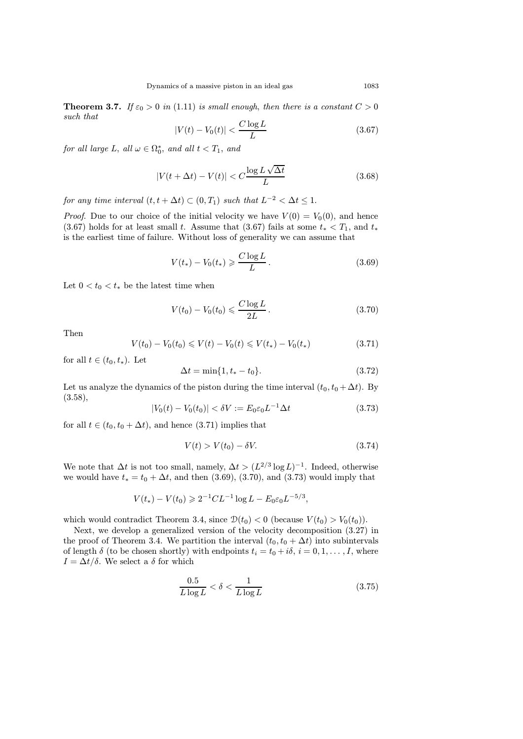**Theorem 3.7.** If  $\varepsilon_0 > 0$  in (1.11) is small enough, then there is a constant  $C > 0$ such that

$$
|V(t) - V_0(t)| < \frac{C \log L}{L} \tag{3.67}
$$

for all large L, all  $\omega \in \Omega_0^*$ , and all  $t < T_1$ , and

$$
|V(t + \Delta t) - V(t)| < C \frac{\log L \sqrt{\Delta t}}{L} \tag{3.68}
$$

for any time interval  $(t, t + \Delta t) \subset (0, T_1)$  such that  $L^{-2} < \Delta t \leq 1$ .

*Proof.* Due to our choice of the initial velocity we have  $V(0) = V_0(0)$ , and hence (3.67) holds for at least small t. Assume that (3.67) fails at some  $t_* < T_1$ , and  $t_*$ is the earliest time of failure. Without loss of generality we can assume that

$$
V(t_{*}) - V_0(t_{*}) \geqslant \frac{C \log L}{L}.
$$
\n(3.69)

Let  $0 < t_0 < t_*$  be the latest time when

$$
V(t_0) - V_0(t_0) \leqslant \frac{C \log L}{2L} \,. \tag{3.70}
$$

Then

$$
V(t_0) - V_0(t_0) \le V(t) - V_0(t) \le V(t_*) - V_0(t_*)
$$
\n(3.71)

for all  $t \in (t_0, t_*)$ . Let

$$
\Delta t = \min\{1, t_* - t_0\}.\tag{3.72}
$$

Let us analyze the dynamics of the piston during the time interval  $(t_0, t_0 + \Delta t)$ . By (3.58),

$$
|V_0(t) - V_0(t_0)| < \delta V := E_0 \varepsilon_0 L^{-1} \Delta t \tag{3.73}
$$

for all  $t \in (t_0, t_0 + \Delta t)$ , and hence (3.71) implies that

$$
V(t) > V(t_0) - \delta V.
$$
\n
$$
(3.74)
$$

We note that  $\Delta t$  is not too small, namely,  $\Delta t > (L^{2/3} \log L)^{-1}$ . Indeed, otherwise we would have  $t_* = t_0 + \Delta t$ , and then (3.69), (3.70), and (3.73) would imply that

$$
V(t_{*}) - V(t_{0}) \geq 2^{-1}CL^{-1}\log L - E_{0}\varepsilon_{0}L^{-5/3},
$$

which would contradict Theorem 3.4, since  $\mathcal{D}(t_0) < 0$  (because  $V(t_0) > V_0(t_0)$ ).

Next, we develop a generalized version of the velocity decomposition (3.27) in the proof of Theorem 3.4. We partition the interval  $(t_0, t_0 + \Delta t)$  into subintervals of length  $\delta$  (to be chosen shortly) with endpoints  $t_i = t_0 + i\delta$ ,  $i = 0, 1, \ldots, I$ , where  $I = \Delta t / \delta$ . We select a  $\delta$  for which

$$
\frac{0.5}{L\log L} < \delta < \frac{1}{L\log L} \tag{3.75}
$$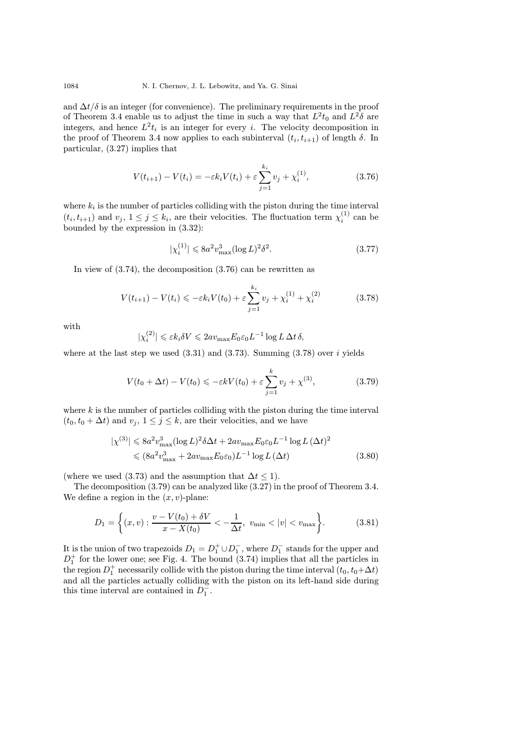and  $\Delta t/\delta$  is an integer (for convenience). The preliminary requirements in the proof of Theorem 3.4 enable us to adjust the time in such a way that  $L^2 t_0$  and  $L^2 \delta$  are integers, and hence  $L^2 t_i$  is an integer for every i. The velocity decomposition in the proof of Theorem 3.4 now applies to each subinterval  $(t_i, t_{i+1})$  of length  $\delta$ . In particular, (3.27) implies that

$$
V(t_{i+1}) - V(t_i) = -\varepsilon k_i V(t_i) + \varepsilon \sum_{j=1}^{k_i} v_j + \chi_i^{(1)},
$$
\n(3.76)

where  $k_i$  is the number of particles colliding with the piston during the time interval  $(t_i, t_{i+1})$  and  $v_j$ ,  $1 \leq j \leq k_i$ , are their velocities. The fluctuation term  $\chi_i^{(1)}$  can be bounded by the expression in (3.32):

$$
|\chi_i^{(1)}| \leq 8a^2 v_{\text{max}}^3 (\log L)^2 \delta^2. \tag{3.77}
$$

In view of  $(3.74)$ , the decomposition  $(3.76)$  can be rewritten as

$$
V(t_{i+1}) - V(t_i) \leqslant -\varepsilon k_i V(t_0) + \varepsilon \sum_{j=1}^{k_i} v_j + \chi_i^{(1)} + \chi_i^{(2)}
$$
(3.78)

with

$$
|\chi_i^{(2)}| \leqslant \varepsilon k_i \delta V \leqslant 2 a v_{\max} E_0 \varepsilon_0 L^{-1} \log L \, \Delta t \, \delta,
$$

where at the last step we used  $(3.31)$  and  $(3.73)$ . Summing  $(3.78)$  over i yields

$$
V(t_0 + \Delta t) - V(t_0) \leqslant -\varepsilon k V(t_0) + \varepsilon \sum_{j=1}^{k} v_j + \chi^{(3)}, \tag{3.79}
$$

where  $k$  is the number of particles colliding with the piston during the time interval  $(t_0, t_0 + \Delta t)$  and  $v_j$ ,  $1 \leq j \leq k$ , are their velocities, and we have

$$
|\chi^{(3)}| \leq 8a^2 v_{\text{max}}^3 (\log L)^2 \delta \Delta t + 2a v_{\text{max}} E_0 \varepsilon_0 L^{-1} \log L (\Delta t)^2
$$
  

$$
\leq (8a^2 v_{\text{max}}^3 + 2a v_{\text{max}} E_0 \varepsilon_0) L^{-1} \log L (\Delta t)
$$
 (3.80)

(where we used (3.73) and the assumption that  $\Delta t \leq 1$ ).

The decomposition (3.79) can be analyzed like (3.27) in the proof of Theorem 3.4. We define a region in the  $(x, v)$ -plane:

$$
D_1 = \left\{ (x, v) : \frac{v - V(t_0) + \delta V}{x - X(t_0)} < -\frac{1}{\Delta t}, \ v_{\min} < |v| < v_{\max} \right\}.
$$
\n(3.81)

It is the union of two trapezoids  $D_1 = D_1^+ \cup D_1^-$ , where  $D_1^-$  stands for the upper and  $D_1^+$  for the lower one; see Fig. 4. The bound (3.74) implies that all the particles in the region  $D_1^+$  necessarily collide with the piston during the time interval  $(t_0, t_0+\Delta t)$ and all the particles actually colliding with the piston on its left-hand side during this time interval are contained in  $D_1^-$ .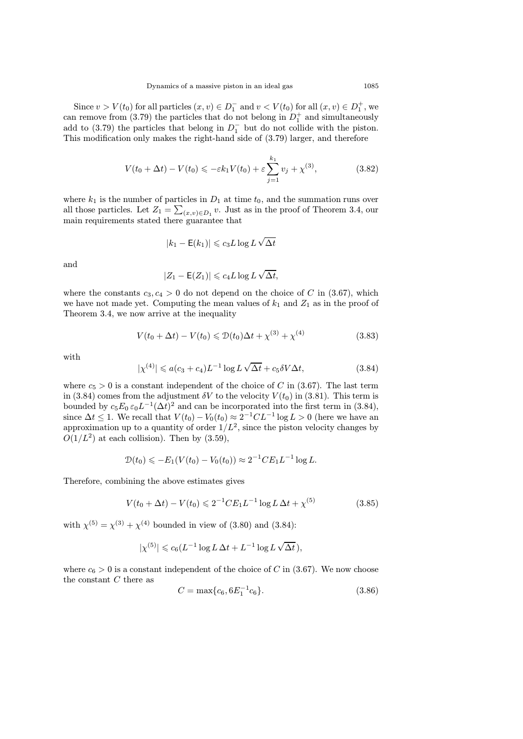Since  $v > V(t_0)$  for all particles  $(x, v) \in D_1^-$  and  $v < V(t_0)$  for all  $(x, v) \in D_1^+$ , we can remove from (3.79) the particles that do not belong in  $D_1^+$  and simultaneously add to (3.79) the particles that belong in  $D_1^-$  but do not collide with the piston. This modification only makes the right-hand side of (3.79) larger, and therefore

$$
V(t_0 + \Delta t) - V(t_0) \le -\varepsilon k_1 V(t_0) + \varepsilon \sum_{j=1}^{k_1} v_j + \chi^{(3)},
$$
 (3.82)

where  $k_1$  is the number of particles in  $D_1$  at time  $t_0$ , and the summation runs over all those particles. Let  $Z_1 = \sum_{(x,v)\in D_1} v$ . Just as in the proof of Theorem 3.4, our main requirements stated there guarantee that

$$
|k_1 - \mathsf{E}(k_1)| \leqslant c_3 L \log L \sqrt{\Delta t}
$$

and

$$
|Z_1 - \mathsf{E}(Z_1)| \leqslant c_4 L \log L \sqrt{\Delta t},
$$

where the constants  $c_3, c_4 > 0$  do not depend on the choice of C in (3.67), which we have not made yet. Computing the mean values of  $k_1$  and  $Z_1$  as in the proof of Theorem 3.4, we now arrive at the inequality

$$
V(t_0 + \Delta t) - V(t_0) \leq \mathcal{D}(t_0)\Delta t + \chi^{(3)} + \chi^{(4)}
$$
\n(3.83)

with

$$
|\chi^{(4)}| \leqslant a(c_3 + c_4)L^{-1}\log L\sqrt{\Delta t} + c_5\delta V\Delta t, \tag{3.84}
$$

where  $c_5 > 0$  is a constant independent of the choice of C in (3.67). The last term in (3.84) comes from the adjustment  $\delta V$  to the velocity  $V(t_0)$  in (3.81). This term is bounded by  $c_5E_0 \epsilon_0 L^{-1}(\Delta t)^2$  and can be incorporated into the first term in (3.84), since  $\Delta t \leq 1$ . We recall that  $V(t_0) - V_0(t_0) \approx 2^{-1}CL^{-1} \log L > 0$  (here we have an approximation up to a quantity of order  $1/L^2$ , since the piston velocity changes by  $O(1/L^2)$  at each collision). Then by  $(3.59)$ ,

$$
\mathcal{D}(t_0) \leqslant -E_1(V(t_0) - V_0(t_0)) \approx 2^{-1} C E_1 L^{-1} \log L.
$$

Therefore, combining the above estimates gives

$$
V(t_0 + \Delta t) - V(t_0) \leq 2^{-1} C E_1 L^{-1} \log L \Delta t + \chi^{(5)}
$$
\n(3.85)

with  $\chi^{(5)} = \chi^{(3)} + \chi^{(4)}$  bounded in view of (3.80) and (3.84):

$$
|\chi^{(5)}| \leq c_6(L^{-1}\log L \Delta t + L^{-1}\log L \sqrt{\Delta t}),
$$

where  $c_6 > 0$  is a constant independent of the choice of C in (3.67). We now choose the constant C there as

$$
C = \max\{c_6, 6E_1^{-1}c_6\}.
$$
\n(3.86)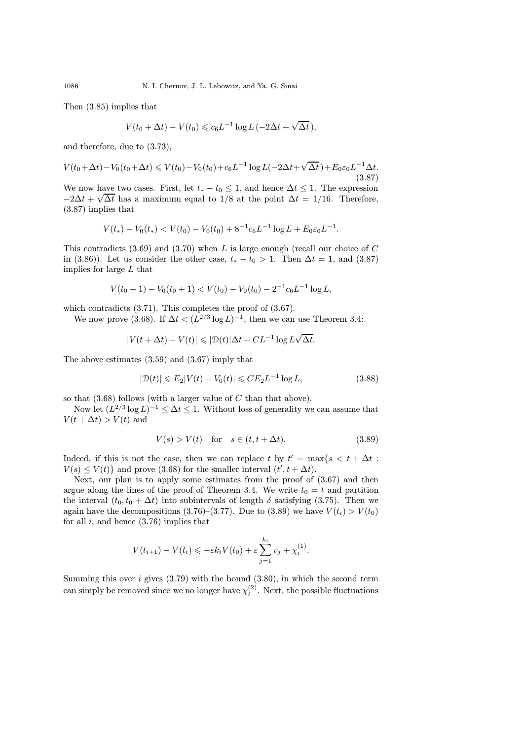1086 N. I. Chernov, J. L. Lebowitz, and Ya. G. Sinai

Then (3.85) implies that

$$
V(t_0 + \Delta t) - V(t_0) \leqslant c_6 L^{-1} \log L \left( -2\Delta t + \sqrt{\Delta t} \right),
$$

and therefore, due to (3.73),

$$
V(t_0 + \Delta t) - V_0(t_0 + \Delta t) \le V(t_0) - V_0(t_0) + c_6 L^{-1} \log L(-2\Delta t + \sqrt{\Delta t}) + E_0 \varepsilon_0 L^{-1} \Delta t.
$$
\n(3.87)

We now have two cases. First, let  $t_* - t_0 \leq 1$ , and hence  $\Delta t \leq 1$ . The expression We now have two cases. First, let  $t_* - t_0 \leq 1$ , and hence  $\Delta t \leq 1$ . The expression  $-2\Delta t + \sqrt{\Delta t}$  has a maximum equal to  $1/8$  at the point  $\Delta t = 1/16$ . Therefore, (3.87) implies that

$$
V(t_{*})-V_{0}(t_{*})
$$

This contradicts  $(3.69)$  and  $(3.70)$  when L is large enough (recall our choice of C in (3.86)). Let us consider the other case,  $t_* - t_0 > 1$ . Then  $\Delta t = 1$ , and (3.87) implies for large L that

$$
V(t_0+1) - V_0(t_0+1) < V(t_0) - V_0(t_0) - 2^{-1}c_6L^{-1}\log L,
$$

which contradicts  $(3.71)$ . This completes the proof of  $(3.67)$ .

We now prove (3.68). If  $\Delta t < (L^{2/3} \log L)^{-1}$ , then we can use Theorem 3.4:

$$
|V(t + \Delta t) - V(t)| \leq |\mathcal{D}(t)|\Delta t + CL^{-1}\log L\sqrt{\Delta t}.
$$

The above estimates (3.59) and (3.67) imply that

$$
|\mathcal{D}(t)| \leqslant E_2|V(t) - V_0(t)| \leqslant C E_2 L^{-1} \log L,\tag{3.88}
$$

so that  $(3.68)$  follows (with a larger value of C than that above).

Now let  $(L^{2/3} \log L)^{-1}$  ≤  $\Delta t$  ≤ 1. Without loss of generality we can assume that  $V(t + \Delta t) > V(t)$  and

$$
V(s) > V(t) \quad \text{for} \quad s \in (t, t + \Delta t). \tag{3.89}
$$

Indeed, if this is not the case, then we can replace t by  $t' = \max\{s < t + \Delta t :$  $V(s) \le V(t)$ } and prove (3.68) for the smaller interval  $(t', t + \Delta t)$ .

Next, our plan is to apply some estimates from the proof of (3.67) and then argue along the lines of the proof of Theorem 3.4. We write  $t_0 = t$  and partition the interval  $(t_0, t_0 + \Delta t)$  into subintervals of length  $\delta$  satisfying (3.75). Then we again have the decompositions (3.76)–(3.77). Due to (3.89) we have  $V(t_i) > V(t_0)$ for all  $i$ , and hence  $(3.76)$  implies that

$$
V(t_{i+1}) - V(t_i) \leqslant -\varepsilon k_i V(t_0) + \varepsilon \sum_{j=1}^{k_i} v_j + \chi_i^{(1)}.
$$

Summing this over  $i$  gives  $(3.79)$  with the bound  $(3.80)$ , in which the second term can simply be removed since we no longer have  $\chi_i^{(2)}$ . Next, the possible fluctuations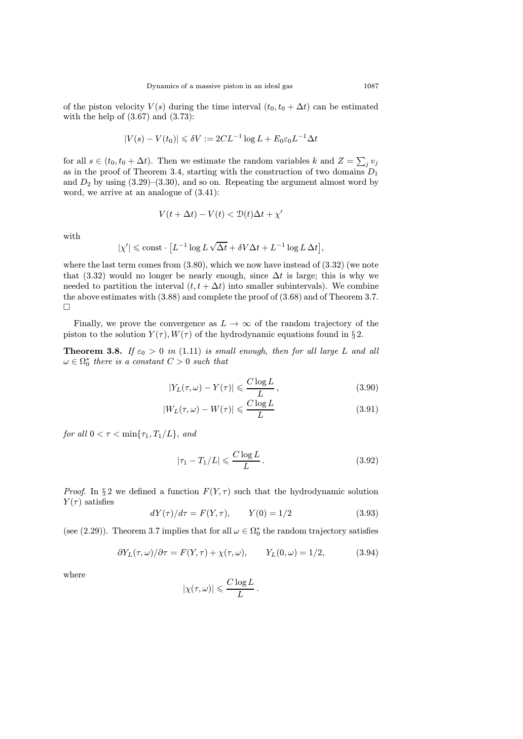of the piston velocity  $V(s)$  during the time interval  $(t_0, t_0 + \Delta t)$  can be estimated with the help of  $(3.67)$  and  $(3.73)$ :

$$
|V(s)-V(t_0)|\leqslant \delta V:=2CL^{-1}\log L+E_0\varepsilon_0 L^{-1}\Delta t
$$

for all  $s \in (t_0, t_0 + \Delta t)$ . Then we estimate the random variables k and  $Z = \sum_j v_j$ as in the proof of Theorem 3.4, starting with the construction of two domains  $D_1$ and  $D_2$  by using  $(3.29)$ – $(3.30)$ , and so on. Repeating the argument almost word by word, we arrive at an analogue of (3.41):

$$
V(t + \Delta t) - V(t) < \mathcal{D}(t)\Delta t + \chi'
$$

with

$$
|\chi'|\leqslant {\mathrm{const}}\cdot \big[ L^{-1}\log L\sqrt{\Delta t} + \delta V \Delta t + L^{-1}\log L\,\Delta t\big],
$$

where the last term comes from  $(3.80)$ , which we now have instead of  $(3.32)$  (we note that (3.32) would no longer be nearly enough, since  $\Delta t$  is large; this is why we needed to partition the interval  $(t, t + \Delta t)$  into smaller subintervals). We combine the above estimates with (3.88) and complete the proof of (3.68) and of Theorem 3.7.  $\Box$ 

Finally, we prove the convergence as  $L \to \infty$  of the random trajectory of the piston to the solution  $Y(\tau)$ ,  $W(\tau)$  of the hydrodynamic equations found in § 2.

**Theorem 3.8.** If  $\varepsilon_0 > 0$  in (1.11) is small enough, then for all large L and all  $\omega \in \Omega_0^*$  there is a constant  $C > 0$  such that

$$
|Y_L(\tau,\omega) - Y(\tau)| \leqslant \frac{C \log L}{L},\tag{3.90}
$$

$$
|W_L(\tau,\omega) - W(\tau)| \leqslant \frac{C \log L}{L} \tag{3.91}
$$

for all  $0 < \tau < \min\{\tau_1, T_1/L\}$ , and

$$
|\tau_1 - T_1/L| \leqslant \frac{C \log L}{L} \,. \tag{3.92}
$$

*Proof.* In § 2 we defined a function  $F(Y, \tau)$  such that the hydrodynamic solution  $Y(\tau)$  satisfies

$$
dY(\tau)/d\tau = F(Y, \tau), \qquad Y(0) = 1/2 \tag{3.93}
$$

(see (2.29)). Theorem 3.7 implies that for all  $\omega \in \Omega_0^*$  the random trajectory satisfies

$$
\partial Y_L(\tau,\omega)/\partial \tau = F(Y,\tau) + \chi(\tau,\omega), \qquad Y_L(0,\omega) = 1/2, \tag{3.94}
$$

where

$$
|\chi(\tau,\omega)| \leqslant \frac{C \log L}{L} \, .
$$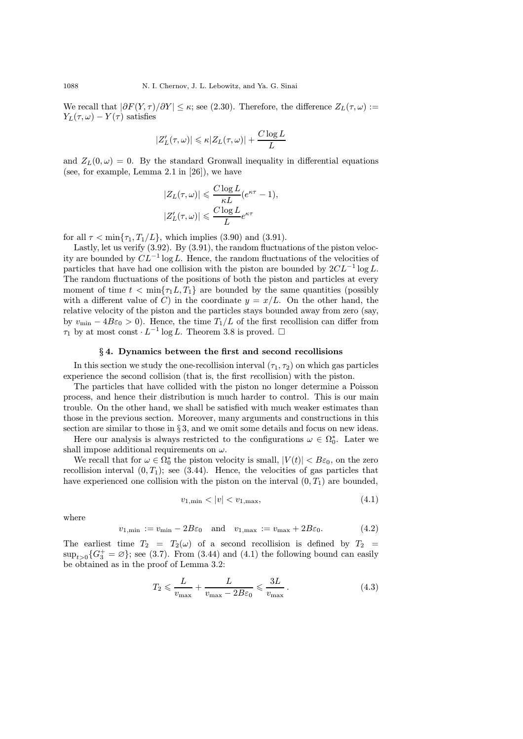We recall that  $|\partial F(Y,\tau)/\partial Y| \leq \kappa$ ; see (2.30). Therefore, the difference  $Z_L(\tau,\omega) :=$  $Y_L(\tau,\omega) - Y(\tau)$  satisfies

$$
|Z'_L(\tau,\omega)| \leq \kappa |Z_L(\tau,\omega)| + \frac{C \log L}{L}
$$

and  $Z_L(0, \omega) = 0$ . By the standard Gronwall inequality in differential equations (see, for example, Lemma 2.1 in [\[26\]\)](#page-81-0), we have

$$
|Z_L(\tau,\omega)| \leqslant \frac{C \log L}{\kappa L} (e^{\kappa \tau} - 1),
$$
  

$$
|Z'_L(\tau,\omega)| \leqslant \frac{C \log L}{L} e^{\kappa \tau}
$$

for all  $\tau < \min{\lbrace \tau_1, T_1/L \rbrace}$ , which implies (3.90) and (3.91).

Lastly, let us verify (3.92). By (3.91), the random fluctuations of the piston velocity are bounded by  $CL^{-1}$  log L. Hence, the random fluctuations of the velocities of particles that have had one collision with the piston are bounded by  $2CL^{-1} \log L$ . The random fluctuations of the positions of both the piston and particles at every moment of time  $t < \min\{\tau_1 L, T_1\}$  are bounded by the same quantities (possibly with a different value of C) in the coordinate  $y = x/L$ . On the other hand, the relative velocity of the piston and the particles stays bounded away from zero (say, by  $v_{\text{min}} - 4B\varepsilon_0 > 0$ . Hence, the time  $T_1/L$  of the first recollision can differ from  $\tau_1$  by at most const  $\cdot L^{-1}$  log L. Theorem 3.8 is proved.  $\Box$ 

## § 4. Dynamics between the first and second recollisions

In this section we study the one-recollision interval  $(\tau_1, \tau_2)$  on which gas particles experience the second collision (that is, the first recollision) with the piston.

The particles that have collided with the piston no longer determine a Poisson process, and hence their distribution is much harder to control. This is our main trouble. On the other hand, we shall be satisfied with much weaker estimates than those in the previous section. Moreover, many arguments and constructions in this section are similar to those in § 3, and we omit some details and focus on new ideas.

Here our analysis is always restricted to the configurations  $\omega \in \Omega_0^*$ . Later we shall impose additional requirements on  $\omega$ .

We recall that for  $\omega \in \Omega_0^*$  the piston velocity is small,  $|V(t)| < B\varepsilon_0$ , on the zero recollision interval  $(0, T_1)$ ; see  $(3.44)$ . Hence, the velocities of gas particles that have experienced one collision with the piston on the interval  $(0, T_1)$  are bounded,

$$
v_{1,\min} < |v| < v_{1,\max},\tag{4.1}
$$

where

$$
v_{1,\min} := v_{\min} - 2B\varepsilon_0 \quad \text{and} \quad v_{1,\max} := v_{\max} + 2B\varepsilon_0. \tag{4.2}
$$

The earliest time  $T_2 = T_2(\omega)$  of a second recollision is defined by  $T_2 =$  $\sup_{t>0}$ { $G_3^+ = \varnothing$ }; see (3.7). From (3.44) and (4.1) the following bound can easily be obtained as in the proof of Lemma 3.2:

$$
T_2 \leqslant \frac{L}{v_{\text{max}}} + \frac{L}{v_{\text{max}} - 2B\varepsilon_0} \leqslant \frac{3L}{v_{\text{max}}}.
$$
\n
$$
(4.3)
$$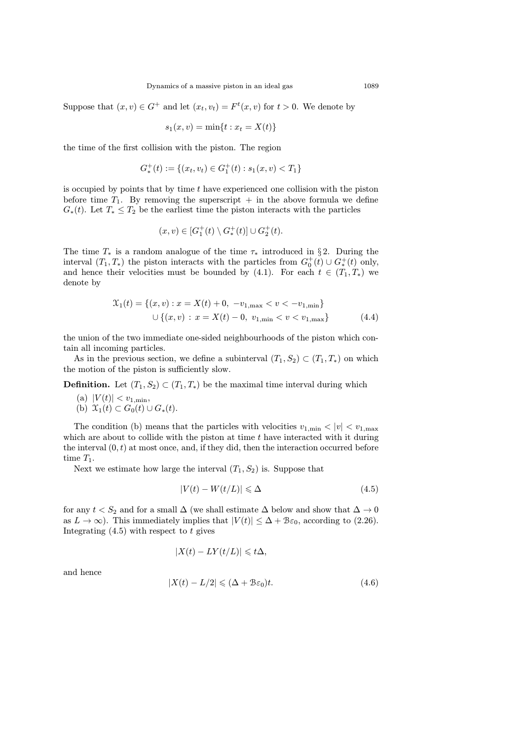Suppose that  $(x, v) \in G^+$  and let  $(x_t, v_t) = F^t(x, v)$  for  $t > 0$ . We denote by

$$
s_1(x, v) = \min\{t : x_t = X(t)\}
$$

the time of the first collision with the piston. The region

$$
G_*^+(t) := \{(x_t, v_t) \in G_1^+(t) : s_1(x, v) < T_1\}
$$

is occupied by points that by time  $t$  have experienced one collision with the piston before time  $T_1$ . By removing the superscript  $+$  in the above formula we define  $G_*(t)$ . Let  $T_* \leq T_2$  be the earliest time the piston interacts with the particles

$$
(x,v) \in [G_1^+(t) \setminus G_*^+(t)] \cup G_2^+(t).
$$

The time  $T_*$  is a random analogue of the time  $\tau_*$  introduced in §2. During the interval  $(T_1, T_*)$  the piston interacts with the particles from  $G_0^+(t) \cup G_*^+(t)$  only, and hence their velocities must be bounded by (4.1). For each  $t \in (T_1, T_*)$  we denote by

$$
\mathcal{X}_1(t) = \{(x, v) : x = X(t) + 0, -v_{1, \max} < v < -v_{1, \min}\}\
$$
  

$$
\cup \{(x, v) : x = X(t) - 0, v_{1, \min} < v < v_{1, \max}\}\
$$
(4.4)

the union of the two immediate one-sided neighbourhoods of the piston which contain all incoming particles.

As in the previous section, we define a subinterval  $(T_1, S_2) \subset (T_1, T_*)$  on which the motion of the piston is sufficiently slow.

**Definition.** Let  $(T_1, S_2) \subset (T_1, T_*)$  be the maximal time interval during which

(a)  $|V(t)| < v_{1,\text{min}},$ 

(b)  $\mathcal{X}_1(t) \subset G_0(t) \cup G_*(t)$ .

The condition (b) means that the particles with velocities  $v_{1,\text{min}} < |v| < v_{1,\text{max}}$ which are about to collide with the piston at time  $t$  have interacted with it during the interval  $(0, t)$  at most once, and, if they did, then the interaction occurred before time  $T_1$ .

Next we estimate how large the interval  $(T_1, S_2)$  is. Suppose that

$$
|V(t) - W(t/L)| \leq \Delta \tag{4.5}
$$

for any  $t < S_2$  and for a small  $\Delta$  (we shall estimate  $\Delta$  below and show that  $\Delta \to 0$ as  $L \to \infty$ ). This immediately implies that  $|V(t)| \leq \Delta + B\varepsilon_0$ , according to (2.26). Integrating  $(4.5)$  with respect to t gives

$$
|X(t) - LY(t/L)| \leq t\Delta,
$$

and hence

$$
|X(t) - L/2| \leq (\Delta + B\varepsilon_0)t.
$$
\n(4.6)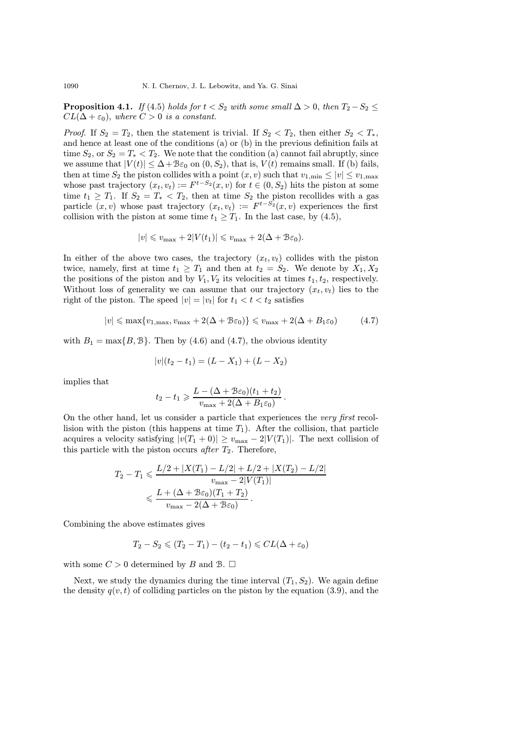**Proposition 4.1.** If (4.5) holds for  $t < S_2$  with some small  $\Delta > 0$ , then  $T_2 - S_2 \leq$  $CL(\Delta + \varepsilon_0)$ , where  $C > 0$  is a constant.

*Proof.* If  $S_2 = T_2$ , then the statement is trivial. If  $S_2 < T_2$ , then either  $S_2 < T_*$ , and hence at least one of the conditions (a) or (b) in the previous definition fails at time  $S_2$ , or  $S_2 = T_* < T_2$ . We note that the condition (a) cannot fail abruptly, since we assume that  $|V(t)| \leq \Delta + \mathcal{B}\varepsilon_0$  on  $(0, S_2)$ , that is,  $V(t)$  remains small. If (b) fails, then at time  $S_2$  the piston collides with a point  $(x, v)$  such that  $v_{1,\text{min}} \leq |v| \leq v_{1,\text{max}}$ whose past trajectory  $(x_t, v_t) := F^{t-S_2}(x, v)$  for  $t \in (0, S_2)$  hits the piston at some time  $t_1 \geq T_1$ . If  $S_2 = T_* < T_2$ , then at time  $S_2$  the piston recollides with a gas particle  $(x, v)$  whose past trajectory  $(x_t, v_t) := F^{t-S_2}(x, v)$  experiences the first collision with the piston at some time  $t_1 \geq T_1$ . In the last case, by (4.5),

$$
|v| \leq v_{\text{max}} + 2|V(t_1)| \leq v_{\text{max}} + 2(\Delta + B\varepsilon_0).
$$

In either of the above two cases, the trajectory  $(x_t, v_t)$  collides with the piston twice, namely, first at time  $t_1 \geq T_1$  and then at  $t_2 = S_2$ . We denote by  $X_1, X_2$ the positions of the piston and by  $V_1, V_2$  its velocities at times  $t_1, t_2$ , respectively. Without loss of generality we can assume that our trajectory  $(x_t, v_t)$  lies to the right of the piston. The speed  $|v| = |v_t|$  for  $t_1 < t < t_2$  satisfies

$$
|v| \le \max\{v_{1,\max}, v_{\max} + 2(\Delta + B\varepsilon_0)\} \le v_{\max} + 2(\Delta + B_1\varepsilon_0)
$$
 (4.7)

with  $B_1 = \max\{B, \mathcal{B}\}\.$  Then by (4.6) and (4.7), the obvious identity

$$
|v|(t_2 - t_1) = (L - X_1) + (L - X_2)
$$

implies that

$$
t_2 - t_1 \geqslant \frac{L - (\Delta + B\varepsilon_0)(t_1 + t_2)}{v_{\text{max}} + 2(\Delta + B_1\varepsilon_0)}.
$$

On the other hand, let us consider a particle that experiences the very first recollision with the piston (this happens at time  $T_1$ ). After the collision, that particle acquires a velocity satisfying  $|v(T_1 + 0)| \ge v_{\text{max}} - 2|V(T_1)|$ . The next collision of this particle with the piston occurs after  $T_2$ . Therefore,

$$
T_2 - T_1 \leqslant \frac{L/2 + |X(T_1) - L/2| + L/2 + |X(T_2) - L/2|}{v_{\text{max}} - 2|V(T_1)|}
$$
  

$$
\leqslant \frac{L + (\Delta + B\varepsilon_0)(T_1 + T_2)}{v_{\text{max}} - 2(\Delta + B\varepsilon_0)}.
$$

Combining the above estimates gives

$$
T_2 - S_2 \leqslant (T_2 - T_1) - (t_2 - t_1) \leqslant CL(\Delta + \varepsilon_0)
$$

with some  $C > 0$  determined by B and B.  $\square$ 

Next, we study the dynamics during the time interval  $(T_1, S_2)$ . We again define the density  $q(v, t)$  of colliding particles on the piston by the equation (3.9), and the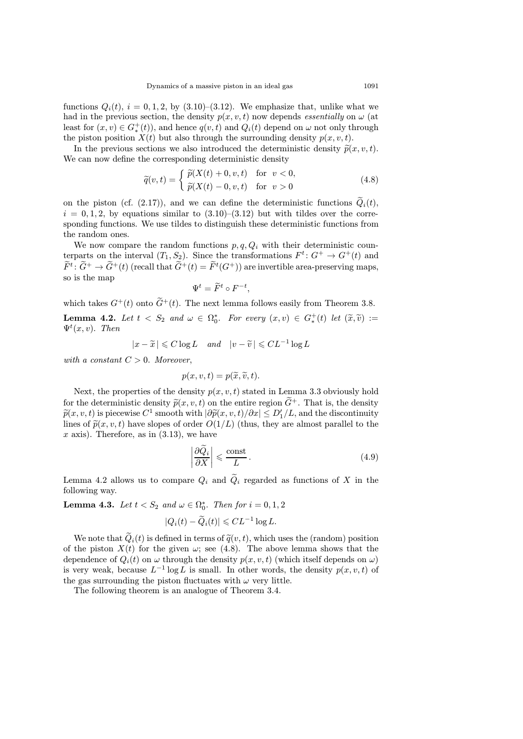functions  $Q_i(t)$ ,  $i = 0, 1, 2$ , by  $(3.10)$ – $(3.12)$ . We emphasize that, unlike what we had in the previous section, the density  $p(x, v, t)$  now depends *essentially* on  $\omega$  (at least for  $(x, v) \in G_*^+(t)$ , and hence  $q(v, t)$  and  $Q_i(t)$  depend on  $\omega$  not only through the piston position  $X(t)$  but also through the surrounding density  $p(x, v, t)$ .

In the previous sections we also introduced the deterministic density  $\tilde{p}(x, v, t)$ . We can now define the corresponding deterministic density

$$
\widetilde{q}(v,t) = \begin{cases} \widetilde{p}(X(t) + 0, v, t) & \text{for } v < 0, \\ \widetilde{p}(X(t) - 0, v, t) & \text{for } v > 0 \end{cases}
$$
\n(4.8)

on the piston (cf. (2.17)), and we can define the deterministic functions  $\tilde{Q}_i(t)$ ,  $i = 0, 1, 2$ , by equations similar to  $(3.10)$ – $(3.12)$  but with tildes over the corresponding functions. We use tildes to distinguish these deterministic functions from the random ones.

We now compare the random functions  $p, q, Q_i$  with their deterministic counterparts on the interval  $(T_1, S_2)$ . Since the transformations  $F^t: G^+ \to G^+(t)$  and  $\widetilde{F}^t$ :  $\widetilde{G}^+ \to \widetilde{G}^+(t)$  (recall that  $\widetilde{G}^+(t) = \widetilde{F}^t(G^+)$ ) are invertible area-preserving maps, so is the map

$$
\Psi^t = \widetilde{F}^t \circ F^{-t},
$$

which takes  $G^+(t)$  onto  $\widetilde{G}^+(t)$ . The next lemma follows easily from Theorem 3.8. **Lemma 4.2.** Let  $t < S_2$  and  $\omega \in \Omega_0^*$ . For every  $(x, v) \in G_*^+(t)$  let  $(\tilde{x}, \tilde{v}) :=$  $\Psi^t(x, v)$ . Then

$$
|x - \widetilde{x}| \leqslant C \log L \quad \text{and} \quad |v - \widetilde{v}| \leqslant CL^{-1} \log L
$$

with a constant  $C > 0$ . Moreover,

$$
p(x, v, t) = p(\widetilde{x}, \widetilde{v}, t).
$$

Next, the properties of the density  $p(x, v, t)$  stated in Lemma 3.3 obviously hold for the deterministic density  $\tilde{p}(x, v, t)$  on the entire region  $\tilde{G}^+$ . That is, the density  $\widetilde{p}(x, v, t)$  is piecewise  $C^1$  smooth with  $|\partial \widetilde{p}(x, v, t)/\partial x| \le D'_1/L$ , and the discontinuity lines of  $\tilde{p}(x, v, t)$  have slopes of order  $O(1/L)$  (thus, they are almost parallel to the  $x$  axis). Therefore, as in  $(3.13)$ , we have

$$
\left|\frac{\partial \widetilde{Q}_i}{\partial X}\right| \leqslant \frac{\text{const}}{L} \,. \tag{4.9}
$$

Lemma 4.2 allows us to compare  $Q_i$  and  $\widetilde{Q}_i$  regarded as functions of X in the following way.

**Lemma 4.3.** Let  $t < S_2$  and  $\omega \in \Omega_0^*$ . Then for  $i = 0, 1, 2$ 

$$
|Q_i(t) - \widetilde{Q}_i(t)| \leq CL^{-1} \log L.
$$

We note that  $\tilde{Q}_i(t)$  is defined in terms of  $\tilde{q}(v, t)$ , which uses the (random) position of the piston  $X(t)$  for the given  $\omega$ ; see (4.8). The above lemma shows that the dependence of  $Q_i(t)$  on  $\omega$  through the density  $p(x, v, t)$  (which itself depends on  $\omega$ ) is very weak, because  $L^{-1} \log L$  is small. In other words, the density  $p(x, v, t)$  of the gas surrounding the piston fluctuates with  $\omega$  very little.

The following theorem is an analogue of Theorem 3.4.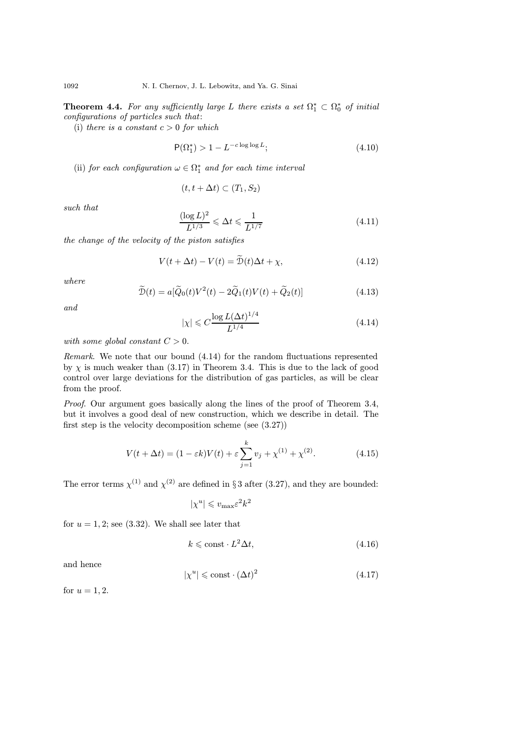**Theorem 4.4.** For any sufficiently large L there exists a set  $\Omega_1^* \subset \Omega_0^*$  of initial configurations of particles such that:

(i) there is a constant  $c > 0$  for which

$$
\mathsf{P}(\Omega_1^*) > 1 - L^{-c \log \log L};\tag{4.10}
$$

(ii) for each configuration  $\omega \in \Omega_1^*$  and for each time interval

$$
(t, t + \Delta t) \subset (T_1, S_2)
$$

such that

$$
\frac{(\log L)^2}{L^{1/3}} \leqslant \Delta t \leqslant \frac{1}{L^{1/7}}\tag{4.11}
$$

the change of the velocity of the piston satisfies

$$
V(t + \Delta t) - V(t) = \tilde{\mathcal{D}}(t)\Delta t + \chi,\tag{4.12}
$$

where

$$
\widetilde{\mathcal{D}}(t) = a[\widetilde{Q}_0(t)V^2(t) - 2\widetilde{Q}_1(t)V(t) + \widetilde{Q}_2(t)]
$$
\n(4.13)

and

$$
|\chi| \leqslant C \frac{\log L(\Delta t)^{1/4}}{L^{1/4}}\tag{4.14}
$$

with some global constant  $C > 0$ .

Remark. We note that our bound (4.14) for the random fluctuations represented by  $\chi$  is much weaker than (3.17) in Theorem 3.4. This is due to the lack of good control over large deviations for the distribution of gas particles, as will be clear from the proof.

Proof. Our argument goes basically along the lines of the proof of Theorem 3.4, but it involves a good deal of new construction, which we describe in detail. The first step is the velocity decomposition scheme (see (3.27))

$$
V(t + \Delta t) = (1 - \varepsilon k)V(t) + \varepsilon \sum_{j=1}^{k} v_j + \chi^{(1)} + \chi^{(2)}.
$$
 (4.15)

The error terms  $\chi^{(1)}$  and  $\chi^{(2)}$  are defined in § 3 after (3.27), and they are bounded:

$$
|\chi^u| \leqslant v_{\text{max}} \varepsilon^2 k^2
$$

for  $u = 1, 2$ ; see (3.32). We shall see later that

$$
k \le \text{const} \cdot L^2 \Delta t,\tag{4.16}
$$

and hence

$$
|\chi^u| \le \text{const} \cdot (\Delta t)^2 \tag{4.17}
$$

for  $u = 1, 2$ .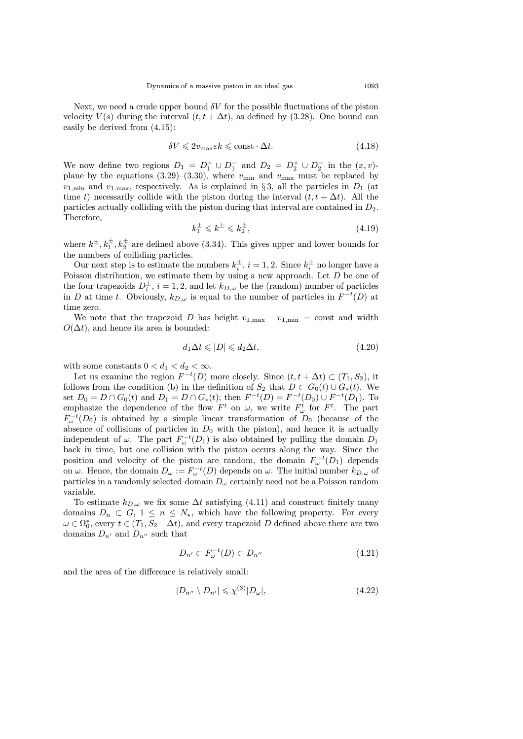Next, we need a crude upper bound  $\delta V$  for the possible fluctuations of the piston velocity  $V(s)$  during the interval  $(t, t + \Delta t)$ , as defined by (3.28). One bound can easily be derived from (4.15):

$$
\delta V \leq 2v_{\text{max}}\varepsilon k \leq \text{const} \cdot \Delta t. \tag{4.18}
$$

We now define two regions  $D_1 = D_1^+ \cup D_1^-$  and  $D_2 = D_2^+ \cup D_2^-$  in the  $(x, v)$ plane by the equations (3.29)–(3.30), where  $v_{\text{min}}$  and  $v_{\text{max}}$  must be replaced by  $v_{1,\text{min}}$  and  $v_{1,\text{max}}$ , respectively. As is explained in § 3, all the particles in  $D_1$  (at time t) necessarily collide with the piston during the interval  $(t, t + \Delta t)$ . All the particles actually colliding with the piston during that interval are contained in  $D_2$ . Therefore,

$$
k_1^{\pm} \leqslant k^{\pm} \leqslant k_2^{\pm},\tag{4.19}
$$

where  $k^{\pm}$ ,  $k_1^{\pm}$ ,  $k_2^{\pm}$  are defined above (3.34). This gives upper and lower bounds for the numbers of colliding particles.

Our next step is to estimate the numbers  $k_i^{\pm}$ ,  $i = 1, 2$ . Since  $k_i^{\pm}$  no longer have a Poisson distribution, we estimate them by using a new approach. Let D be one of the four trapezoids  $D_i^{\pm}$ ,  $i = 1, 2$ , and let  $k_{D,\omega}$  be the (random) number of particles in D at time t. Obviously,  $k_{D,\omega}$  is equal to the number of particles in  $F^{-t}(D)$  at time zero.

We note that the trapezoid D has height  $v_{1,\text{max}} - v_{1,\text{min}} = \text{const}$  and width  $O(\Delta t)$ , and hence its area is bounded:

$$
d_1 \Delta t \leqslant |D| \leqslant d_2 \Delta t,\tag{4.20}
$$

with some constants  $0 < d_1 < d_2 < \infty$ .

Let us examine the region  $F^{-t}(D)$  more closely. Since  $(t, t + \Delta t) \subset (T_1, S_2)$ , it follows from the condition (b) in the definition of  $S_2$  that  $D \subset G_0(t) \cup G_*(t)$ . We set  $D_0 = D \cap G_0(t)$  and  $D_1 = D \cap G_*(t)$ ; then  $F^{-t}(D) = F^{-t}(D_0) \cup F^{-t}(D_1)$ . To emphasize the dependence of the flow  $F^t$  on  $\omega$ , we write  $F^t_{\omega}$  for  $F^t$ . The part  $F_{\omega}^{-t}(D_0)$  is obtained by a simple linear transformation of  $D_0$  (because of the absence of collisions of particles in  $D_0$  with the piston), and hence it is actually independent of  $\omega$ . The part  $F_{\omega}^{-t}(D_1)$  is also obtained by pulling the domain  $D_1$ back in time, but one collision with the piston occurs along the way. Since the position and velocity of the piston are random, the domain  $F_{\omega}^{-t}(D_1)$  depends on  $\omega$ . Hence, the domain  $D_{\omega} := F_{\omega}^{-t}(D)$  depends on  $\omega$ . The initial number  $k_{D,\omega}$  of particles in a randomly selected domain  $D_{\omega}$  certainly need not be a Poisson random variable.

To estimate  $k_{D,\omega}$  we fix some  $\Delta t$  satisfying (4.11) and construct finitely many domains  $D_n \subset G$ ,  $1 \leq n \leq N_*$ , which have the following property. For every  $\omega \in \Omega_0^*$ , every  $t \in (T_1, S_2 - \Delta t)$ , and every trapezoid D defined above there are two domains  $D_{n'}$  and  $D_{n''}$  such that

$$
D_{n'} \subset F_{\omega}^{-t}(D) \subset D_{n''}
$$
\n
$$
(4.21)
$$

and the area of the difference is relatively small:

$$
|D_{n''} \setminus D_{n'}| \leqslant \chi^{(3)}|D_{\omega}|,\tag{4.22}
$$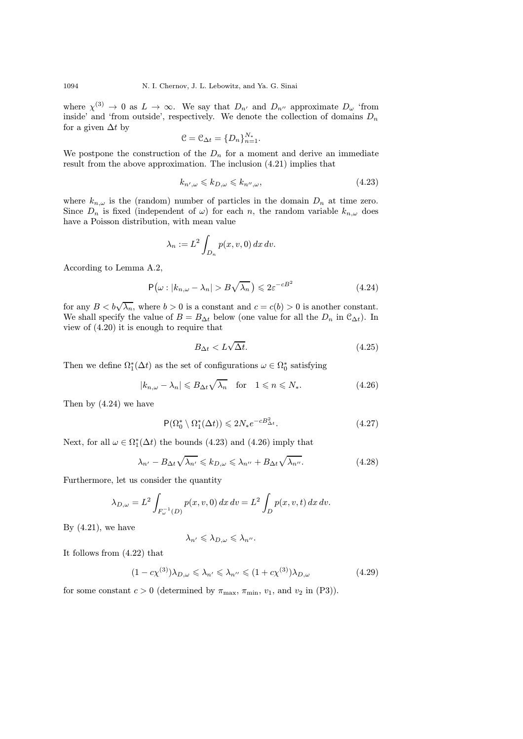where  $\chi^{(3)} \to 0$  as  $L \to \infty$ . We say that  $D_{n'}$  and  $D_{n''}$  approximate  $D_{\omega}$  'from inside' and 'from outside', respectively. We denote the collection of domains  $D_n$ for a given  $\Delta t$  by

$$
\mathcal{C} = \mathcal{C}_{\Delta t} = \{D_n\}_{n=1}^{N_*}.
$$

We postpone the construction of the  $D_n$  for a moment and derive an immediate result from the above approximation. The inclusion (4.21) implies that

$$
k_{n',\omega} \leqslant k_{D,\omega} \leqslant k_{n'',\omega},\tag{4.23}
$$

where  $k_{n,\omega}$  is the (random) number of particles in the domain  $D_n$  at time zero. Since  $D_n$  is fixed (independent of  $\omega$ ) for each n, the random variable  $k_{n,\omega}$  does have a Poisson distribution, with mean value

$$
\lambda_n := L^2 \int_{D_n} p(x, v, 0) \, dx \, dv.
$$

According to Lemma A.2,

$$
P(\omega : |k_{n,\omega} - \lambda_n| > B\sqrt{\lambda_n}) \leq 2\varepsilon^{-cB^2}
$$
\n(4.24)

for any  $B < b\sqrt{\lambda_n}$ , where  $b > 0$  is a constant and  $c = c(b) > 0$  is another constant. We shall specify the value of  $B = B_{\Delta t}$  below (one value for all the  $D_n$  in  $\mathcal{C}_{\Delta t}$ ). In view of (4.20) it is enough to require that

$$
B_{\Delta t} < L\sqrt{\Delta t}.\tag{4.25}
$$

Then we define  $\Omega_1^*(\Delta t)$  as the set of configurations  $\omega \in \Omega_0^*$  satisfying

$$
|k_{n,\omega} - \lambda_n| \le B_{\Delta t} \sqrt{\lambda_n} \quad \text{for} \quad 1 \le n \le N_*.
$$
 (4.26)

Then by (4.24) we have

$$
\mathsf{P}(\Omega_0^* \setminus \Omega_1^*(\Delta t)) \leq 2N_* e^{-cB_{\Delta t}^2}.
$$
\n(4.27)

Next, for all  $\omega \in \Omega_1^*(\Delta t)$  the bounds (4.23) and (4.26) imply that

$$
\lambda_{n'} - B_{\Delta t} \sqrt{\lambda_{n'}} \leq k_{D,\omega} \leq \lambda_{n''} + B_{\Delta t} \sqrt{\lambda_{n''}}.
$$
\n(4.28)

Furthermore, let us consider the quantity

$$
\lambda_{D,\omega} = L^2 \int_{F_{\omega}^{-1}(D)} p(x, v, 0) \, dx \, dv = L^2 \int_D p(x, v, t) \, dx \, dv.
$$

By  $(4.21)$ , we have

$$
\lambda_{n'}\leqslant \lambda_{D,\omega}\leqslant \lambda_{n''}.
$$

It follows from (4.22) that

$$
(1 - c\chi^{(3)})\lambda_{D,\omega} \le \lambda_{n'} \le \lambda_{n''} \le (1 + c\chi^{(3)})\lambda_{D,\omega}
$$
\n(4.29)

for some constant  $c > 0$  (determined by  $\pi_{\text{max}}$ ,  $\pi_{\text{min}}$ ,  $v_1$ , and  $v_2$  in (P3)).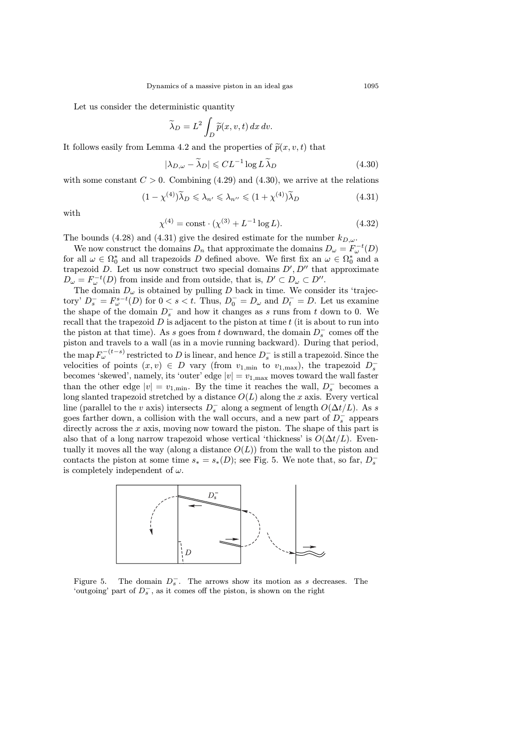Let us consider the deterministic quantity

$$
\widetilde{\lambda}_D = L^2 \int_D \widetilde{p}(x, v, t) \, dx \, dv.
$$

It follows easily from Lemma 4.2 and the properties of  $\tilde{p}(x, v, t)$  that

$$
|\lambda_{D,\omega} - \widetilde{\lambda}_D| \leqslant CL^{-1} \log L \widetilde{\lambda}_D \tag{4.30}
$$

with some constant  $C > 0$ . Combining (4.29) and (4.30), we arrive at the relations

$$
(1 - \chi^{(4)})\widetilde{\lambda}_D \leq \lambda_{n'} \leq \lambda_{n''} \leq (1 + \chi^{(4)})\widetilde{\lambda}_D
$$
\n(4.31)

with

$$
\chi^{(4)} = \text{const} \cdot (\chi^{(3)} + L^{-1} \log L). \tag{4.32}
$$

The bounds (4.28) and (4.31) give the desired estimate for the number  $k_{D,\omega}$ .

We now construct the domains  $D_n$  that approximate the domains  $D_{\omega} = F_{\omega}^{-t}(D)$ for all  $\omega \in \Omega_0^*$  and all trapezoids D defined above. We first fix an  $\omega \in \Omega_0^*$  and a trapezoid D. Let us now construct two special domains  $D', D''$  that approximate  $D_{\omega} = F_{\omega}^{-t}(D)$  from inside and from outside, that is,  $D' \subset D_{\omega} \subset D''$ .

The domain  $D_{\omega}$  is obtained by pulling D back in time. We consider its 'trajectory'  $D_s^- = F_{\omega}^{s-t}(D)$  for  $0 < s < t$ . Thus,  $D_0^- = D_{\omega}$  and  $D_t^- = D$ . Let us examine the shape of the domain  $D_s^-$  and how it changes as s runs from t down to 0. We recall that the trapezoid  $D$  is adjacent to the piston at time  $t$  (it is about to run into the piston at that time). As s goes from t downward, the domain  $D_s^-$  comes off the piston and travels to a wall (as in a movie running backward). During that period, the map  $F_{\omega}^{-(t-s)}$  restricted to D is linear, and hence  $D_s^-$  is still a trapezoid. Since the velocities of points  $(x, v) \in D$  vary (from  $v_{1,\text{min}}$  to  $v_{1,\text{max}}$ ), the trapezoid  $D_s^$ becomes 'skewed', namely, its 'outer' edge  $|v| = v_{1,\text{max}}$  moves toward the wall faster than the other edge  $|v| = v_{1,\text{min}}$ . By the time it reaches the wall,  $D_s^-$  becomes a long slanted trapezoid stretched by a distance  $O(L)$  along the x axis. Every vertical line (parallel to the v axis) intersects  $D_s^-$  along a segment of length  $O(\Delta t/L)$ . As s goes farther down, a collision with the wall occurs, and a new part of  $D_s^-$  appears directly across the x axis, moving now toward the piston. The shape of this part is also that of a long narrow trapezoid whose vertical 'thickness' is  $O(\Delta t/L)$ . Eventually it moves all the way (along a distance  $O(L)$ ) from the wall to the piston and contacts the piston at some time  $s_* = s_*(D)$ ; see Fig. 5. We note that, so far,  $D_s^$ is completely independent of  $\omega$ .



Figure 5. The domain  $D_s^-$ . The arrows show its motion as s decreases. The 'outgoing' part of  $D_s^-$ , as it comes off the piston, is shown on the right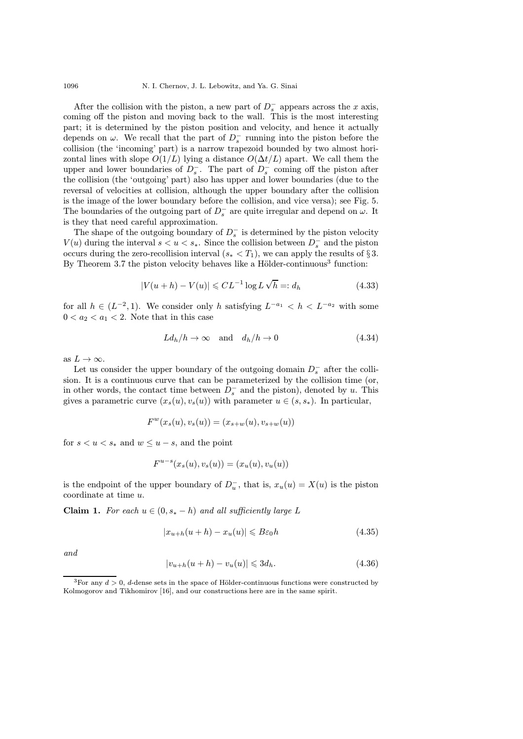After the collision with the piston, a new part of  $D_s^-$  appears across the x axis, coming off the piston and moving back to the wall. This is the most interesting part; it is determined by the piston position and velocity, and hence it actually depends on  $\omega$ . We recall that the part of  $D_s^-$  running into the piston before the collision (the 'incoming' part) is a narrow trapezoid bounded by two almost horizontal lines with slope  $O(1/L)$  lying a distance  $O(\Delta t/L)$  apart. We call them the upper and lower boundaries of  $D_s^-$ . The part of  $D_s^-$  coming off the piston after the collision (the 'outgoing' part) also has upper and lower boundaries (due to the reversal of velocities at collision, although the upper boundary after the collision is the image of the lower boundary before the collision, and vice versa); see Fig. 5. The boundaries of the outgoing part of  $D_s^-$  are quite irregular and depend on  $\omega$ . It is they that need careful approximation.

The shape of the outgoing boundary of  $D_s^-$  is determined by the piston velocity  $V(u)$  during the interval  $s < u < s_*$ . Since the collision between  $D_s^-$  and the piston occurs during the zero-recollision interval  $(s_* < T_1)$ , we can apply the results of §3. By Theorem 3.7 the piston velocity behaves like a Hölder-continuous<sup>3</sup> function:

$$
|V(u+h) - V(u)| \leqslant CL^{-1} \log L \sqrt{h} =: d_h \tag{4.33}
$$

for all  $h \in (L^{-2}, 1)$ . We consider only h satisfying  $L^{-a_1} < h < L^{-a_2}$  with some  $0 < a_2 < a_1 < 2$ . Note that in this case

$$
Ld_h/h \to \infty \quad \text{and} \quad d_h/h \to 0 \tag{4.34}
$$

as  $L \to \infty$ .

Let us consider the upper boundary of the outgoing domain  $D_s^-$  after the collision. It is a continuous curve that can be parameterized by the collision time (or, in other words, the contact time between  $D_s^-$  and the piston), denoted by u. This gives a parametric curve  $(x_s(u), v_s(u))$  with parameter  $u \in (s, s_*)$ . In particular,

$$
F^{w}(x_s(u), v_s(u)) = (x_{s+w}(u), v_{s+w}(u))
$$

for  $s < u < s_*$  and  $w \le u - s$ , and the point

$$
F^{u-s}(x_s(u), v_s(u)) = (x_u(u), v_u(u))
$$

is the endpoint of the upper boundary of  $D_u^-$ , that is,  $x_u(u) = X(u)$  is the piston coordinate at time u.

Claim 1. For each  $u \in (0, s_* - h)$  and all sufficiently large L

$$
|x_{u+h}(u+h) - x_u(u)| \le B\varepsilon_0 h \tag{4.35}
$$

and

$$
|v_{u+h}(u+h) - v_u(u)| \leq 3d_h. \tag{4.36}
$$

<sup>&</sup>lt;sup>3</sup>For any  $d > 0$ , d-dense sets in the space of Hölder-continuous functions were constructed by Kolmogorov and Tikhomirov [\[16\],](#page-80-0) and our constructions here are in the same spirit.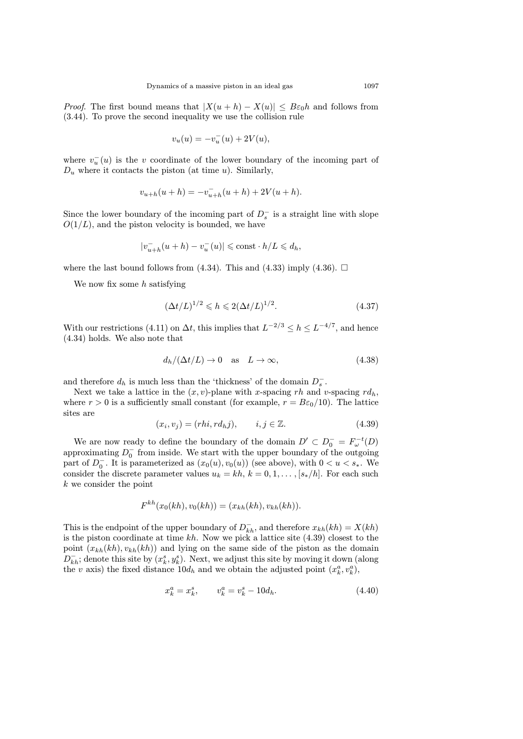*Proof.* The first bound means that  $|X(u + h) - X(u)| \leq B\varepsilon_0 h$  and follows from (3.44). To prove the second inequality we use the collision rule

$$
v_u(u) = -v_u^{-}(u) + 2V(u),
$$

where  $v^-_u(u)$  is the v coordinate of the lower boundary of the incoming part of  $D_u$  where it contacts the piston (at time u). Similarly,

$$
v_{u+h}(u+h) = -v_{u+h}^-(u+h) + 2V(u+h).
$$

Since the lower boundary of the incoming part of  $D_s^-$  is a straight line with slope  $O(1/L)$ , and the piston velocity is bounded, we have

$$
|v_{u+h}^-(u+h) - v_u^-(u)| \leqslant \text{const} \cdot h/L \leqslant d_h,
$$

where the last bound follows from (4.34). This and (4.33) imply (4.36).  $\Box$ 

We now fix some  $h$  satisfying

$$
(\Delta t/L)^{1/2} \leqslant h \leqslant 2(\Delta t/L)^{1/2}.\tag{4.37}
$$

With our restrictions (4.11) on  $\Delta t$ , this implies that  $L^{-2/3} \leq h \leq L^{-4/7}$ , and hence (4.34) holds. We also note that

$$
d_h/(\Delta t/L) \to 0 \quad \text{as} \quad L \to \infty,\tag{4.38}
$$

and therefore  $d_h$  is much less than the 'thickness' of the domain  $D_s^-$ .

Next we take a lattice in the  $(x, v)$ -plane with x-spacing rh and v-spacing rd<sub>h</sub>, where  $r > 0$  is a sufficiently small constant (for example,  $r = B\varepsilon_0/10$ ). The lattice sites are

$$
(x_i, v_j) = (rhi, rd_hj), \qquad i, j \in \mathbb{Z}.
$$
\n
$$
(4.39)
$$

We are now ready to define the boundary of the domain  $D' \subset D_0^- = F_{\omega}^{-t}(D)$ approximating  $D_0^-$  from inside. We start with the upper boundary of the outgoing part of  $D_0^-$ . It is parameterized as  $(x_0(u), v_0(u))$  (see above), with  $0 < u < s_*$ . We consider the discrete parameter values  $u_k = kh, k = 0, 1, \ldots, [s_*/h]$ . For each such k we consider the point

$$
F^{kh}(x_0(kh), v_0(kh)) = (x_{kh}(kh), v_{kh}(kh)).
$$

This is the endpoint of the upper boundary of  $D_{kh}^-$ , and therefore  $x_{kh}(kh) = X(kh)$ is the piston coordinate at time  $kh$ . Now we pick a lattice site  $(4.39)$  closest to the point  $(x_{kh}(kh), v_{kh}(kh))$  and lying on the same side of the piston as the domain  $D_{kh}^-$ ; denote this site by  $(x_k^s, y_k^s)$ . Next, we adjust this site by moving it down (along the v axis) the fixed distance  $10d_h$  and we obtain the adjusted point  $(x_k^a, v_k^a)$ ,

$$
x_k^a = x_k^s, \qquad v_k^a = v_k^s - 10d_h. \tag{4.40}
$$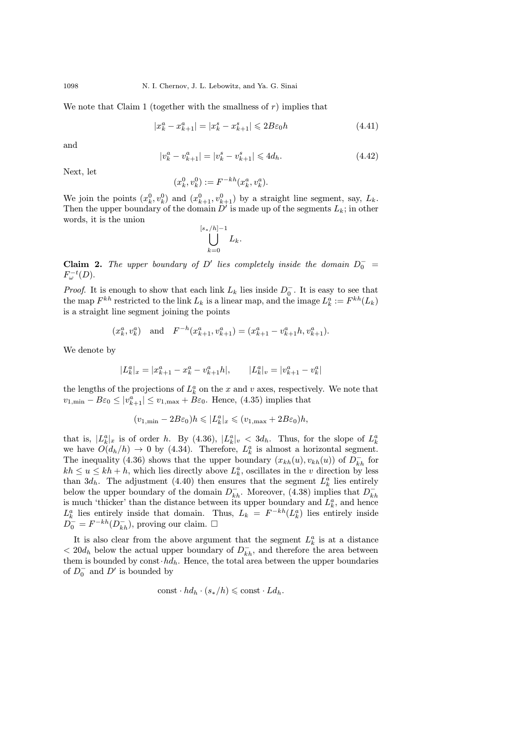1098 N. I. Chernov, J. L. Lebowitz, and Ya. G. Sinai

We note that Claim 1 (together with the smallness of  $r$ ) implies that

$$
|x_k^a - x_{k+1}^a| = |x_k^s - x_{k+1}^s| \le 2B\varepsilon_0 h \tag{4.41}
$$

and

$$
|v_k^a - v_{k+1}^a| = |v_k^s - v_{k+1}^s| \leq 4d_h. \tag{4.42}
$$

Next, let

$$
(x_k^0, v_k^0) := F^{-kh}(x_k^a, v_k^a).
$$

We join the points  $(x_k^0, v_k^0)$  and  $(x_{k+1}^0, v_{k+1}^0)$  by a straight line segment, say,  $L_k$ . Then the upper boundary of the domain D' is made up of the segments  $L_k$ ; in other words, it is the union

$$
\bigcup_{k=0}^{[s_*/h]-1} L_k.
$$

Claim 2. The upper boundary of D' lies completely inside the domain  $D_0^-$  =  $F_\omega^{-t}(D).$ 

*Proof.* It is enough to show that each link  $L_k$  lies inside  $D_0^-$ . It is easy to see that the map  $F^{kh}$  restricted to the link  $L_k$  is a linear map, and the image  $L_k^a := F^{kh}(L_k)$ is a straight line segment joining the points

$$
(x_k^a, v_k^a)
$$
 and  $F^{-h}(x_{k+1}^a, v_{k+1}^a) = (x_{k+1}^a - v_{k+1}^a h, v_{k+1}^a)$ .

We denote by

$$
|L_k^a|_x = |x_{k+1}^a - x_k^a - v_{k+1}^a h|, \qquad |L_k^a|_v = |v_{k+1}^a - v_k^a|
$$

the lengths of the projections of  $L_k^a$  on the x and v axes, respectively. We note that  $v_{1,\min} - B\varepsilon_0 \leq |v_{k+1}^a| \leq v_{1,\max} + B\varepsilon_0$ . Hence, (4.35) implies that

$$
(v_{1,\min} - 2B\varepsilon_0)h \leqslant |L_k^a|_x \leqslant (v_{1,\max} + 2B\varepsilon_0)h,
$$

that is,  $|L_k^a|_x$  is of order h. By (4.36),  $|L_k^a|_v < 3d_h$ . Thus, for the slope of  $L_k^a$ we have  $O(d_h/h) \to 0$  by (4.34). Therefore,  $L_k^a$  is almost a horizontal segment. The inequality (4.36) shows that the upper boundary  $(x_{kh}(u), v_{kh}(u))$  of  $D_{kh}^-$  for  $kh \le u \le kh + h$ , which lies directly above  $L_k^a$ , oscillates in the v direction by less than  $3d_h$ . The adjustment (4.40) then ensures that the segment  $L_k^a$  lies entirely below the upper boundary of the domain  $D_{kh}^-$ . Moreover, (4.38) implies that  $D_{kh}^$ is much 'thicker' than the distance between its upper boundary and  $L_k^a$ , and hence  $L_k^a$  lies entirely inside that domain. Thus,  $L_k = F^{-kh}(L_k^a)$  lies entirely inside  $D_0^- = F^{-kh}(D_{kh}^-)$ , proving our claim.  $\Box$ 

It is also clear from the above argument that the segment  $L_k^a$  is at a distance  $<$  20 $d_h$  below the actual upper boundary of  $D_{kh}^-$ , and therefore the area between them is bounded by const $\cdot hd_h$ . Hence, the total area between the upper boundaries of  $D_0^-$  and  $D'$  is bounded by

$$
const \cdot hd_h \cdot (s_*/h) \leqslant const \cdot Ld_h.
$$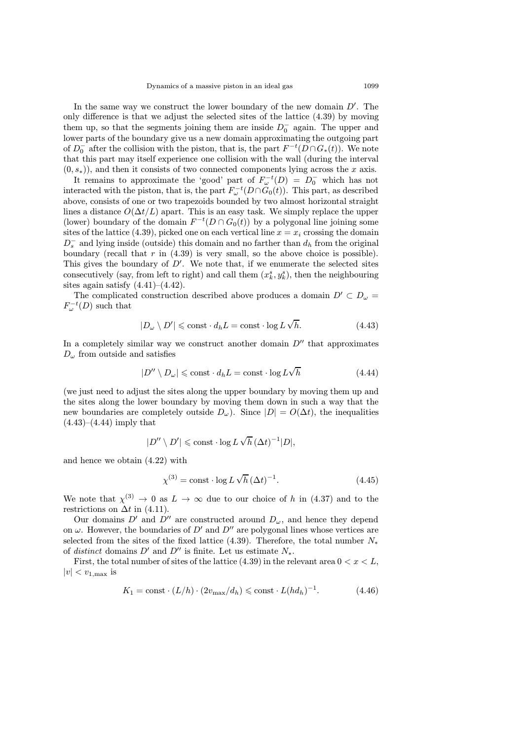In the same way we construct the lower boundary of the new domain  $D'$ . The only difference is that we adjust the selected sites of the lattice (4.39) by moving them up, so that the segments joining them are inside  $D_0^-$  again. The upper and lower parts of the boundary give us a new domain approximating the outgoing part of  $D_0^-$  after the collision with the piston, that is, the part  $F^{-t}(D \cap G_*(t))$ . We note that this part may itself experience one collision with the wall (during the interval  $(0, s_*)$ , and then it consists of two connected components lying across the x axis.

It remains to approximate the 'good' part of  $F_{\omega}^{-t}(D) = D_0^-$  which has not interacted with the piston, that is, the part  $F_{\omega}^{-t}(D \cap \tilde{G}_0(t))$ . This part, as described above, consists of one or two trapezoids bounded by two almost horizontal straight lines a distance  $O(\Delta t/L)$  apart. This is an easy task. We simply replace the upper (lower) boundary of the domain  $F^{-t}(D \cap G_0(t))$  by a polygonal line joining some sites of the lattice (4.39), picked one on each vertical line  $x = x_i$  crossing the domain  $D_s^-$  and lying inside (outside) this domain and no farther than  $d_h$  from the original boundary (recall that  $r$  in (4.39) is very small, so the above choice is possible). This gives the boundary of  $D'$ . We note that, if we enumerate the selected sites consecutively (say, from left to right) and call them  $(x_k^s, y_k^s)$ , then the neighbouring sites again satisfy  $(4.41)$ – $(4.42)$ .

The complicated construction described above produces a domain  $D' \subset D_{\omega}$  $F_{\omega}^{-t}(D)$  such that

$$
|D_{\omega} \setminus D'| \le \text{const} \cdot d_h L = \text{const} \cdot \log L \sqrt{h}.\tag{4.43}
$$

In a completely similar way we construct another domain  $D''$  that approximates  $D_{\omega}$  from outside and satisfies

$$
|D'' \setminus D_{\omega}| \le \text{const} \cdot d_h L = \text{const} \cdot \log L \sqrt{h}
$$
 (4.44)

(we just need to adjust the sites along the upper boundary by moving them up and the sites along the lower boundary by moving them down in such a way that the new boundaries are completely outside  $D_{\omega}$ ). Since  $|D| = O(\Delta t)$ , the inequalities  $(4.43)–(4.44)$  imply that

$$
|D'' \setminus D'| \leqslant \text{const} \cdot \log L \sqrt{h} \, (\Delta t)^{-1} |D|,
$$

and hence we obtain (4.22) with

$$
\chi^{(3)} = \text{const} \cdot \log L \sqrt{h} \left(\Delta t\right)^{-1}.\tag{4.45}
$$

We note that  $\chi^{(3)} \to 0$  as  $L \to \infty$  due to our choice of h in (4.37) and to the restrictions on  $\Delta t$  in (4.11).

Our domains D' and D'' are constructed around  $D_{\omega}$ , and hence they depend on  $\omega$ . However, the boundaries of  $D'$  and  $D''$  are polygonal lines whose vertices are selected from the sites of the fixed lattice (4.39). Therefore, the total number  $N_*$ of distinct domains D' and D'' is finite. Let us estimate  $N_*$ .

First, the total number of sites of the lattice (4.39) in the relevant area  $0 < x < L$ ,  $|v| < v_{1,\text{max}}$  is

$$
K_1 = \text{const} \cdot (L/h) \cdot (2v_{\text{max}}/d_h) \leq \text{const} \cdot L(hd_h)^{-1}.
$$
 (4.46)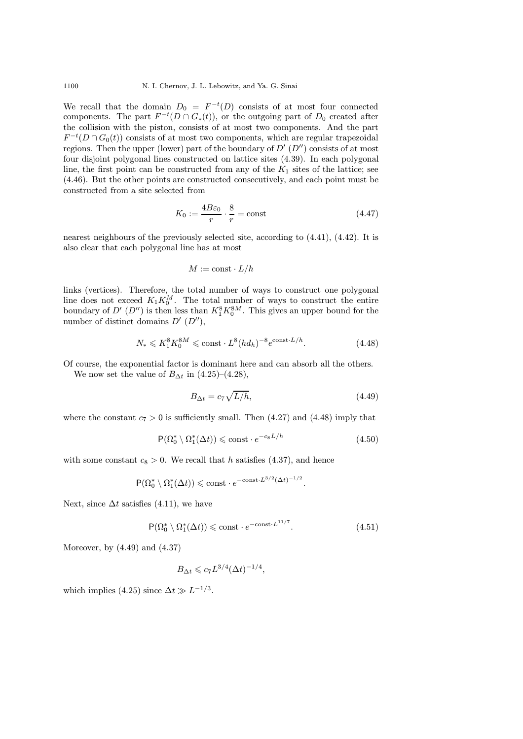We recall that the domain  $D_0 = F^{-t}(D)$  consists of at most four connected components. The part  $F^{-t}(D \cap G_*(t))$ , or the outgoing part of  $D_0$  created after the collision with the piston, consists of at most two components. And the part  $F^{-t}(D \cap G_0(t))$  consists of at most two components, which are regular trapezoidal regions. Then the upper (lower) part of the boundary of  $D'$  ( $D''$ ) consists of at most four disjoint polygonal lines constructed on lattice sites (4.39). In each polygonal line, the first point can be constructed from any of the  $K_1$  sites of the lattice; see (4.46). But the other points are constructed consecutively, and each point must be constructed from a site selected from

$$
K_0 := \frac{4B\varepsilon_0}{r} \cdot \frac{8}{r} = \text{const}
$$
\n
$$
(4.47)
$$

nearest neighbours of the previously selected site, according to (4.41), (4.42). It is also clear that each polygonal line has at most

$$
M := \text{const} \cdot L/h
$$

links (vertices). Therefore, the total number of ways to construct one polygonal line does not exceed  $K_1 K_0^M$ . The total number of ways to construct the entire boundary of  $D'$  ( $D''$ ) is then less than  $K_1^8 K_0^{8M}$ . This gives an upper bound for the number of distinct domains  $D'$  ( $D'$ ),

$$
N_* \leqslant K_1^8 K_0^{8M} \leqslant \text{const} \cdot L^8 (hd_h)^{-8} e^{\text{const} \cdot L/h}.
$$

Of course, the exponential factor is dominant here and can absorb all the others.

We now set the value of  $B_{\Delta t}$  in (4.25)–(4.28),

$$
B_{\Delta t} = c_7 \sqrt{L/h},\tag{4.49}
$$

where the constant  $c_7 > 0$  is sufficiently small. Then (4.27) and (4.48) imply that

$$
\mathsf{P}(\Omega_0^* \setminus \Omega_1^*(\Delta t)) \le \text{const} \cdot e^{-c_8 L/h} \tag{4.50}
$$

with some constant  $c_8 > 0$ . We recall that h satisfies (4.37), and hence

$$
\mathsf{P}(\Omega_0^* \setminus \Omega_1^*(\Delta t)) \leq \text{const} \cdot e^{-\text{const} \cdot L^{3/2}(\Delta t)^{-1/2}}.
$$

Next, since  $\Delta t$  satisfies (4.11), we have

$$
\mathsf{P}(\Omega_0^* \setminus \Omega_1^*(\Delta t)) \le \text{const} \cdot e^{-\text{const} \cdot L^{11/7}}.\tag{4.51}
$$

Moreover, by  $(4.49)$  and  $(4.37)$ 

$$
B_{\Delta t} \leqslant c_7 L^{3/4} (\Delta t)^{-1/4},
$$

which implies (4.25) since  $\Delta t \gg L^{-1/3}$ .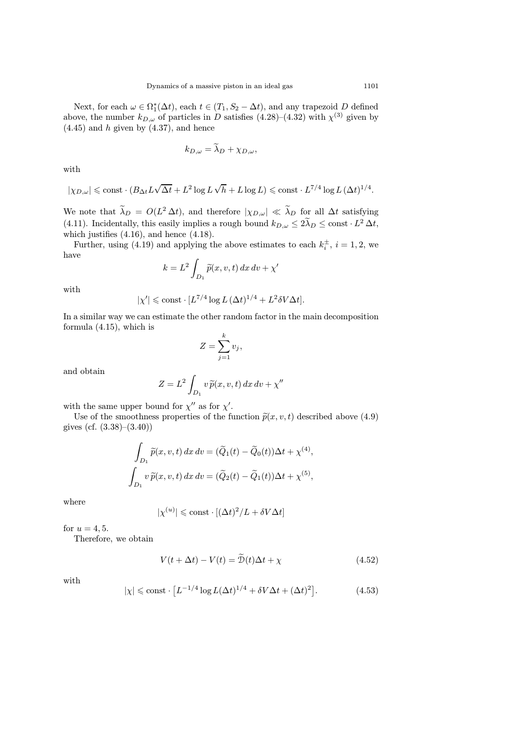Next, for each  $\omega \in \Omega_1^*(\Delta t)$ , each  $t \in (T_1, S_2 - \Delta t)$ , and any trapezoid D defined above, the number  $k_{D,\omega}$  of particles in D satisfies (4.28)–(4.32) with  $\chi^{(3)}$  given by  $(4.45)$  and h given by  $(4.37)$ , and hence

$$
k_{D,\omega} = \lambda_D + \chi_{D,\omega},
$$

with

 $|\chi_{D,\omega}| \leqslant \mathrm{const} \cdot (B_{\Delta t} L)$  $\sqrt{\Delta t} + L^2 \log L \sqrt{\frac{2}{L}}$  $\overline{h} + L \log L) \leqslant \mathrm{const} \cdot L^{7/4} \log L \, (\Delta t)^{1/4}.$ 

We note that  $\tilde{\lambda}_D = O(L^2 \Delta t)$ , and therefore  $|\chi_{D,\omega}| \ll \tilde{\lambda}_D$  for all  $\Delta t$  satisfying (4.11). Incidentally, this easily implies a rough bound  $k_{D,\omega} \leq 2\widetilde{\lambda}_D \leq \text{const} \cdot L^2 \Delta t$ , which justifies (4.16), and hence (4.18).

Further, using (4.19) and applying the above estimates to each  $k_i^{\pm}$ ,  $i = 1, 2$ , we have

$$
k = L^2 \int_{D_1} \widetilde{p}(x, v, t) \, dx \, dv + \chi'
$$

with

$$
|\chi'| \le \text{const} \cdot [L^{7/4} \log L \, (\Delta t)^{1/4} + L^2 \delta V \Delta t].
$$

In a similar way we can estimate the other random factor in the main decomposition formula (4.15), which is

$$
Z = \sum_{j=1}^{k} v_j,
$$

and obtain

$$
Z = L^2 \int_{D_1} v \, \widetilde{p}(x, v, t) \, dx \, dv + \chi''
$$

with the same upper bound for  $\chi''$  as for  $\chi'$ .

Use of the smoothness properties of the function  $\tilde{p}(x, v, t)$  described above (4.9) gives (cf. (3.38)–(3.40))

$$
\int_{D_1} \widetilde{p}(x, v, t) dx dv = (\widetilde{Q}_1(t) - \widetilde{Q}_0(t)) \Delta t + \chi^{(4)},
$$
  

$$
\int_{D_1} v \widetilde{p}(x, v, t) dx dv = (\widetilde{Q}_2(t) - \widetilde{Q}_1(t)) \Delta t + \chi^{(5)},
$$

where

$$
|\chi^{(u)}| \leqslant \mathrm{const} \cdot [(\Delta t)^2/L + \delta V \Delta t]
$$

for  $u = 4, 5$ .

Therefore, we obtain

$$
V(t + \Delta t) - V(t) = \mathcal{D}(t)\Delta t + \chi \tag{4.52}
$$

with

$$
|\chi| \le \text{const} \cdot \left[L^{-1/4} \log L(\Delta t)^{1/4} + \delta V \Delta t + (\Delta t)^2\right].\tag{4.53}
$$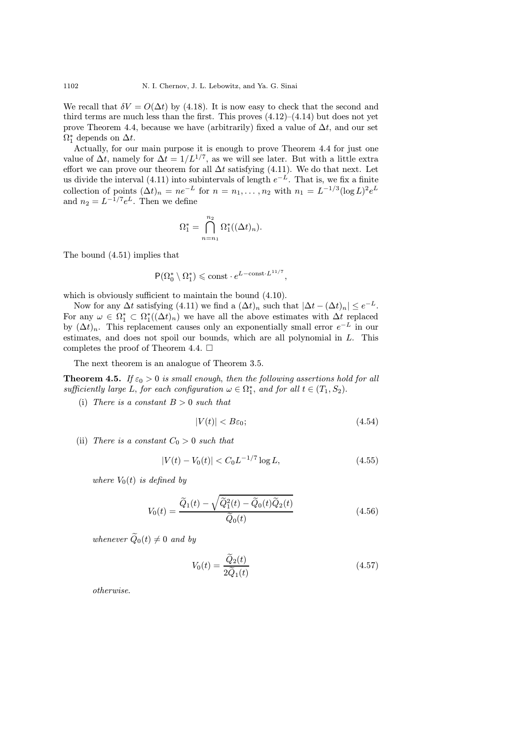We recall that  $\delta V = O(\Delta t)$  by (4.18). It is now easy to check that the second and third terms are much less than the first. This proves  $(4.12)$ – $(4.14)$  but does not yet prove Theorem 4.4, because we have (arbitrarily) fixed a value of  $\Delta t$ , and our set  $\Omega_1^*$  depends on  $\Delta t$ .

Actually, for our main purpose it is enough to prove Theorem 4.4 for just one value of  $\Delta t$ , namely for  $\Delta t = 1/L^{1/7}$ , as we will see later. But with a little extra effort we can prove our theorem for all  $\Delta t$  satisfying (4.11). We do that next. Let us divide the interval (4.11) into subintervals of length  $e^{-L}$ . That is, we fix a finite collection of points  $(\Delta t)_n = ne^{-L}$  for  $n = n_1, \ldots, n_2$  with  $n_1 = L^{-1/3}(\log L)^2 e^L$ and  $n_2 = L^{-1/7}e^L$ . Then we define

$$
\Omega_1^* = \bigcap_{n=n_1}^{n_2} \Omega_1^*((\Delta t)_n).
$$

The bound (4.51) implies that

$$
\mathsf{P}(\Omega_0^* \setminus \Omega_1^*) \leqslant \mathrm{const} \cdot e^{L - \mathrm{const} \cdot L^{11/7}},
$$

which is obviously sufficient to maintain the bound (4.10).

Now for any  $\Delta t$  satisfying (4.11) we find a  $(\Delta t)_n$  such that  $|\Delta t - (\Delta t)_n| \le e^{-L}$ . For any  $\omega \in \Omega_1^* \subset \Omega_1^*((\Delta t)_n)$  we have all the above estimates with  $\Delta t$  replaced by  $(\Delta t)_n$ . This replacement causes only an exponentially small error  $e^{-L}$  in our estimates, and does not spoil our bounds, which are all polynomial in L. This completes the proof of Theorem 4.4.  $\Box$ 

The next theorem is an analogue of Theorem 3.5.

**Theorem 4.5.** If  $\varepsilon_0 > 0$  is small enough, then the following assertions hold for all sufficiently large L, for each configuration  $\omega \in \Omega_1^*$ , and for all  $t \in (T_1, S_2)$ .

(i) There is a constant  $B > 0$  such that

$$
|V(t)| < B\varepsilon_0; \tag{4.54}
$$

(ii) There is a constant  $C_0 > 0$  such that

$$
|V(t) - V_0(t)| < C_0 L^{-1/7} \log L,\tag{4.55}
$$

where  $V_0(t)$  is defined by

$$
V_0(t) = \frac{\widetilde{Q}_1(t) - \sqrt{\widetilde{Q}_1^2(t) - \widetilde{Q}_0(t)\widetilde{Q}_2(t)}}{\widetilde{Q}_0(t)}
$$
(4.56)

whenever  $\widetilde{Q}_0(t) \neq 0$  and by

$$
V_0(t) = \frac{\tilde{Q}_2(t)}{2\tilde{Q}_1(t)}\tag{4.57}
$$

otherwise.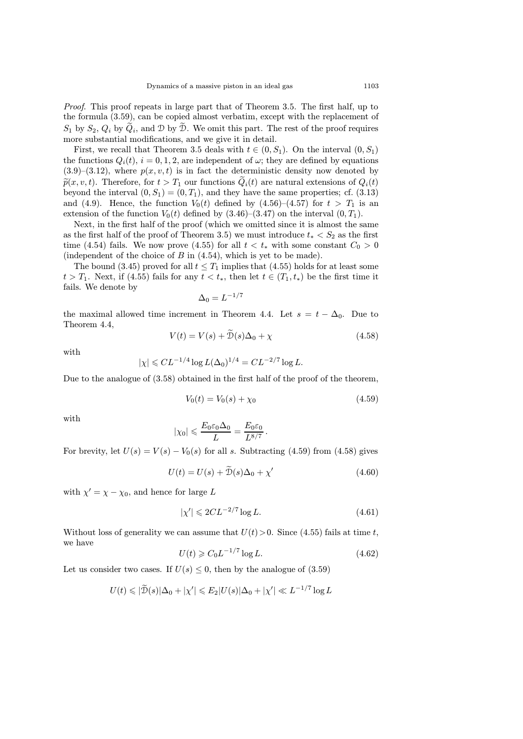Proof. This proof repeats in large part that of Theorem 3.5. The first half, up to the formula (3.59), can be copied almost verbatim, except with the replacement of  $S_1$  by  $S_2$ ,  $Q_i$  by  $\widetilde{Q}_i$ , and  $\mathcal{D}$  by  $\widetilde{\mathcal{D}}$ . We omit this part. The rest of the proof requires more substantial modifications, and we give it in detail.

First, we recall that Theorem 3.5 deals with  $t \in (0, S_1)$ . On the interval  $(0, S_1)$ the functions  $Q_i(t)$ ,  $i = 0, 1, 2$ , are independent of  $\omega$ ; they are defined by equations  $(3.9)$ – $(3.12)$ , where  $p(x, v, t)$  is in fact the deterministic density now denoted by  $\tilde{p}(x, v, t)$ . Therefore, for  $t > T_1$  our functions  $\tilde{Q}_i(t)$  are natural extensions of  $Q_i(t)$ beyond the interval  $(0, S_1) = (0, T_1)$ , and they have the same properties; cf. (3.13) and (4.9). Hence, the function  $V_0(t)$  defined by (4.56)–(4.57) for  $t>T_1$  is an extension of the function  $V_0(t)$  defined by  $(3.46)$ – $(3.47)$  on the interval  $(0, T_1)$ .

Next, in the first half of the proof (which we omitted since it is almost the same as the first half of the proof of Theorem 3.5) we must introduce  $t_* < S_2$  as the first time (4.54) fails. We now prove (4.55) for all  $t < t_*$  with some constant  $C_0 > 0$ (independent of the choice of  $B$  in  $(4.54)$ , which is yet to be made).

The bound (3.45) proved for all  $t \leq T_1$  implies that (4.55) holds for at least some  $t>T_1$ . Next, if (4.55) fails for any  $t < t_*$ , then let  $t \in (T_1, t_*)$  be the first time it fails. We denote by

$$
\Delta_0 = L^{-1/7}
$$

the maximal allowed time increment in Theorem 4.4. Let  $s = t - \Delta_0$ . Due to Theorem 4.4,

$$
V(t) = V(s) + \mathcal{D}(s)\Delta_0 + \chi \tag{4.58}
$$

with

$$
|\chi| \leqslant CL^{-1/4} \log L(\Delta_0)^{1/4} = CL^{-2/7} \log L.
$$

Due to the analogue of (3.58) obtained in the first half of the proof of the theorem,

$$
V_0(t) = V_0(s) + \chi_0 \tag{4.59}
$$

with

$$
|\chi_0| \leqslant \frac{E_0 \varepsilon_0 \Delta_0}{L} = \frac{E_0 \varepsilon_0}{L^{8/7}}.
$$

For brevity, let  $U(s) = V(s) - V_0(s)$  for all s. Subtracting (4.59) from (4.58) gives

$$
U(t) = U(s) + \tilde{\mathcal{D}}(s)\Delta_0 + \chi'
$$
\n(4.60)

with  $\chi' = \chi - \chi_0$ , and hence for large L

$$
|\chi'| \leqslant 2CL^{-2/7} \log L. \tag{4.61}
$$

Without loss of generality we can assume that  $U(t) > 0$ . Since (4.55) fails at time t, we have

$$
U(t) \geqslant C_0 L^{-1/7} \log L. \tag{4.62}
$$

Let us consider two cases. If  $U(s) \leq 0$ , then by the analogue of (3.59)

$$
U(t) \leqslant |\widetilde{\mathcal{D}}(s)|\Delta_0 + |\chi'| \leqslant E_2|U(s)|\Delta_0 + |\chi'| \ll L^{-1/7}\log L
$$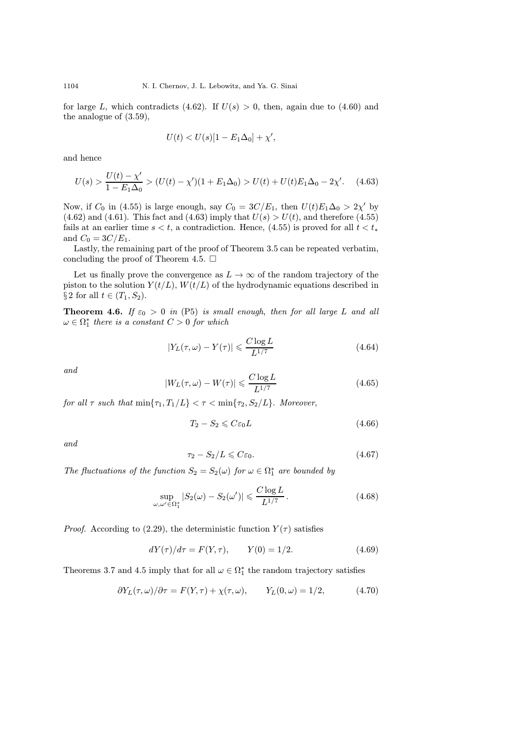for large L, which contradicts (4.62). If  $U(s) > 0$ , then, again due to (4.60) and the analogue of (3.59),

$$
U(t) < U(s)[1 - E_1 \Delta_0] + \chi',
$$

and hence

$$
U(s) > \frac{U(t) - \chi'}{1 - E_1 \Delta_0} > (U(t) - \chi')(1 + E_1 \Delta_0) > U(t) + U(t)E_1 \Delta_0 - 2\chi'. \tag{4.63}
$$

Now, if  $C_0$  in (4.55) is large enough, say  $C_0 = 3C/E_1$ , then  $U(t)E_1\Delta_0 > 2\chi'$  by  $(4.62)$  and  $(4.61)$ . This fact and  $(4.63)$  imply that  $U(s) > U(t)$ , and therefore  $(4.55)$ fails at an earlier time  $s < t$ , a contradiction. Hence, (4.55) is proved for all  $t < t_*$ and  $C_0 = 3C/E_1$ .

Lastly, the remaining part of the proof of Theorem 3.5 can be repeated verbatim, concluding the proof of Theorem 4.5.  $\Box$ 

Let us finally prove the convergence as  $L \to \infty$  of the random trajectory of the piston to the solution  $Y(t/L)$ ,  $W(t/L)$  of the hydrodynamic equations described in § 2 for all  $t \in (T_1, S_2)$ .

**Theorem 4.6.** If  $\varepsilon_0 > 0$  in (P5) is small enough, then for all large L and all  $\omega \in \Omega_1^*$  there is a constant  $C > 0$  for which

$$
|Y_L(\tau,\omega) - Y(\tau)| \leqslant \frac{C \log L}{L^{1/7}}\tag{4.64}
$$

and

$$
|W_L(\tau,\omega) - W(\tau)| \leqslant \frac{C \log L}{L^{1/7}} \tag{4.65}
$$

for all  $\tau$  such that  $\min{\tau_1, T_1/L} < \tau < \min{\tau_2, S_2/L}$ . Moreover,

$$
T_2 - S_2 \leqslant C\varepsilon_0 L \tag{4.66}
$$

and

$$
\tau_2 - S_2/L \leqslant C\varepsilon_0. \tag{4.67}
$$

The fluctuations of the function  $S_2 = S_2(\omega)$  for  $\omega \in \Omega_1^*$  are bounded by

$$
\sup_{\omega,\omega'\in\Omega_1^*} |S_2(\omega) - S_2(\omega')| \leqslant \frac{C \log L}{L^{1/7}}.
$$
\n(4.68)

*Proof.* According to (2.29), the deterministic function  $Y(\tau)$  satisfies

$$
dY(\tau)/d\tau = F(Y,\tau), \qquad Y(0) = 1/2. \tag{4.69}
$$

Theorems 3.7 and 4.5 imply that for all  $\omega \in \Omega_1^*$  the random trajectory satisfies

$$
\partial Y_L(\tau,\omega)/\partial \tau = F(Y,\tau) + \chi(\tau,\omega), \qquad Y_L(0,\omega) = 1/2,\tag{4.70}
$$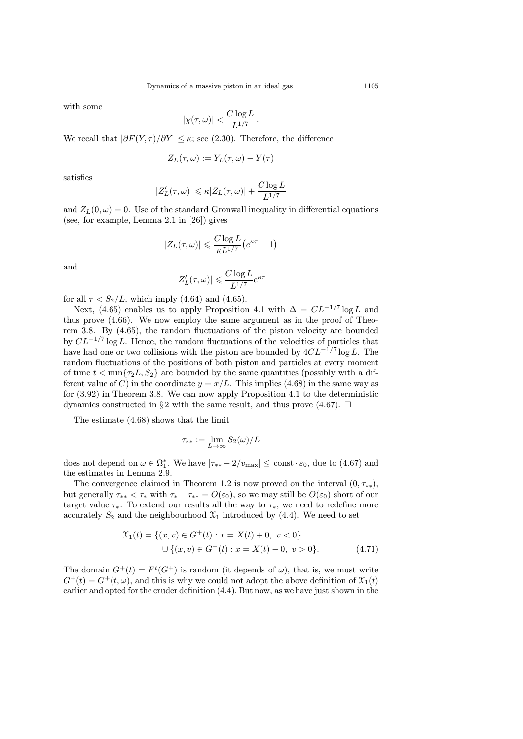with some

$$
|\chi(\tau,\omega)| < \frac{C\log L}{L^{1/7}}\,.
$$

We recall that  $|\partial F(Y,\tau)/\partial Y| \leq \kappa$ ; see (2.30). Therefore, the difference

$$
Z_L(\tau, \omega) := Y_L(\tau, \omega) - Y(\tau)
$$

satisfies

$$
|Z'_L(\tau,\omega)| \leq \kappa |Z_L(\tau,\omega)| + \frac{C \log L}{L^{1/7}}
$$

and  $Z_L(0, \omega) = 0$ . Use of the standard Gronwall inequality in differential equations (see, for example, Lemma 2.1 in [\[26\]\)](#page-81-0) gives

$$
|Z_L(\tau,\omega)| \leqslant \frac{C \log L}{\kappa L^{1/7}} \big( e^{\kappa \tau} - 1 \big)
$$

and

$$
|Z_L'(\tau,\omega)| \leqslant \frac{C \log L}{L^{1/7}} e^{\kappa \tau}
$$

for all  $\tau < S_2/L$ , which imply (4.64) and (4.65).

Next, (4.65) enables us to apply Proposition 4.1 with  $\Delta = CL^{-1/7} \log L$  and thus prove (4.66). We now employ the same argument as in the proof of Theorem 3.8. By (4.65), the random fluctuations of the piston velocity are bounded by  $CL^{-1/7}$  log L. Hence, the random fluctuations of the velocities of particles that have had one or two collisions with the piston are bounded by  $4CL^{-1/7}$  log L. The random fluctuations of the positions of both piston and particles at every moment of time  $t < \min\{\tau_2 L, S_2\}$  are bounded by the same quantities (possibly with a different value of C) in the coordinate  $y = x/L$ . This implies (4.68) in the same way as for (3.92) in Theorem 3.8. We can now apply Proposition 4.1 to the deterministic dynamics constructed in §2 with the same result, and thus prove (4.67).  $\Box$ 

The estimate (4.68) shows that the limit

$$
\tau_{**}:=\lim_{L\to\infty}S_2(\omega)/L
$$

does not depend on  $\omega \in \Omega_1^*$ . We have  $|\tau_{**} - 2/v_{\text{max}}| \leq \text{const} \cdot \varepsilon_0$ , due to (4.67) and the estimates in Lemma 2.9.

The convergence claimed in Theorem 1.2 is now proved on the interval  $(0, \tau_{**}),$ but generally  $\tau_{**} < \tau_*$  with  $\tau_* - \tau_{**} = O(\varepsilon_0)$ , so we may still be  $O(\varepsilon_0)$  short of our target value  $\tau_*$ . To extend our results all the way to  $\tau_*$ , we need to redefine more accurately  $S_2$  and the neighbourhood  $\mathfrak{X}_1$  introduced by (4.4). We need to set

$$
\mathcal{X}_1(t) = \{(x, v) \in G^+(t) : x = X(t) + 0, v < 0\}
$$
  

$$
\cup \{(x, v) \in G^+(t) : x = X(t) - 0, v > 0\}.
$$
 (4.71)

The domain  $G^+(t) = F^t(G^+)$  is random (it depends of  $\omega$ ), that is, we must write  $G^+(t) = G^+(t, \omega)$ , and this is why we could not adopt the above definition of  $\mathcal{X}_1(t)$ earlier and opted for the cruder definition (4.4). But now, as we have just shown in the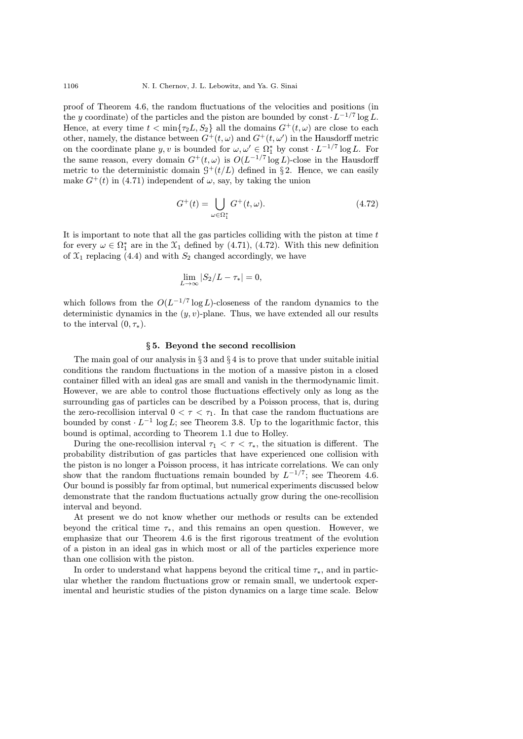proof of Theorem 4.6, the random fluctuations of the velocities and positions (in the y coordinate) of the particles and the piston are bounded by const $\cdot L^{-1/7} \log L$ . Hence, at every time  $t < \min\{\tau_2 L, S_2\}$  all the domains  $G^+(t, \omega)$  are close to each other, namely, the distance between  $G^+(t, \omega)$  and  $G^+(t, \omega')$  in the Hausdorff metric on the coordinate plane y, v is bounded for  $\omega, \omega' \in \Omega_1^*$  by const  $\cdot L^{-1/7} \log L$ . For the same reason, every domain  $G^+(t,\omega)$  is  $O(L^{-1/7} \log L)$ -close in the Hausdorff metric to the deterministic domain  $\mathcal{G}^+(t/L)$  defined in §2. Hence, we can easily make  $G^+(t)$  in (4.71) independent of  $\omega$ , say, by taking the union

$$
G^+(t) = \bigcup_{\omega \in \Omega_1^*} G^+(t, \omega). \tag{4.72}
$$

It is important to note that all the gas particles colliding with the piston at time  $t$ for every  $\omega \in \Omega_1^*$  are in the  $\mathfrak{X}_1$  defined by (4.71), (4.72). With this new definition of  $\mathfrak{X}_1$  replacing (4.4) and with  $S_2$  changed accordingly, we have

$$
\lim_{L\to\infty}|S_2/L-\tau_*|=0,
$$

which follows from the  $O(L^{-1/7} \log L)$ -closeness of the random dynamics to the deterministic dynamics in the  $(y, v)$ -plane. Thus, we have extended all our results to the interval  $(0, \tau_*)$ .

## § 5. Beyond the second recollision

The main goal of our analysis in  $\S 3$  and  $\S 4$  is to prove that under suitable initial conditions the random fluctuations in the motion of a massive piston in a closed container filled with an ideal gas are small and vanish in the thermodynamic limit. However, we are able to control those fluctuations effectively only as long as the surrounding gas of particles can be described by a Poisson process, that is, during the zero-recollision interval  $0 < \tau < \tau_1$ . In that case the random fluctuations are bounded by const  $\cdot L^{-1}$  log L; see Theorem 3.8. Up to the logarithmic factor, this bound is optimal, according to Theorem 1.1 due to Holley.

During the one-recollision interval  $\tau_1 < \tau < \tau_*$ , the situation is different. The probability distribution of gas particles that have experienced one collision with the piston is no longer a Poisson process, it has intricate correlations. We can only show that the random fluctuations remain bounded by  $L^{-1/7}$ ; see Theorem 4.6. Our bound is possibly far from optimal, but numerical experiments discussed below demonstrate that the random fluctuations actually grow during the one-recollision interval and beyond.

At present we do not know whether our methods or results can be extended beyond the critical time  $\tau_*$ , and this remains an open question. However, we emphasize that our Theorem 4.6 is the first rigorous treatment of the evolution of a piston in an ideal gas in which most or all of the particles experience more than one collision with the piston.

In order to understand what happens beyond the critical time  $\tau_*$ , and in particular whether the random fluctuations grow or remain small, we undertook experimental and heuristic studies of the piston dynamics on a large time scale. Below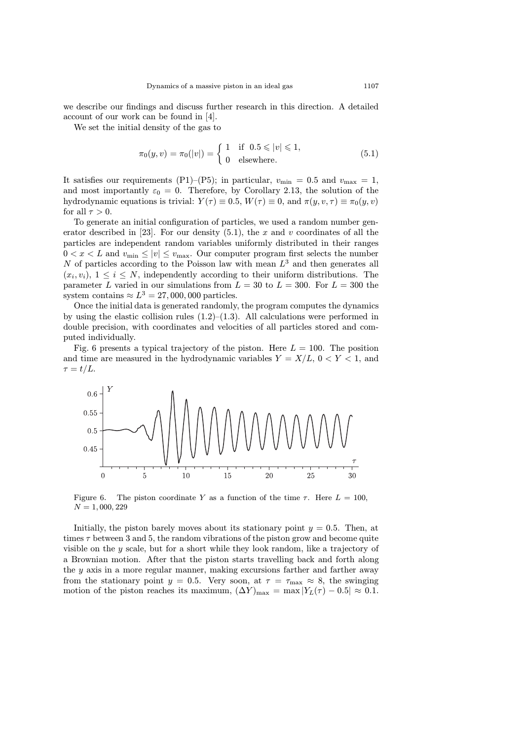we describe our findings and discuss further research in this direction. A detailed account of our work can be found in [\[4\].](#page-80-0)

We set the initial density of the gas to

$$
\pi_0(y, v) = \pi_0(|v|) = \begin{cases} 1 & \text{if } 0.5 \le |v| \le 1, \\ 0 & \text{elsewhere.} \end{cases}
$$
(5.1)

It satisfies our requirements (P1)–(P5); in particular,  $v_{\rm min} = 0.5$  and  $v_{\rm max} = 1$ , and most importantly  $\varepsilon_0 = 0$ . Therefore, by Corollary 2.13, the solution of the hydrodynamic equations is trivial:  $Y(\tau) \equiv 0.5$ ,  $W(\tau) \equiv 0$ , and  $\pi(y, v, \tau) \equiv \pi_0(y, v)$ for all  $\tau > 0$ .

To generate an initial configuration of particles, we used a random number gen-erator described in [\[23\].](#page-80-0) For our density  $(5.1)$ , the x and v coordinates of all the particles are independent random variables uniformly distributed in their ranges  $0 < x < L$  and  $v_{\text{min}} \leq |v| \leq v_{\text{max}}$ . Our computer program first selects the number N of particles according to the Poisson law with mean  $L<sup>3</sup>$  and then generates all  $(x_i, v_i), 1 \leq i \leq N$ , independently according to their uniform distributions. The parameter L varied in our simulations from  $L = 30$  to  $L = 300$ . For  $L = 300$  the system contains  $\approx L^3 = 27,000,000$  particles.

Once the initial data is generated randomly, the program computes the dynamics by using the elastic collision rules  $(1.2)$ – $(1.3)$ . All calculations were performed in double precision, with coordinates and velocities of all particles stored and computed individually.

Fig. 6 presents a typical trajectory of the piston. Here  $L = 100$ . The position and time are measured in the hydrodynamic variables  $Y = X/L$ ,  $0 < Y < 1$ , and  $\tau = t/L$ .



Figure 6. The piston coordinate Y as a function of the time  $\tau$ . Here  $L = 100$ ,  $N = 1,000,229$ 

Initially, the piston barely moves about its stationary point  $y = 0.5$ . Then, at times  $\tau$  between 3 and 5, the random vibrations of the piston grow and become quite visible on the  $y$  scale, but for a short while they look random, like a trajectory of a Brownian motion. After that the piston starts travelling back and forth along the y axis in a more regular manner, making excursions farther and farther away from the stationary point  $y = 0.5$ . Very soon, at  $\tau = \tau_{\text{max}} \approx 8$ , the swinging motion of the piston reaches its maximum,  $(\Delta Y)_{\text{max}} = \max |Y_L(\tau) - 0.5| \approx 0.1$ .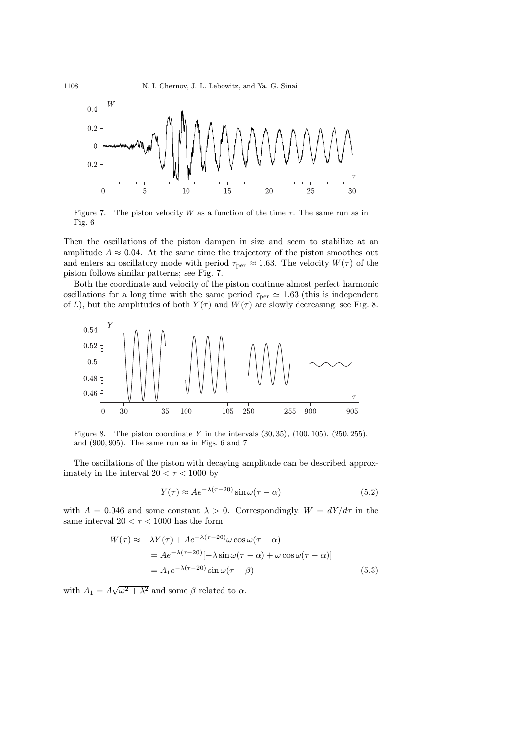

Figure 7. The piston velocity W as a function of the time  $\tau$ . The same run as in Fig. 6

Then the oscillations of the piston dampen in size and seem to stabilize at an amplitude  $A \approx 0.04$ . At the same time the trajectory of the piston smoothes out and enters an oscillatory mode with period  $\tau_{\text{per}} \approx 1.63$ . The velocity  $W(\tau)$  of the piston follows similar patterns; see Fig. 7.

Both the coordinate and velocity of the piston continue almost perfect harmonic oscillations for a long time with the same period  $\tau_{\text{per}} \simeq 1.63$  (this is independent of L), but the amplitudes of both  $Y(\tau)$  and  $W(\tau)$  are slowly decreasing; see Fig. 8.



Figure 8. The piston coordinate Y in the intervals  $(30, 35)$ ,  $(100, 105)$ ,  $(250, 255)$ , and (900, 905). The same run as in Figs. 6 and 7

The oscillations of the piston with decaying amplitude can be described approximately in the interval  $20 < \tau < 1000$  by

$$
Y(\tau) \approx A e^{-\lambda(\tau - 20)} \sin \omega(\tau - \alpha)
$$
 (5.2)

with  $A = 0.046$  and some constant  $\lambda > 0$ . Correspondingly,  $W = dY/d\tau$  in the same interval  $20 < \tau < 1000$  has the form

$$
W(\tau) \approx -\lambda Y(\tau) + Ae^{-\lambda(\tau - 20)} \omega \cos \omega(\tau - \alpha)
$$
  
=  $Ae^{-\lambda(\tau - 20)}[-\lambda \sin \omega(\tau - \alpha) + \omega \cos \omega(\tau - \alpha)]$   
=  $A_1 e^{-\lambda(\tau - 20)} \sin \omega(\tau - \beta)$  (5.3)

with  $A_1 = A\sqrt{\omega^2 + \lambda^2}$  and some  $\beta$  related to  $\alpha$ .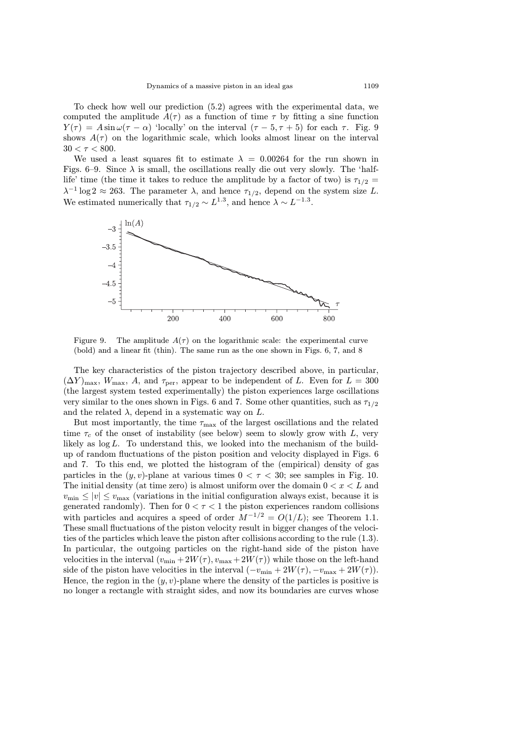To check how well our prediction (5.2) agrees with the experimental data, we computed the amplitude  $A(\tau)$  as a function of time  $\tau$  by fitting a sine function  $Y(\tau) = A \sin \omega(\tau - \alpha)$  'locally' on the interval  $(\tau - 5, \tau + 5)$  for each  $\tau$ . Fig. 9 shows  $A(\tau)$  on the logarithmic scale, which looks almost linear on the interval  $30 < \tau < 800$ .

We used a least squares fit to estimate  $\lambda = 0.00264$  for the run shown in Figs. 6–9. Since  $\lambda$  is small, the oscillations really die out very slowly. The 'halflife' time (the time it takes to reduce the amplitude by a factor of two) is  $\tau_{1/2}$  =  $\lambda^{-1}$  log 2 ≈ 263. The parameter  $\lambda$ , and hence  $\tau_{1/2}$ , depend on the system size L. We estimated numerically that  $\tau_{1/2} \sim L^{1.3}$ , and hence  $\lambda \sim L^{-1.3}$ .



Figure 9. The amplitude  $A(\tau)$  on the logarithmic scale: the experimental curve (bold) and a linear fit (thin). The same run as the one shown in Figs. 6, 7, and 8

The key characteristics of the piston trajectory described above, in particular,  $(\Delta Y)_{\text{max}}$ ,  $W_{\text{max}}$ , A, and  $\tau_{\text{per}}$ , appear to be independent of L. Even for  $L = 300$ (the largest system tested experimentally) the piston experiences large oscillations very similar to the ones shown in Figs. 6 and 7. Some other quantities, such as  $\tau_{1/2}$ and the related  $\lambda$ , depend in a systematic way on  $L$ .

But most importantly, the time  $\tau_{\text{max}}$  of the largest oscillations and the related time  $\tau_c$  of the onset of instability (see below) seem to slowly grow with L, very likely as  $log L$ . To understand this, we looked into the mechanism of the buildup of random fluctuations of the piston position and velocity displayed in Figs. 6 and 7. To this end, we plotted the histogram of the (empirical) density of gas particles in the  $(y, v)$ -plane at various times  $0 < \tau < 30$ ; see samples in Fig. 10. The initial density (at time zero) is almost uniform over the domain  $0 < x < L$  and  $v_{\text{min}} \leq |v| \leq v_{\text{max}}$  (variations in the initial configuration always exist, because it is generated randomly). Then for  $0 < \tau < 1$  the piston experiences random collisions with particles and acquires a speed of order  $M^{-1/2} = O(1/L)$ ; see Theorem 1.1. These small fluctuations of the piston velocity result in bigger changes of the velocities of the particles which leave the piston after collisions according to the rule (1.3). In particular, the outgoing particles on the right-hand side of the piston have velocities in the interval  $(v_{\min} + 2W(\tau), v_{\max} + 2W(\tau))$  while those on the left-hand side of the piston have velocities in the interval  $(-v_{\min} + 2W(\tau), -v_{\max} + 2W(\tau)).$ Hence, the region in the  $(y, v)$ -plane where the density of the particles is positive is no longer a rectangle with straight sides, and now its boundaries are curves whose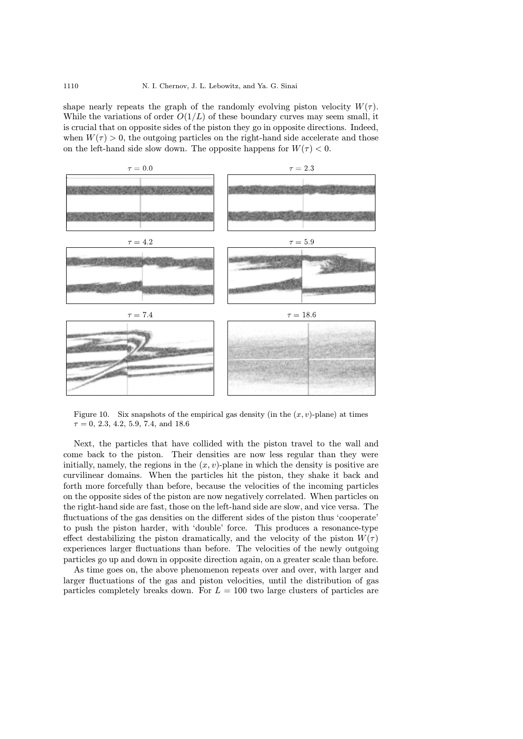shape nearly repeats the graph of the randomly evolving piston velocity  $W(\tau)$ . While the variations of order  $O(1/L)$  of these boundary curves may seem small, it is crucial that on opposite sides of the piston they go in opposite directions. Indeed, when  $W(\tau) > 0$ , the outgoing particles on the right-hand side accelerate and those on the left-hand side slow down. The opposite happens for  $W(\tau) < 0$ .



Figure 10. Six snapshots of the empirical gas density (in the  $(x, v)$ -plane) at times  $\tau = 0, 2.3, 4.2, 5.9, 7.4, \text{ and } 18.6$ 

Next, the particles that have collided with the piston travel to the wall and come back to the piston. Their densities are now less regular than they were initially, namely, the regions in the  $(x, v)$ -plane in which the density is positive are curvilinear domains. When the particles hit the piston, they shake it back and forth more forcefully than before, because the velocities of the incoming particles on the opposite sides of the piston are now negatively correlated. When particles on the right-hand side are fast, those on the left-hand side are slow, and vice versa. The fluctuations of the gas densities on the different sides of the piston thus 'cooperate' to push the piston harder, with 'double' force. This produces a resonance-type effect destabilizing the piston dramatically, and the velocity of the piston  $W(\tau)$ experiences larger fluctuations than before. The velocities of the newly outgoing particles go up and down in opposite direction again, on a greater scale than before.

As time goes on, the above phenomenon repeats over and over, with larger and larger fluctuations of the gas and piston velocities, until the distribution of gas particles completely breaks down. For  $L = 100$  two large clusters of particles are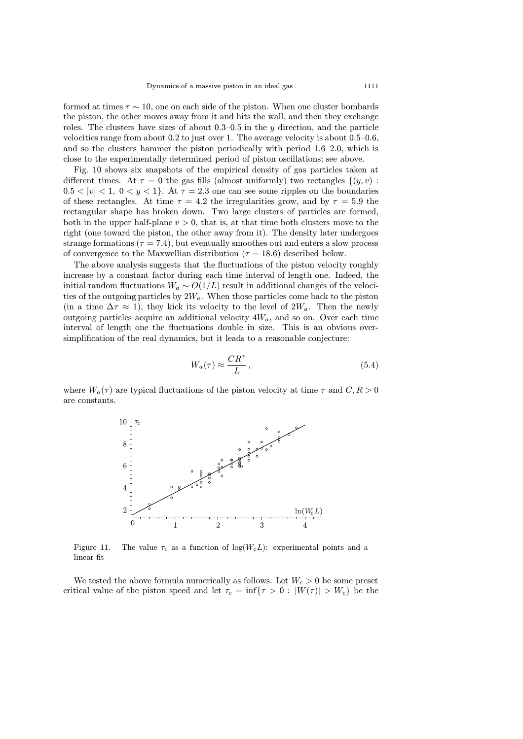formed at times  $\tau \sim 10$ , one on each side of the piston. When one cluster bombards the piston, the other moves away from it and hits the wall, and then they exchange roles. The clusters have sizes of about  $0.3-0.5$  in the y direction, and the particle velocities range from about 0.2 to just over 1. The average velocity is about 0.5–0.6, and so the clusters hammer the piston periodically with period 1.6–2.0, which is close to the experimentally determined period of piston oscillations; see above.

Fig. 10 shows six snapshots of the empirical density of gas particles taken at different times. At  $\tau = 0$  the gas fills (almost uniformly) two rectangles  $\{(y, v) :$  $0.5 < |v| < 1, 0 < y < 1$ . At  $\tau = 2.3$  one can see some ripples on the boundaries of these rectangles. At time  $\tau = 4.2$  the irregularities grow, and by  $\tau = 5.9$  the rectangular shape has broken down. Two large clusters of particles are formed, both in the upper half-plane  $v > 0$ , that is, at that time both clusters move to the right (one toward the piston, the other away from it). The density later undergoes strange formations ( $\tau = 7.4$ ), but eventually smoothes out and enters a slow process of convergence to the Maxwellian distribution ( $\tau = 18.6$ ) described below.

The above analysis suggests that the fluctuations of the piston velocity roughly increase by a constant factor during each time interval of length one. Indeed, the initial random fluctuations  $W_a \sim O(1/L)$  result in additional changes of the velocities of the outgoing particles by  $2W_a$ . When those particles come back to the piston (in a time  $\Delta \tau \approx 1$ ), they kick its velocity to the level of  $2W_a$ . Then the newly outgoing particles acquire an additional velocity  $4W_a$ , and so on. Over each time interval of length one the fluctuations double in size. This is an obvious oversimplification of the real dynamics, but it leads to a reasonable conjecture:

$$
W_a(\tau) \approx \frac{CR^{\tau}}{L},\tag{5.4}
$$

where  $W_a(\tau)$  are typical fluctuations of the piston velocity at time  $\tau$  and  $C, R > 0$ are constants.



Figure 11. The value  $\tau_c$  as a function of  $\log(W_cL)$ : experimental points and a linear fit

We tested the above formula numerically as follows. Let  $W_c > 0$  be some preset critical value of the piston speed and let  $\tau_c = \inf\{\tau > 0 : |W(\tau)| > W_c\}$  be the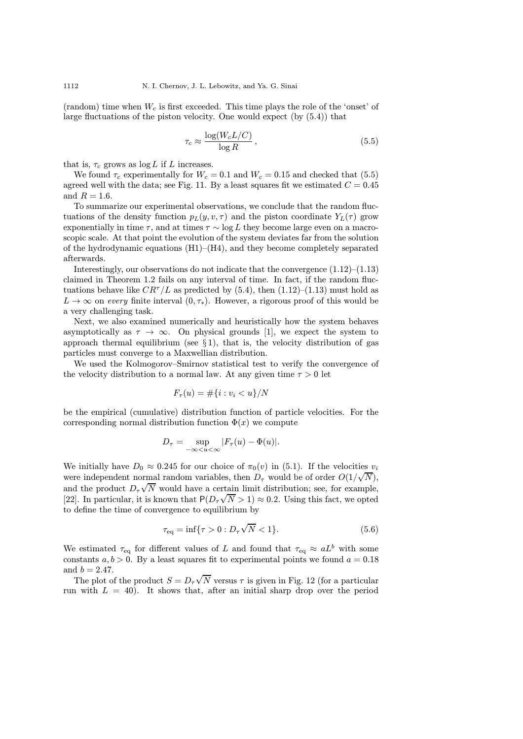(random) time when  $W_c$  is first exceeded. This time plays the role of the 'onset' of large fluctuations of the piston velocity. One would expect (by (5.4)) that

$$
\tau_c \approx \frac{\log(W_c L/C)}{\log R},\tag{5.5}
$$

that is,  $\tau_c$  grows as  $\log L$  if L increases.

We found  $\tau_c$  experimentally for  $W_c = 0.1$  and  $W_c = 0.15$  and checked that (5.5) agreed well with the data; see Fig. 11. By a least squares fit we estimated  $C = 0.45$ and  $R = 1.6$ .

To summarize our experimental observations, we conclude that the random fluctuations of the density function  $p_L(y, v, \tau)$  and the piston coordinate  $Y_L(\tau)$  grow exponentially in time  $\tau$ , and at times  $\tau \sim \log L$  they become large even on a macroscopic scale. At that point the evolution of the system deviates far from the solution of the hydrodynamic equations  $(H1)$ – $(H4)$ , and they become completely separated afterwards.

Interestingly, our observations do not indicate that the convergence  $(1.12)$ – $(1.13)$ claimed in Theorem 1.2 fails on any interval of time. In fact, if the random fluctuations behave like  $CR^{\tau}/L$  as predicted by (5.4), then (1.12)–(1.13) must hold as  $L \to \infty$  on every finite interval  $(0, \tau_*)$ . However, a rigorous proof of this would be a very challenging task.

Next, we also examined numerically and heuristically how the system behaves asymptotically as  $\tau \to \infty$ . On physical grounds [\[1\],](#page-80-0) we expect the system to approach thermal equilibrium (see  $\S$ 1), that is, the velocity distribution of gas particles must converge to a Maxwellian distribution.

We used the Kolmogorov–Smirnov statistical test to verify the convergence of the velocity distribution to a normal law. At any given time  $\tau > 0$  let

$$
F_{\tau}(u) = \#\{i : v_i < u\}/N
$$

be the empirical (cumulative) distribution function of particle velocities. For the corresponding normal distribution function  $\Phi(x)$  we compute

$$
D_{\tau} = \sup_{-\infty < u < \infty} |F_{\tau}(u) - \Phi(u)|.
$$

We initially have  $D_0 \approx 0.245$  for our choice of  $\pi_0(v)$  in (5.1). If the velocities  $v_i$ were independent normal random variables, then  $D_{\tau}$  would be of order  $O(1/\sqrt{N})$ , and the product  $D_{\tau}\sqrt{N}$  would have a certain limit distribution; see, for example, [\[22\].](#page-80-0) In particular, it is known that  $P(D_\tau \sqrt{N} > 1) \approx 0.2$ . Using this fact, we opted to define the time of convergence to equilibrium by

$$
\tau_{\text{eq}} = \inf \{ \tau > 0 : D_{\tau} \sqrt{N} < 1 \}. \tag{5.6}
$$

We estimated  $\tau_{eq}$  for different values of L and found that  $\tau_{eq} \approx aL^b$  with some constants  $a, b > 0$ . By a least squares fit to experimental points we found  $a = 0.18$ and  $b = 2.47$ . √

The plot of the product  $S = D_{\tau}$ N versus  $\tau$  is given in Fig. 12 (for a particular run with  $L = 40$ . It shows that, after an initial sharp drop over the period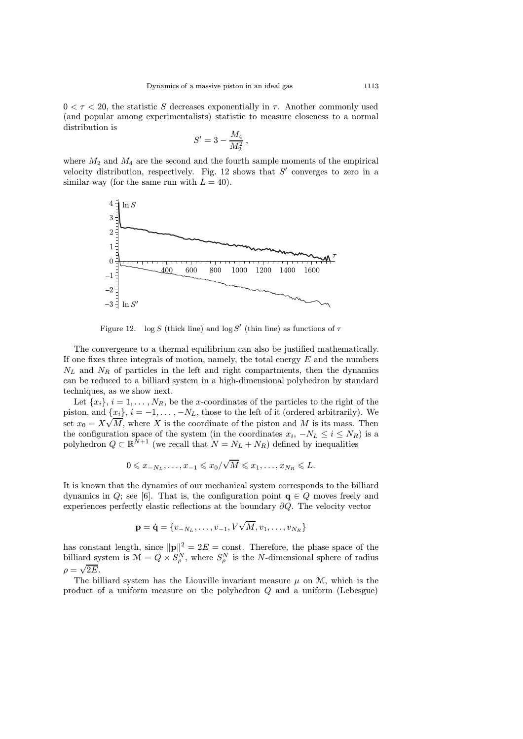$0 < \tau < 20$ , the statistic S decreases exponentially in  $\tau$ . Another commonly used (and popular among experimentalists) statistic to measure closeness to a normal distribution is

$$
S'=3-\frac{M_4}{M_2^2}\,,
$$

where  $M_2$  and  $M_4$  are the second and the fourth sample moments of the empirical velocity distribution, respectively. Fig. 12 shows that  $S'$  converges to zero in a similar way (for the same run with  $L = 40$ ).



Figure 12. log S (thick line) and log S' (thin line) as functions of  $\tau$ 

The convergence to a thermal equilibrium can also be justified mathematically. If one fixes three integrals of motion, namely, the total energy  $E$  and the numbers  $N_L$  and  $N_R$  of particles in the left and right compartments, then the dynamics can be reduced to a billiard system in a high-dimensional polyhedron by standard techniques, as we show next.

Let  $\{x_i\}, i = 1, \ldots, N_R$ , be the x-coordinates of the particles to the right of the piston, and  $\{x_i\}, i = -1, \ldots, -N_L$ , those to the left of it (ordered arbitrarily). We piston, and  $\{x_i\}$ ,  $i = -1, \ldots, -N_L$ , those to the left of it (ordered arbitrarity). We set  $x_0 = X\sqrt{M}$ , where X is the coordinate of the piston and M is its mass. Then the configuration space of the system (in the coordinates  $x_i$ ,  $-N_L \leq i \leq N_R$ ) is a polyhedron  $Q \subset \mathbb{R}^{N+1}$  (we recall that  $N = N_L + N_R$ ) defined by inequalities

$$
0 \leqslant x_{-N_L}, \ldots, x_{-1} \leqslant x_0/\sqrt{M} \leqslant x_1, \ldots, x_{N_R} \leqslant L.
$$

It is known that the dynamics of our mechanical system corresponds to the billiard dynamics in Q; see [\[6\].](#page-80-0) That is, the configuration point  $q \in Q$  moves freely and experiences perfectly elastic reflections at the boundary  $\partial Q$ . The velocity vector

$$
\mathbf{p} = \dot{\mathbf{q}} = \{v_{-N_L}, \dots, v_{-1}, V\sqrt{M}, v_1, \dots, v_{N_R}\}
$$

has constant length, since  $\|\mathbf{p}\|^2 = 2E = \text{const.}$  Therefore, the phase space of the billiard system is  $\mathcal{M} = Q \times S_{\rho}^{N}$ , where  $S_{\rho}^{N}$  is the N-dimensional sphere of radius  $ρ = \sqrt{2E}.$ 

The billiard system has the Liouville invariant measure  $\mu$  on  $\mathcal{M}$ , which is the product of a uniform measure on the polyhedron Q and a uniform (Lebesgue)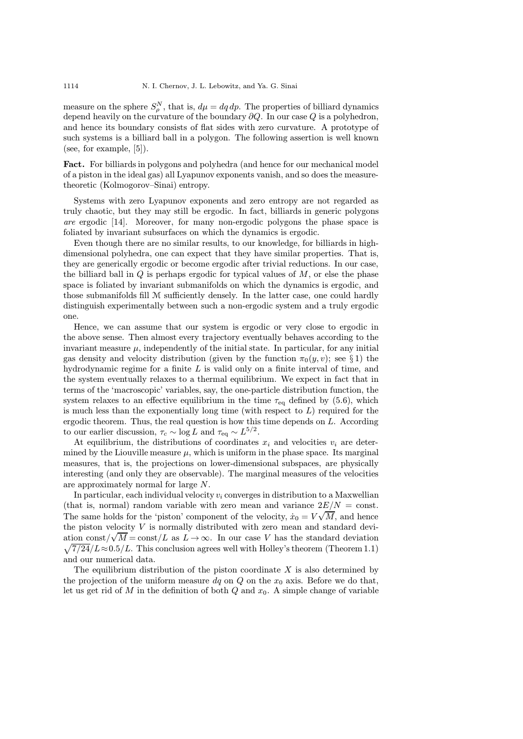measure on the sphere  $S_{\rho}^N$ , that is,  $d\mu = dq dp$ . The properties of billiard dynamics depend heavily on the curvature of the boundary  $\partial Q$ . In our case Q is a polyhedron, and hence its boundary consists of flat sides with zero curvature. A prototype of such systems is a billiard ball in a polygon. The following assertion is well known (see, for example, [\[5\]\)](#page-80-0).

Fact. For billiards in polygons and polyhedra (and hence for our mechanical model of a piston in the ideal gas) all Lyapunov exponents vanish, and so does the measuretheoretic (Kolmogorov–Sinai) entropy.

Systems with zero Lyapunov exponents and zero entropy are not regarded as truly chaotic, but they may still be ergodic. In fact, billiards in generic polygons are ergodic [\[14\].](#page-80-0) Moreover, for many non-ergodic polygons the phase space is foliated by invariant subsurfaces on which the dynamics is ergodic.

Even though there are no similar results, to our knowledge, for billiards in highdimensional polyhedra, one can expect that they have similar properties. That is, they are generically ergodic or become ergodic after trivial reductions. In our case, the billiard ball in  $Q$  is perhaps ergodic for typical values of  $M$ , or else the phase space is foliated by invariant submanifolds on which the dynamics is ergodic, and those submanifolds fill M sufficiently densely. In the latter case, one could hardly distinguish experimentally between such a non-ergodic system and a truly ergodic one.

Hence, we can assume that our system is ergodic or very close to ergodic in the above sense. Then almost every trajectory eventually behaves according to the invariant measure  $\mu$ , independently of the initial state. In particular, for any initial gas density and velocity distribution (given by the function  $\pi_0(y, v)$ ; see § 1) the hydrodynamic regime for a finite  $L$  is valid only on a finite interval of time, and the system eventually relaxes to a thermal equilibrium. We expect in fact that in terms of the 'macroscopic' variables, say, the one-particle distribution function, the system relaxes to an effective equilibrium in the time  $\tau_{eq}$  defined by (5.6), which is much less than the exponentially long time (with respect to  $L$ ) required for the ergodic theorem. Thus, the real question is how this time depends on L. According to our earlier discussion,  $\tau_c \sim \log L$  and  $\tau_{\text{eq}} \sim L^{5/2}$ .

At equilibrium, the distributions of coordinates  $x_i$  and velocities  $v_i$  are determined by the Liouville measure  $\mu$ , which is uniform in the phase space. Its marginal measures, that is, the projections on lower-dimensional subspaces, are physically interesting (and only they are observable). The marginal measures of the velocities are approximately normal for large N.

In particular, each individual velocity  $v_i$  converges in distribution to a Maxwellian (that is, normal) random variable with zero mean and variance  $2E/N = \text{const.}$ The same holds for the 'piston' component of the velocity,  $\dot{x}_0 = V \sqrt{M}$ , and hence the piston velocity  $V$  is normally distributed with zero mean and standard deviation const $\sqrt{M} = \text{const}/L$  as  $L \to \infty$ . In our case V has the standard deviation  $\sqrt{7/24}/L \approx 0.5/L$ . This conclusion agrees well with Holley's theorem (Theorem 1.1) and our numerical data.

The equilibrium distribution of the piston coordinate  $X$  is also determined by the projection of the uniform measure  $dq$  on Q on the  $x_0$  axis. Before we do that, let us get rid of M in the definition of both  $Q$  and  $x_0$ . A simple change of variable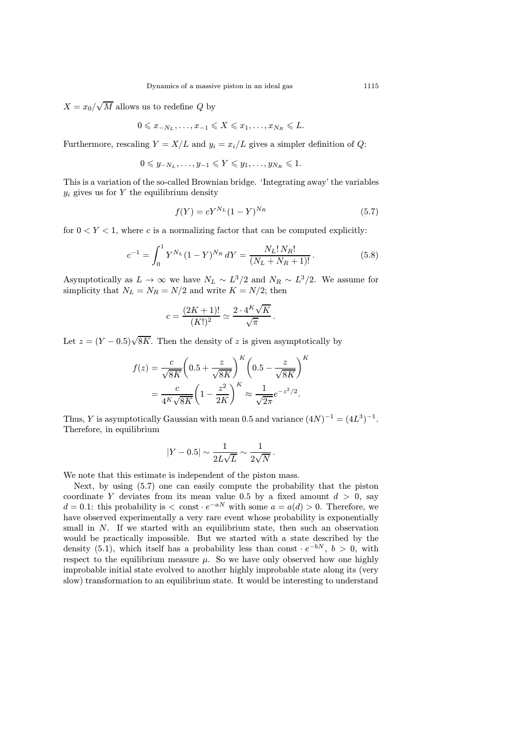$X=x_0/$ √  $M$  allows us to redefine  $Q$  by

$$
0 \leqslant x_{-N_L}, \ldots, x_{-1} \leqslant X \leqslant x_1, \ldots, x_{N_R} \leqslant L.
$$

Furthermore, rescaling  $Y = X/L$  and  $y_i = x_i/L$  gives a simpler definition of Q:

$$
0\leqslant y_{-N_L},\ldots,y_{-1}\leqslant Y\leqslant y_1,\ldots,y_{N_R}\leqslant 1.
$$

This is a variation of the so-called Brownian bridge. 'Integrating away' the variables  $y_i$  gives us for Y the equilibrium density

$$
f(Y) = cY^{N_L}(1 - Y)^{N_R} \tag{5.7}
$$

for  $0 < Y < 1$ , where c is a normalizing factor that can be computed explicitly:

$$
c^{-1} = \int_0^1 Y^{N_L} (1 - Y)^{N_R} dY = \frac{N_L! N_R!}{(N_L + N_R + 1)!}.
$$
 (5.8)

Asymptotically as  $L \to \infty$  we have  $N_L \sim L^3/2$  and  $N_R \sim L^3/2$ . We assume for simplicity that  $N_L = N_R = N/2$  and write  $K = N/2$ ; then

$$
c = \frac{(2K+1)!}{(K!)^2} \simeq \frac{2 \cdot 4^K \sqrt{K}}{\sqrt{\pi}}.
$$

Let  $z = (Y - 0.5)\sqrt{8K}$ . Then the density of z is given asymptotically by

$$
f(z) = \frac{c}{\sqrt{8K}} \left( 0.5 + \frac{z}{\sqrt{8K}} \right)^K \left( 0.5 - \frac{z}{\sqrt{8K}} \right)^K
$$

$$
= \frac{c}{4^K \sqrt{8K}} \left( 1 - \frac{z^2}{2K} \right)^K \approx \frac{1}{\sqrt{2\pi}} e^{-z^2/2}.
$$

Thus, Y is asymptotically Gaussian with mean 0.5 and variance  $(4N)^{-1} = (4L^3)^{-1}$ . Therefore, in equilibrium

$$
|Y - 0.5| \sim \frac{1}{2L\sqrt{L}} \sim \frac{1}{2\sqrt{N}}.
$$

We note that this estimate is independent of the piston mass.

Next, by using (5.7) one can easily compute the probability that the piston coordinate Y deviates from its mean value 0.5 by a fixed amount  $d > 0$ , say  $d = 0.1$ : this probability is  $\langle \text{const} \cdot e^{-aN} \text{ with some } a = a(d) > 0$ . Therefore, we have observed experimentally a very rare event whose probability is exponentially small in  $N$ . If we started with an equilibrium state, then such an observation would be practically impossible. But we started with a state described by the density (5.1), which itself has a probability less than const  $\cdot e^{-bN}$ ,  $b > 0$ , with respect to the equilibrium measure  $\mu$ . So we have only observed how one highly improbable initial state evolved to another highly improbable state along its (very slow) transformation to an equilibrium state. It would be interesting to understand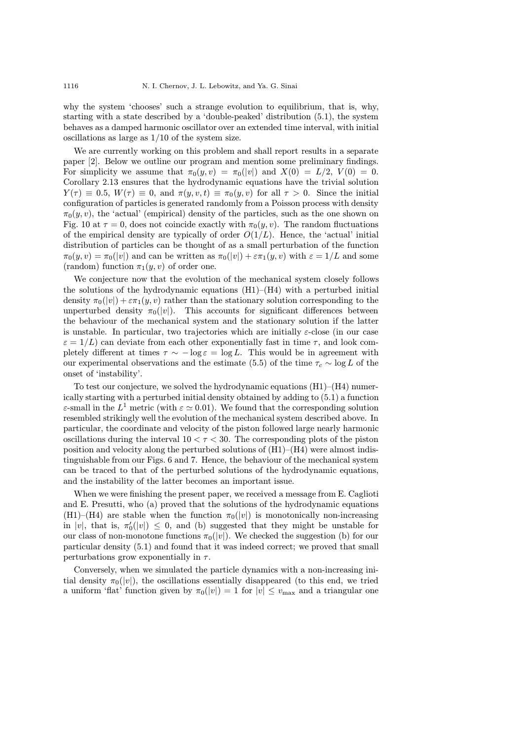why the system 'chooses' such a strange evolution to equilibrium, that is, why, starting with a state described by a 'double-peaked' distribution (5.1), the system behaves as a damped harmonic oscillator over an extended time interval, with initial oscillations as large as 1/10 of the system size.

We are currently working on this problem and shall report results in a separate paper [\[2\].](#page-80-0) Below we outline our program and mention some preliminary findings. For simplicity we assume that  $\pi_0(y, v) = \pi_0(|v|)$  and  $X(0) = L/2$ ,  $V(0) = 0$ . Corollary 2.13 ensures that the hydrodynamic equations have the trivial solution  $Y(\tau) \equiv 0.5, W(\tau) \equiv 0$ , and  $\pi(y, v, t) \equiv \pi_0(y, v)$  for all  $\tau > 0$ . Since the initial configuration of particles is generated randomly from a Poisson process with density  $\pi_0(y, v)$ , the 'actual' (empirical) density of the particles, such as the one shown on Fig. 10 at  $\tau = 0$ , does not coincide exactly with  $\pi_0(y, v)$ . The random fluctuations of the empirical density are typically of order  $O(1/L)$ . Hence, the 'actual' initial distribution of particles can be thought of as a small perturbation of the function  $\pi_0(y, v) = \pi_0(|v|)$  and can be written as  $\pi_0(|v|) + \varepsilon \pi_1(y, v)$  with  $\varepsilon = 1/L$  and some (random) function  $\pi_1(y, v)$  of order one.

We conjecture now that the evolution of the mechanical system closely follows the solutions of the hydrodynamic equations  $(H1)$ – $(H4)$  with a perturbed initial density  $\pi_0(|v|) + \varepsilon \pi_1(y, v)$  rather than the stationary solution corresponding to the unperturbed density  $\pi_0(|v|)$ . This accounts for significant differences between the behaviour of the mechanical system and the stationary solution if the latter is unstable. In particular, two trajectories which are initially  $\varepsilon$ -close (in our case  $\varepsilon = 1/L$ ) can deviate from each other exponentially fast in time  $\tau$ , and look completely different at times  $\tau \sim -\log \varepsilon = \log L$ . This would be in agreement with our experimental observations and the estimate (5.5) of the time  $\tau_c \sim \log L$  of the onset of 'instability'.

To test our conjecture, we solved the hydrodynamic equations (H1)–(H4) numerically starting with a perturbed initial density obtained by adding to (5.1) a function ε-small in the  $L^1$  metric (with  $ε ≈ 0.01$ ). We found that the corresponding solution resembled strikingly well the evolution of the mechanical system described above. In particular, the coordinate and velocity of the piston followed large nearly harmonic oscillations during the interval  $10 < \tau < 30$ . The corresponding plots of the piston position and velocity along the perturbed solutions of  $(H1)–(H4)$  were almost indistinguishable from our Figs. 6 and 7. Hence, the behaviour of the mechanical system can be traced to that of the perturbed solutions of the hydrodynamic equations, and the instability of the latter becomes an important issue.

When we were finishing the present paper, we received a message from E. Caglioti and E. Presutti, who (a) proved that the solutions of the hydrodynamic equations  $(H1)$ – $(H4)$  are stable when the function  $\pi_0(|v|)$  is monotonically non-increasing in |v|, that is,  $\pi_0(|v|) \leq 0$ , and (b) suggested that they might be unstable for our class of non-monotone functions  $\pi_0(|v|)$ . We checked the suggestion (b) for our particular density (5.1) and found that it was indeed correct; we proved that small perturbations grow exponentially in  $\tau$ .

Conversely, when we simulated the particle dynamics with a non-increasing initial density  $\pi_0(|v|)$ , the oscillations essentially disappeared (to this end, we tried a uniform 'flat' function given by  $\pi_0(|v|) = 1$  for  $|v| \le v_{\text{max}}$  and a triangular one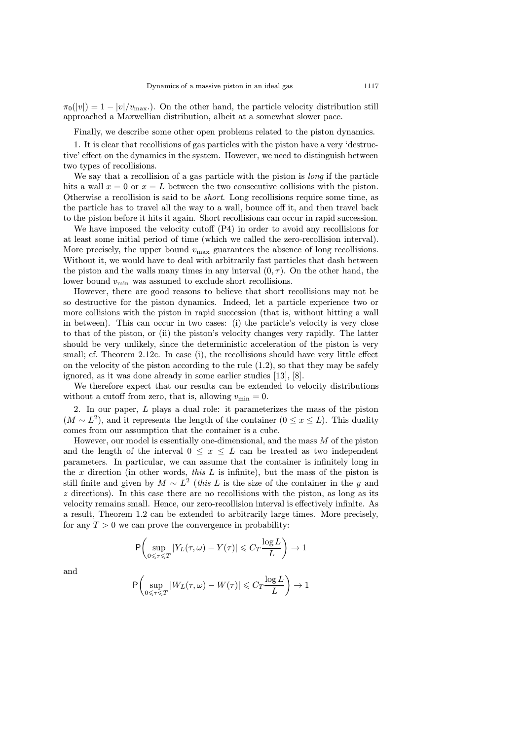$\pi_0(|v|)=1 - |v|/v_{\text{max}}$ . On the other hand, the particle velocity distribution still approached a Maxwellian distribution, albeit at a somewhat slower pace.

Finally, we describe some other open problems related to the piston dynamics.

1. It is clear that recollisions of gas particles with the piston have a very 'destructive' effect on the dynamics in the system. However, we need to distinguish between two types of recollisions.

We say that a recollision of a gas particle with the piston is *long* if the particle hits a wall  $x = 0$  or  $x = L$  between the two consecutive collisions with the piston. Otherwise a recollision is said to be short. Long recollisions require some time, as the particle has to travel all the way to a wall, bounce off it, and then travel back to the piston before it hits it again. Short recollisions can occur in rapid succession.

We have imposed the velocity cutoff (P4) in order to avoid any recollisions for at least some initial period of time (which we called the zero-recollision interval). More precisely, the upper bound  $v_{\text{max}}$  guarantees the absence of long recollisions. Without it, we would have to deal with arbitrarily fast particles that dash between the piston and the walls many times in any interval  $(0, \tau)$ . On the other hand, the lower bound  $v_{\text{min}}$  was assumed to exclude short recollisions.

However, there are good reasons to believe that short recollisions may not be so destructive for the piston dynamics. Indeed, let a particle experience two or more collisions with the piston in rapid succession (that is, without hitting a wall in between). This can occur in two cases: (i) the particle's velocity is very close to that of the piston, or (ii) the piston's velocity changes very rapidly. The latter should be very unlikely, since the deterministic acceleration of the piston is very small; cf. Theorem 2.12c. In case (i), the recollisions should have very little effect on the velocity of the piston according to the rule  $(1.2)$ , so that they may be safely ignored, as it was done already in some earlier studies [\[13\], \[8\].](#page-80-0)

We therefore expect that our results can be extended to velocity distributions without a cutoff from zero, that is, allowing  $v_{\text{min}} = 0$ .

2. In our paper, L plays a dual role: it parameterizes the mass of the piston  $(M \sim L^2)$ , and it represents the length of the container  $(0 \le x \le L)$ . This duality comes from our assumption that the container is a cube.

However, our model is essentially one-dimensional, and the mass  $M$  of the piston and the length of the interval  $0 \leq x \leq L$  can be treated as two independent parameters. In particular, we can assume that the container is infinitely long in the x direction (in other words, this  $L$  is infinite), but the mass of the piston is still finite and given by  $M \sim L^2$  (this L is the size of the container in the y and z directions). In this case there are no recollisions with the piston, as long as its velocity remains small. Hence, our zero-recollision interval is effectively infinite. As a result, Theorem 1.2 can be extended to arbitrarily large times. More precisely, for any  $T > 0$  we can prove the convergence in probability:

$$
\mathsf{P}\bigg(\sup_{0\leq \tau\leqslant T}|Y_L(\tau,\omega)-Y(\tau)|\leqslant C_T\frac{\log L}{L}\bigg)\to 1
$$

and

$$
\mathsf{P} \biggl ( \sup_{0 \leqslant \tau \leqslant T} \vert W_L(\tau,\omega) - W(\tau) \vert \leqslant C_T \frac{\log L}{L} \biggr ) \to 1
$$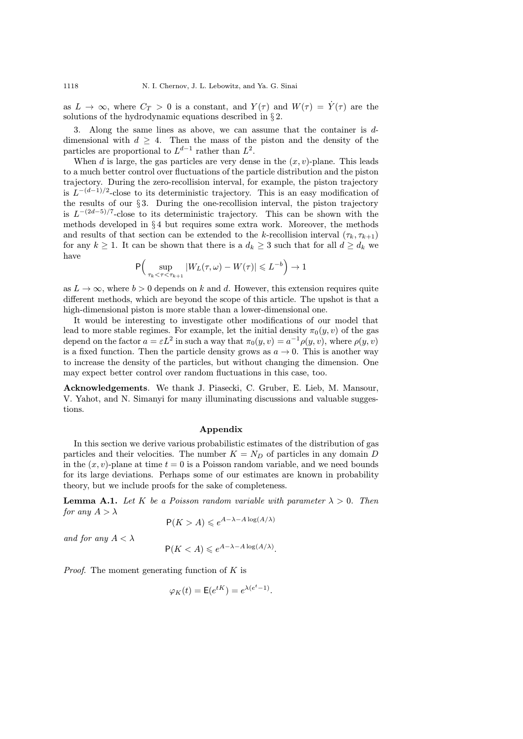as  $L \to \infty$ , where  $C_T > 0$  is a constant, and  $Y(\tau)$  and  $W(\tau) = \dot{Y}(\tau)$  are the solutions of the hydrodynamic equations described in § 2.

3. Along the same lines as above, we can assume that the container is ddimensional with  $d \geq 4$ . Then the mass of the piston and the density of the particles are proportional to  $L^{d-1}$  rather than  $L^2$ .

When d is large, the gas particles are very dense in the  $(x, v)$ -plane. This leads to a much better control over fluctuations of the particle distribution and the piston trajectory. During the zero-recollision interval, for example, the piston trajectory is  $L^{-(d-1)/2}$ -close to its deterministic trajectory. This is an easy modification of the results of our  $\S 3$ . During the one-recollision interval, the piston trajectory is  $L^{-(2d-5)/7}$ -close to its deterministic trajectory. This can be shown with the methods developed in § 4 but requires some extra work. Moreover, the methods and results of that section can be extended to the k-recollision interval  $(\tau_k, \tau_{k+1})$ for any  $k \geq 1$ . It can be shown that there is a  $d_k \geq 3$  such that for all  $d \geq d_k$  we have

$$
\mathsf{P}\Big(\sup_{\tau_k < \tau < \tau_{k+1}} |W_L(\tau,\omega) - W(\tau)| \leqslant L^{-b}\Big) \to 1
$$

as  $L \to \infty$ , where  $b > 0$  depends on k and d. However, this extension requires quite different methods, which are beyond the scope of this article. The upshot is that a high-dimensional piston is more stable than a lower-dimensional one.

It would be interesting to investigate other modifications of our model that lead to more stable regimes. For example, let the initial density  $\pi_0(y, v)$  of the gas depend on the factor  $a = \varepsilon L^2$  in such a way that  $\pi_0(y, v) = a^{-1} \rho(y, v)$ , where  $\rho(y, v)$ is a fixed function. Then the particle density grows as  $a \to 0$ . This is another way to increase the density of the particles, but without changing the dimension. One may expect better control over random fluctuations in this case, too.

Acknowledgements. We thank J. Piasecki, C. Gruber, E. Lieb, M. Mansour, V. Yahot, and N. Simanyi for many illuminating discussions and valuable suggestions.

## Appendix

In this section we derive various probabilistic estimates of the distribution of gas particles and their velocities. The number  $K = N_D$  of particles in any domain D in the  $(x, v)$ -plane at time  $t = 0$  is a Poisson random variable, and we need bounds for its large deviations. Perhaps some of our estimates are known in probability theory, but we include proofs for the sake of completeness.

**Lemma A.1.** Let K be a Poisson random variable with parameter  $\lambda > 0$ . Then for any  $A > \lambda$ 

$$
\mathsf{P}(K > A) \leqslant e^{A - \lambda - A \log(A/\lambda)}
$$

and for any  $A < \lambda$ 

$$
\mathsf{P}(K < A) \leqslant e^{A - \lambda - A \log(A/\lambda)}.
$$

*Proof.* The moment generating function of  $K$  is

$$
\varphi_K(t) = \mathsf{E}(e^{tK}) = e^{\lambda(e^t - 1)}.
$$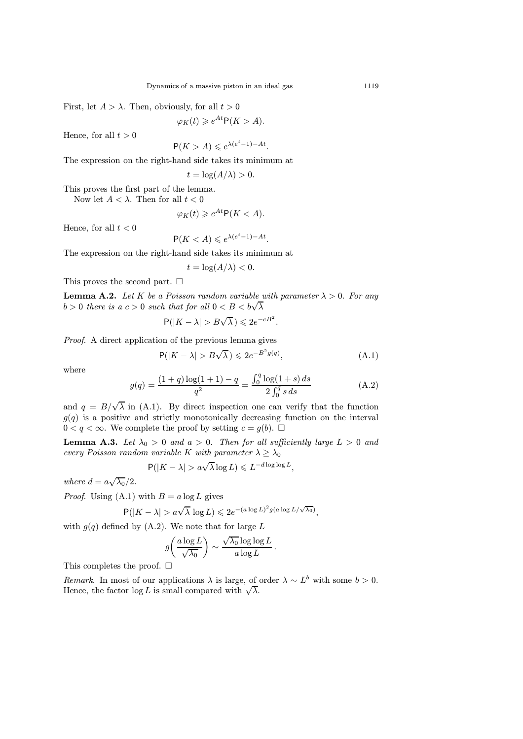First, let  $A > \lambda$ . Then, obviously, for all  $t > 0$ 

 $\varphi_K(t) \geqslant e^{At} P(K > A).$ 

Hence, for all  $t > 0$ 

$$
\mathsf{P}(K > A) \leq e^{\lambda(e^t - 1) - At}.
$$

The expression on the right-hand side takes its minimum at

$$
t = \log(A/\lambda) > 0.
$$

This proves the first part of the lemma.

Now let  $A < \lambda$ . Then for all  $t < 0$ 

$$
\varphi_K(t) \geqslant e^{At} \mathsf{P}(K < A).
$$

Hence, for all  $t < 0$ 

$$
\mathsf{P}(K < A) \leqslant e^{\lambda(e^t - 1) - At}.
$$

The expression on the right-hand side takes its minimum at

$$
t = \log(A/\lambda) < 0.
$$

This proves the second part.  $\Box$ 

**Lemma A.2.** Let K be a Poisson random variable with parameter  $\lambda > 0$ . For any **Lemma A.2.** Let  $K$  be a Poisson random variable  $\delta$  b > 0 there is a c > 0 such that for all  $0 < B < b\sqrt{\lambda}$ 

$$
\mathsf{P}(|K - \lambda| > B\sqrt{\lambda}) \leqslant 2e^{-cB^2}.
$$

Proof. A direct application of the previous lemma gives

$$
P(|K - \lambda| > B\sqrt{\lambda}) \leq 2e^{-B^2 g(q)},
$$
\n(A.1)

where

$$
g(q) = \frac{(1+q)\log(1+1) - q}{q^2} = \frac{\int_0^q \log(1+s) \, ds}{2 \int_0^q s \, ds} \tag{A.2}
$$

and  $q = B/\sqrt{\lambda}$  in (A.1). By direct inspection one can verify that the function  $g(q)$  is a positive and strictly monotonically decreasing function on the interval  $0 < q < \infty$ . We complete the proof by setting  $c = g(b)$ .  $\Box$ 

**Lemma A.3.** Let  $\lambda_0 > 0$  and  $a > 0$ . Then for all sufficiently large  $L > 0$  and every Poisson random variable K with parameter  $\lambda \geq \lambda_0$ 

$$
\mathsf{P}(|K - \lambda| > a\sqrt{\lambda}\log L) \leqslant L^{-d\log\log L},
$$

where  $d = a\sqrt{\lambda_0}/2$ .

*Proof.* Using (A.1) with  $B = a \log L$  gives

$$
\mathsf{P}(|K - \lambda| > a\sqrt{\lambda} \log L) \leqslant 2e^{-(a\log L)^2 g(a\log L/\sqrt{\lambda_0})},
$$

with  $g(q)$  defined by (A.2). We note that for large L

$$
g\left(\frac{a\log L}{\sqrt{\lambda_0}}\right) \sim \frac{\sqrt{\lambda_0}\log\log L}{a\log L}.
$$

This completes the proof.  $\square$ 

Remark. In most of our applications  $\lambda$  is large, of order  $\lambda \sim L^b$  with some  $b > 0$ . Hence, the factor  $\log L$  is small compared with  $\sqrt{\lambda}$ .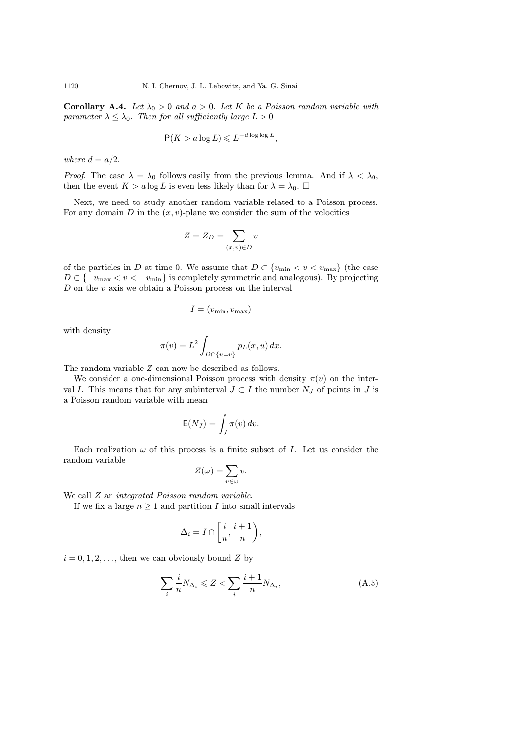**Corollary A.4.** Let  $\lambda_0 > 0$  and  $a > 0$ . Let K be a Poisson random variable with parameter  $\lambda \leq \lambda_0$ . Then for all sufficiently large  $L > 0$ 

$$
\mathsf{P}(K > a \log L) \leqslant L^{-d \log \log L},
$$

where  $d = a/2$ .

*Proof.* The case  $\lambda = \lambda_0$  follows easily from the previous lemma. And if  $\lambda < \lambda_0$ , then the event  $K > a \log L$  is even less likely than for  $\lambda = \lambda_0$ .  $\Box$ 

Next, we need to study another random variable related to a Poisson process. For any domain  $D$  in the  $(x, v)$ -plane we consider the sum of the velocities

$$
Z = Z_D = \sum_{(x,v)\in D} v
$$

of the particles in D at time 0. We assume that  $D \subset \{v_{\min} < v < v_{\max}\}\$  (the case  $D \subset \{-v_{\text{max}} < v < -v_{\text{min}}\}$  is completely symmetric and analogous). By projecting  $D$  on the  $v$  axis we obtain a Poisson process on the interval

$$
I=(v_{\min},v_{\max})
$$

with density

$$
\pi(v) = L^2 \int_{D \cap \{u=v\}} p_L(x, u) dx.
$$

The random variable Z can now be described as follows.

We consider a one-dimensional Poisson process with density  $\pi(v)$  on the interval I. This means that for any subinterval  $J \subset I$  the number  $N_J$  of points in J is a Poisson random variable with mean

$$
\mathsf{E}(N_J) = \int_J \pi(v) \, dv.
$$

Each realization  $\omega$  of this process is a finite subset of I. Let us consider the random variable

$$
Z(\omega) = \sum_{v \in \omega} v.
$$

We call Z an *integrated Poisson random variable*.

If we fix a large  $n \geq 1$  and partition I into small intervals

$$
\Delta_i = I \cap \left[ \frac{i}{n}, \frac{i+1}{n} \right),
$$

 $i = 0, 1, 2, \ldots$ , then we can obviously bound Z by

$$
\sum_{i} \frac{i}{n} N_{\Delta_i} \leqslant Z < \sum_{i} \frac{i+1}{n} N_{\Delta_i},\tag{A.3}
$$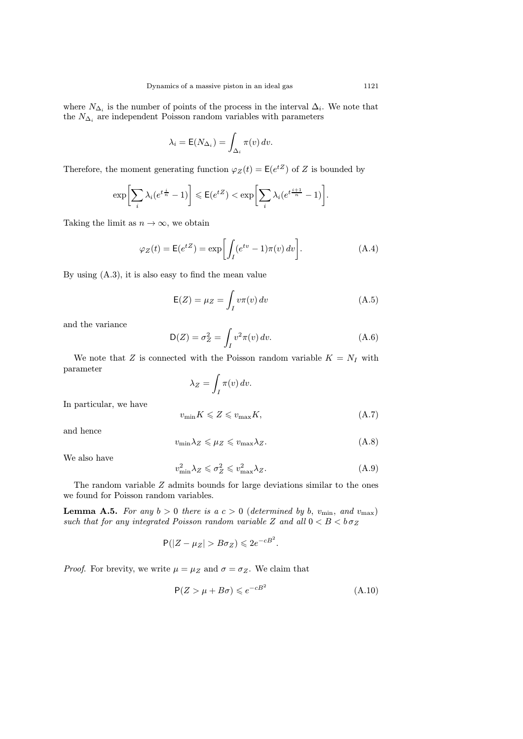where  $N_{\Delta_i}$  is the number of points of the process in the interval  $\Delta_i$ . We note that the  $N_{\Delta_i}$  are independent Poisson random variables with parameters

$$
\lambda_i = \mathsf{E}(N_{\Delta_i}) = \int_{\Delta_i} \pi(v) \, dv.
$$

Therefore, the moment generating function  $\varphi_Z(t) = \mathsf{E}(e^{tZ})$  of Z is bounded by

$$
\exp\biggl[\sum_i \lambda_i (e^{t\frac{i}{n}} - 1)\biggr] \leqslant \mathsf{E}(e^{tZ}) < \exp\biggl[\sum_i \lambda_i (e^{t\frac{i+1}{n}} - 1)\biggr].
$$

Taking the limit as  $n \to \infty$ , we obtain

$$
\varphi_Z(t) = \mathsf{E}(e^{tZ}) = \exp\left[\int_I (e^{tv} - 1)\pi(v) dv\right].\tag{A.4}
$$

By using (A.3), it is also easy to find the mean value

$$
E(Z) = \mu_Z = \int_I v\pi(v) dv \tag{A.5}
$$

and the variance

$$
D(Z) = \sigma_Z^2 = \int_I v^2 \pi(v) \, dv.
$$
 (A.6)

We note that Z is connected with the Poisson random variable  $K = N_I$  with parameter

 $\lambda_Z =$ I  $\pi(v)$  dv.

In particular, we have

$$
v_{\min} K \leqslant Z \leqslant v_{\max} K,\tag{A.7}
$$

and hence

$$
v_{\min}\lambda_Z \leqslant \mu_Z \leqslant v_{\max}\lambda_Z. \tag{A.8}
$$

We also have

$$
v_{\min}^2 \lambda_Z \leqslant \sigma_Z^2 \leqslant v_{\max}^2 \lambda_Z. \tag{A.9}
$$

The random variable Z admits bounds for large deviations similar to the ones we found for Poisson random variables.

**Lemma A.5.** For any  $b > 0$  there is a  $c > 0$  (determined by b,  $v_{\min}$ , and  $v_{\max}$ ) such that for any integrated Poisson random variable Z and all  $0 < B < b\sigma_Z$ 

$$
\mathsf{P}(|Z - \mu_Z| > B\sigma_Z) \leqslant 2e^{-cB^2}.
$$

*Proof.* For brevity, we write  $\mu = \mu_Z$  and  $\sigma = \sigma_Z$ . We claim that

$$
P(Z > \mu + B\sigma) \leqslant e^{-cB^2} \tag{A.10}
$$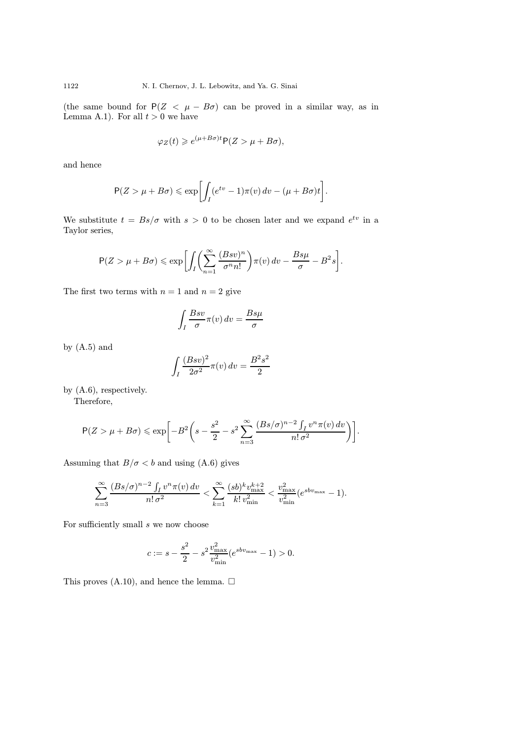(the same bound for  $P(Z < \mu - B\sigma)$  can be proved in a similar way, as in Lemma A.1). For all  $t > 0$  we have

$$
\varphi_Z(t) \geqslant e^{(\mu + B\sigma)t} \mathsf{P}(Z > \mu + B\sigma),
$$

and hence

$$
P(Z > \mu + B\sigma) \leq \exp\left[\int_I (e^{tv} - 1)\pi(v) dv - (\mu + B\sigma)t\right].
$$

We substitute  $t = Bs/\sigma$  with  $s > 0$  to be chosen later and we expand  $e^{tv}$  in a Taylor series,

$$
\mathsf{P}(Z > \mu + B\sigma) \leqslant \exp\bigg[\int_{I}\bigg(\sum_{n=1}^{\infty} \frac{(Bsv)^n}{\sigma^n n!}\bigg) \pi(v) \, dv - \frac{Bs\mu}{\sigma} - B^2s\bigg].
$$

The first two terms with  $n = 1$  and  $n = 2$  give

$$
\int_{I} \frac{Bsv}{\sigma} \pi(v) \, dv = \frac{Bs\mu}{\sigma}
$$

by  $(A.5)$  and

$$
\int_I \frac{(Bsv)^2}{2\sigma^2} \pi(v) dv = \frac{B^2 s^2}{2}
$$

by (A.6), respectively.

Therefore,

$$
\mathsf{P}(Z > \mu + B\sigma) \leqslant \exp\bigg[-B^2\bigg(s - \frac{s^2}{2} - s^2\sum_{n=3}^{\infty} \frac{(Bs/\sigma)^{n-2}\int_I v^n \pi(v)\,dv}{n!\,\sigma^2}\bigg)\bigg].
$$

Assuming that  $B/\sigma < b$  and using (A.6) gives

$$
\sum_{n=3}^{\infty} \frac{(Bs/\sigma)^{n-2} \int_I v^n \pi(v) \, dv}{n! \, \sigma^2} < \sum_{k=1}^{\infty} \frac{(sb)^k v_{\text{max}}^{k+2}}{k! \, v_{\text{min}}^2} < \frac{v_{\text{max}}^2}{v_{\text{min}}^2} (e^{sbv_{\text{max}}} - 1).
$$

For sufficiently small s we now choose

$$
c:=s-\frac{s^2}{2}-s^2\frac{v_{\max}^2}{v_{\min}^2}(e^{sbv_{\max}}-1)>0.
$$

This proves (A.10), and hence the lemma.  $\square$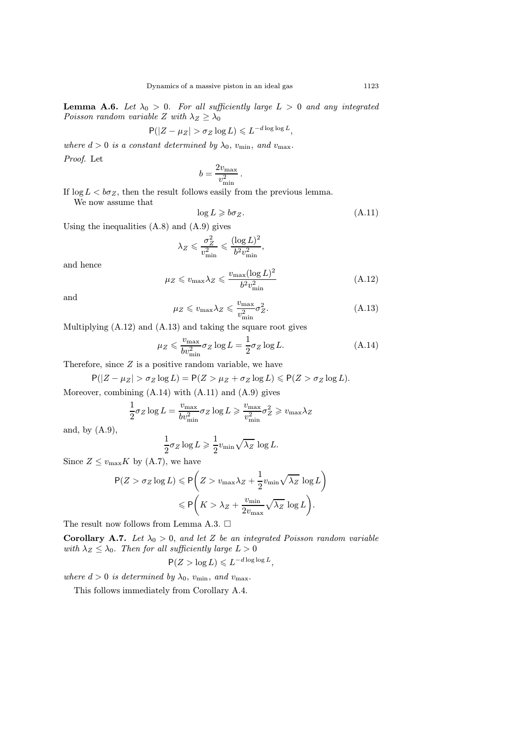**Lemma A.6.** Let  $\lambda_0 > 0$ . For all sufficiently large  $L > 0$  and any integrated Poisson random variable Z with  $\lambda_Z \geq \lambda_0$ 

$$
P(|Z - \mu_Z| > \sigma_Z \log L) \leqslant L^{-d \log \log L},
$$

where  $d > 0$  is a constant determined by  $\lambda_0$ ,  $v_{\min}$ , and  $v_{\max}$ . Proof. Let

$$
b = \frac{2v_{\text{max}}}{v_{\text{min}}^2}.
$$

If  $\log L < b\sigma_Z$ , then the result follows easily from the previous lemma.

We now assume that

$$
\log L \geqslant b\sigma_Z. \tag{A.11}
$$

Using the inequalities  $(A.8)$  and  $(A.9)$  gives

$$
\lambda_Z \leqslant \frac{\sigma_Z^2}{v_{\text{min}}^2} \leqslant \frac{(\log L)^2}{b^2 v_{\text{min}}^2},
$$

and hence

$$
\mu_Z \leqslant v_{\text{max}} \lambda_Z \leqslant \frac{v_{\text{max}} (\log L)^2}{b^2 v_{\text{min}}^2} \tag{A.12}
$$

and

$$
\mu_Z \leqslant v_{\text{max}} \lambda_Z \leqslant \frac{v_{\text{max}}}{v_{\text{min}}^2} \sigma_Z^2. \tag{A.13}
$$

Multiplying (A.12) and (A.13) and taking the square root gives

$$
\mu_Z \leqslant \frac{v_{\text{max}}}{bv_{\text{min}}^2} \sigma_Z \log L = \frac{1}{2} \sigma_Z \log L. \tag{A.14}
$$

Therefore, since  $Z$  is a positive random variable, we have

$$
P(|Z - \mu_Z| > \sigma_Z \log L) = P(Z > \mu_Z + \sigma_Z \log L) \leq P(Z > \sigma_Z \log L).
$$

Moreover, combining  $(A.14)$  with  $(A.11)$  and  $(A.9)$  gives

$$
\frac{1}{2}\sigma_Z \log L = \frac{v_{\text{max}}}{bv_{\text{min}}^2} \sigma_Z \log L \geqslant \frac{v_{\text{max}}}{v_{\text{min}}^2} \sigma_Z^2 \geqslant v_{\text{max}} \lambda_Z
$$

and, by (A.9),

$$
\frac{1}{2}\sigma_Z \log L \geq \frac{1}{2}v_{\min}\sqrt{\lambda_Z} \log L.
$$

Since  $Z \le v_{\text{max}} K$  by (A.7), we have

$$
P(Z > \sigma_Z \log L) \le P\left(Z > v_{\max}\lambda_Z + \frac{1}{2}v_{\min}\sqrt{\lambda_Z} \log L\right)
$$
  

$$
\le P\left(K > \lambda_Z + \frac{v_{\min}}{2v_{\max}}\sqrt{\lambda_Z} \log L\right).
$$

The result now follows from Lemma A.3.  $\Box$ 

Corollary A.7. Let  $\lambda_0 > 0$ , and let Z be an integrated Poisson random variable with  $\lambda_Z \leq \lambda_0$ . Then for all sufficiently large  $L > 0$ 

$$
\mathsf{P}(Z>\log L)\leqslant L^{-d\log\log L},
$$

where  $d > 0$  is determined by  $\lambda_0$ ,  $v_{\min}$ , and  $v_{\max}$ .

This follows immediately from Corollary A.4.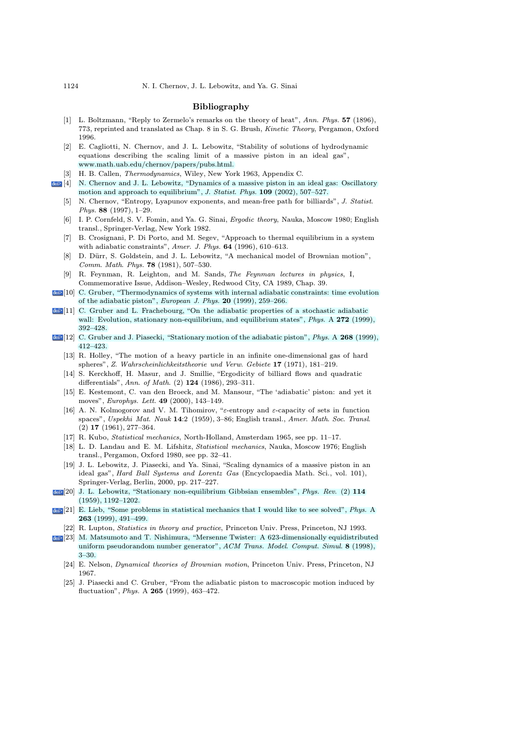## Bibliography

- [1] L. Boltzmann, "Reply to Zermelo's remarks on the theory of heat", Ann. Phys. 57 (1896), 773, reprinted and translated as Chap. 8 in S. G. Brush, Kinetic Theory, Pergamon, Oxford 1996.
- [2] E. Cagliotti, N. Chernov, and J. L. Lebowitz, "Stability of solutions of hydrodynamic equations describing the scaling limit of a massive piston in an ideal gas", [www.math.uab.edu/chernov/papers/pubs.html.](www.math.uab.edu/chernov/papers/pubs.html)
- [3] H. B. Callen, Thermodynamics, Wiley, New York 1963, Appendix C.
- [\[4\] N. Chernov and J. L. Lebowitz, "Dynamics of a massive piston in an ideal gas: Oscillatory](http://dx.doi.org/10.1023/A:1020450228657) motion and approach to equilibrium", J. Statist. Phys. 109 (2002), 507–527.
	- [5] N. Chernov, "Entropy, Lyapunov exponents, and mean-free path for billiards", J. Statist. Phys. 88 (1997), 1–29.
	- [6] I. P. Cornfeld, S. V. Fomin, and Ya. G. Sinai, Ergodic theory, Nauka, Moscow 1980; English transl., Springer-Verlag, New York 1982.
	- [7] B. Crosignani, P. Di Porto, and M. Segev, "Approach to thermal equilibrium in a system with adiabatic constraints", Amer. J. Phys. 64 (1996), 610–613.
	- [8] D. Dürr, S. Goldstein, and J. L. Lebowitz, "A mechanical model of Brownian motion", Comm. Math. Phys. 78 (1981), 507–530.
	- [9] R. Feynman, R. Leighton, and M. Sands, The Feynman lectures in physics, I, Commemorative Issue, Addison–Wesley, Redwood City, CA 1989, Chap. 39.
- [\[10\] C. Gruber, "Thermodynamics of systems with internal adiabatic constraints: time evolution](http://dx.doi.org/10.1088/0143-0807/20/4/303) of the adiabatic piston", European J. Phys. 20 (1999), 259–266.
- [\[11\] C. Gruber and L. Frachebourg, "On the adiabatic properties of a stochastic adiabatic](http://dx.doi.org/10.1016/S0378-4371(99)00237-X) wall: Evolution, stationary non-equilibrium, and equilibrium states", *Phys.* A 272 (1999), 392–428.
- [\[12\] C. Gruber and J. Piasecki, "Stationary motion of the adiabatic piston",](http://dx.doi.org/10.1016/S0378-4371(99)00095-3) *Phys.* A 268 (1999), 412–423.
	- [13] R. Holley, "The motion of a heavy particle in an infinite one-dimensional gas of hard spheres", Z. Wahrscheinlichkeitstheorie und Verw. Gebiete 17 (1971), 181–219.
	- [14] S. Kerckhoff, H. Masur, and J. Smillie, "Ergodicity of billiard flows and quadratic differentials", Ann. of Math. (2) 124 (1986), 293–311.
	- [15] E. Kestemont, C. van den Broeck, and M. Mansour, "The 'adiabatic' piston: and yet it moves", Europhys. Lett. 49 (2000), 143–149.
	- [16] A. N. Kolmogorov and V. M. Tihomirov, "ε-entropy and ε-capacity of sets in function spaces", Uspekhi Mat. Nauk 14:2 (1959), 3–86; English transl., Amer. Math. Soc. Transl. (2) 17 (1961), 277–364.
	- [17] R. Kubo, Statistical mechanics, North-Holland, Amsterdam 1965, see pp. 11–17.
	- [18] L. D. Landau and E. M. Lifshitz, Statistical mechanics, Nauka, Moscow 1976; English transl., Pergamon, Oxford 1980, see pp. 32–41.
	- [19] J. L. Lebowitz, J. Piasecki, and Ya. Sinai, "Scaling dynamics of a massive piston in an ideal gas", Hard Ball Systems and Lorentz Gas (Encyclopaedia Math. Sci., vol. 101), Springer-Verlag, Berlin, 2000, pp. 217–227.
- [\[20\] J. L. Lebowitz, "Stationary non-equilibrium Gibbsian ensembles",](http://dx.doi.org/10.1103/PhysRev.114.1192) Phys. Rev. (2) 114 (1959), 1192–1202.
- [\[21\] E. Lieb, "Some problems in statistical mechanics that I would like to see solved",](http://dx.doi.org/10.1016/S0378-4371(98)00517-2) Phys. A 263 (1999), 491–499.
	- [22] R. Lupton, Statistics in theory and practice, Princeton Univ. Press, Princeton, NJ 1993.
- [\[23\] M. Matsumoto and T. Nishimura, "Mersenne](http://dx.doi.org/10.1145/272991.272995) Twister: A 623-dimensionally equidistributed uniform pseudorandom number generator", ACM Trans. Model. Comput. Simul. 8 (1998), 3–30.
	- [24] E. Nelson, Dynamical theories of Brownian motion, Princeton Univ. Press, Princeton, NJ 1967.
	- [25] J. Piasecki and C. Gruber, "From the adiabatic piston to macroscopic motion induced by fluctuation", Phys. A 265 (1999), 463–472.

<span id="page-80-0"></span>